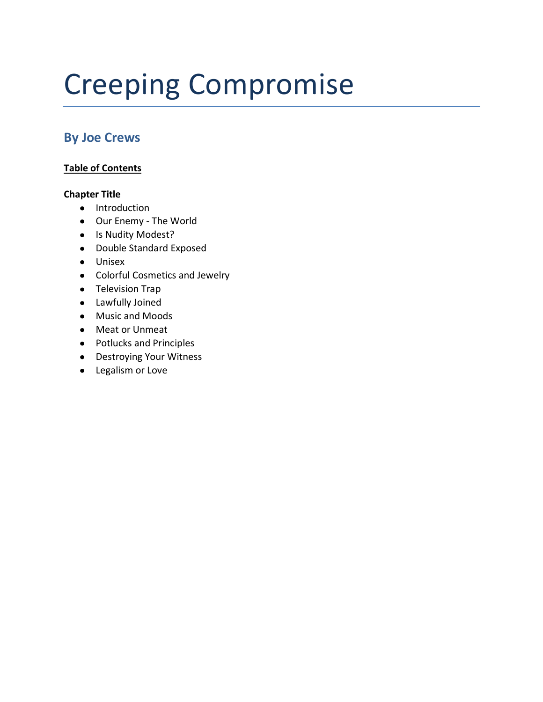# Creeping Compromise

# **By Joe Crews**

# **Table of Contents**

## **Chapter Title**

- Introduction
- Our Enemy The World
- Is Nudity Modest?
- Double Standard Exposed
- Unisex
- Colorful Cosmetics and Jewelry
- Television Trap
- Lawfully Joined
- Music and Moods
- Meat or Unmeat
- Potlucks and Principles
- Destroying Your Witness
- Legalism or Love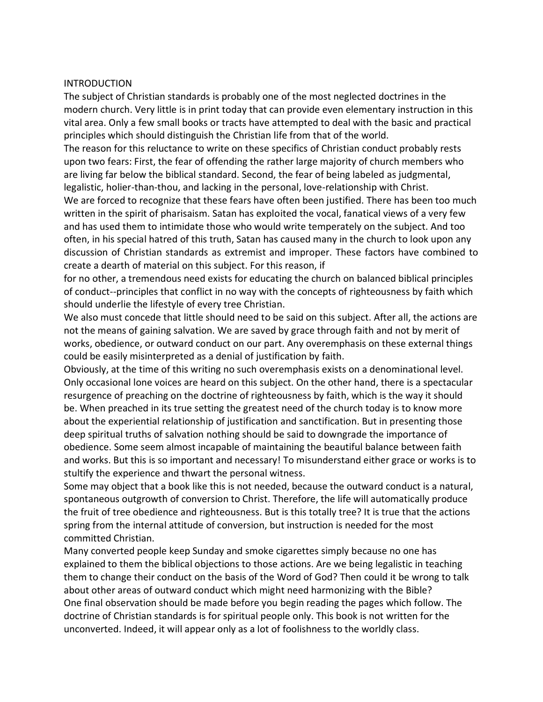#### INTRODUCTION

The subject of Christian standards is probably one of the most neglected doctrines in the modern church. Very little is in print today that can provide even elementary instruction in this vital area. Only a few small books or tracts have attempted to deal with the basic and practical principles which should distinguish the Christian life from that of the world.

The reason for this reluctance to write on these specifics of Christian conduct probably rests upon two fears: First, the fear of offending the rather large majority of church members who are living far below the biblical standard. Second, the fear of being labeled as judgmental, legalistic, holier-than-thou, and lacking in the personal, love-relationship with Christ.

We are forced to recognize that these fears have often been justified. There has been too much written in the spirit of pharisaism. Satan has exploited the vocal, fanatical views of a very few and has used them to intimidate those who would write temperately on the subject. And too often, in his special hatred of this truth, Satan has caused many in the church to look upon any discussion of Christian standards as extremist and improper. These factors have combined to create a dearth of material on this subject. For this reason, if

for no other, a tremendous need exists for educating the church on balanced biblical principles of conduct--principles that conflict in no way with the concepts of righteousness by faith which should underlie the lifestyle of every tree Christian.

We also must concede that little should need to be said on this subject. After all, the actions are not the means of gaining salvation. We are saved by grace through faith and not by merit of works, obedience, or outward conduct on our part. Any overemphasis on these external things could be easily misinterpreted as a denial of justification by faith.

Obviously, at the time of this writing no such overemphasis exists on a denominational level. Only occasional lone voices are heard on this subject. On the other hand, there is a spectacular resurgence of preaching on the doctrine of righteousness by faith, which is the way it should be. When preached in its true setting the greatest need of the church today is to know more about the experiential relationship of justification and sanctification. But in presenting those deep spiritual truths of salvation nothing should be said to downgrade the importance of obedience. Some seem almost incapable of maintaining the beautiful balance between faith and works. But this is so important and necessary! To misunderstand either grace or works is to stultify the experience and thwart the personal witness.

Some may object that a book like this is not needed, because the outward conduct is a natural, spontaneous outgrowth of conversion to Christ. Therefore, the life will automatically produce the fruit of tree obedience and righteousness. But is this totally tree? It is true that the actions spring from the internal attitude of conversion, but instruction is needed for the most committed Christian.

Many converted people keep Sunday and smoke cigarettes simply because no one has explained to them the biblical objections to those actions. Are we being legalistic in teaching them to change their conduct on the basis of the Word of God? Then could it be wrong to talk about other areas of outward conduct which might need harmonizing with the Bible? One final observation should be made before you begin reading the pages which follow. The doctrine of Christian standards is for spiritual people only. This book is not written for the unconverted. Indeed, it will appear only as a lot of foolishness to the worldly class.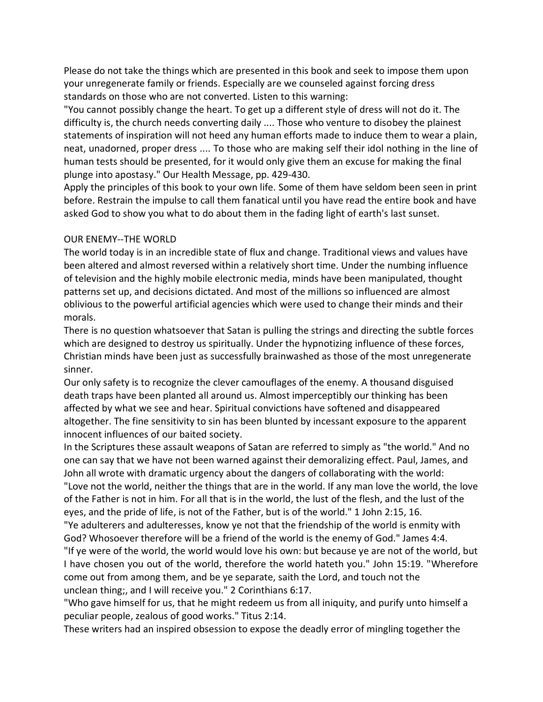Please do not take the things which are presented in this book and seek to impose them upon your unregenerate family or friends. Especially are we counseled against forcing dress standards on those who are not converted. Listen to this warning:

"You cannot possibly change the heart. To get up a different style of dress will not do it. The difficulty is, the church needs converting daily .... Those who venture to disobey the plainest statements of inspiration will not heed any human efforts made to induce them to wear a plain, neat, unadorned, proper dress .... To those who are making self their idol nothing in the line of human tests should be presented, for it would only give them an excuse for making the final plunge into apostasy." Our Health Message, pp. 429-430.

Apply the principles of this book to your own life. Some of them have seldom been seen in print before. Restrain the impulse to call them fanatical until you have read the entire book and have asked God to show you what to do about them in the fading light of earth's last sunset.

#### OUR ENEMY--THE WORLD

The world today is in an incredible state of flux and change. Traditional views and values have been altered and almost reversed within a relatively short time. Under the numbing influence of television and the highly mobile electronic media, minds have been manipulated, thought patterns set up, and decisions dictated. And most of the millions so influenced are almost oblivious to the powerful artificial agencies which were used to change their minds and their morals.

There is no question whatsoever that Satan is pulling the strings and directing the subtle forces which are designed to destroy us spiritually. Under the hypnotizing influence of these forces, Christian minds have been just as successfully brainwashed as those of the most unregenerate sinner.

Our only safety is to recognize the clever camouflages of the enemy. A thousand disguised death traps have been planted all around us. Almost imperceptibly our thinking has been affected by what we see and hear. Spiritual convictions have softened and disappeared altogether. The fine sensitivity to sin has been blunted by incessant exposure to the apparent innocent influences of our baited society.

In the Scriptures these assault weapons of Satan are referred to simply as "the world." And no one can say that we have not been warned against their demoralizing effect. Paul, James, and John all wrote with dramatic urgency about the dangers of collaborating with the world: "Love not the world, neither the things that are in the world. If any man love the world, the love of the Father is not in him. For all that is in the world, the lust of the flesh, and the lust of the eyes, and the pride of life, is not of the Father, but is of the world." 1 John 2:15, 16.

"Ye adulterers and adulteresses, know ye not that the friendship of the world is enmity with God? Whosoever therefore will be a friend of the world is the enemy of God." James 4:4. "If ye were of the world, the world would love his own: but because ye are not of the world, but I have chosen you out of the world, therefore the world hateth you." John 15:19. "Wherefore come out from among them, and be ye separate, saith the Lord, and touch not the unclean thing;, and I will receive you." 2 Corinthians 6:17.

"Who gave himself for us, that he might redeem us from all iniquity, and purify unto himself a peculiar people, zealous of good works." Titus 2:14.

These writers had an inspired obsession to expose the deadly error of mingling together the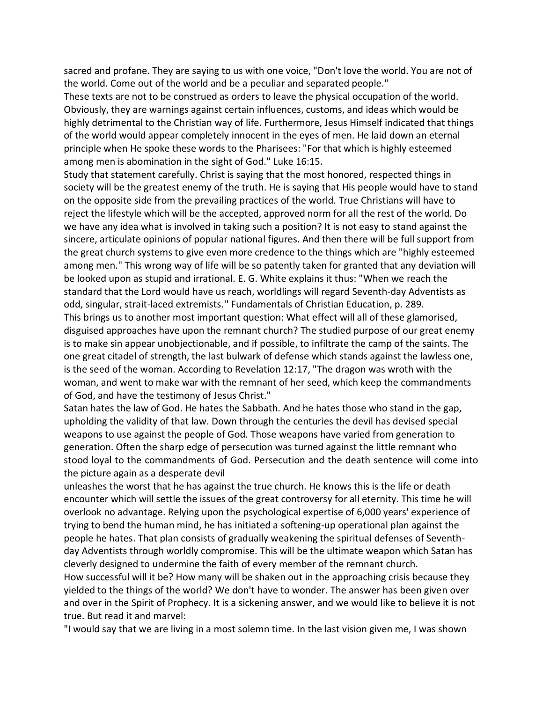sacred and profane. They are saying to us with one voice, "Don't love the world. You are not of the world. Come out of the world and be a peculiar and separated people."

These texts are not to be construed as orders to leave the physical occupation of the world. Obviously, they are warnings against certain influences, customs, and ideas which would be highly detrimental to the Christian way of life. Furthermore, Jesus Himself indicated that things of the world would appear completely innocent in the eyes of men. He laid down an eternal principle when He spoke these words to the Pharisees: "For that which is highly esteemed among men is abomination in the sight of God." Luke 16:15.

Study that statement carefully. Christ is saying that the most honored, respected things in society will be the greatest enemy of the truth. He is saying that His people would have to stand on the opposite side from the prevailing practices of the world. True Christians will have to reject the lifestyle which will be the accepted, approved norm for all the rest of the world. Do we have any idea what is involved in taking such a position? It is not easy to stand against the sincere, articulate opinions of popular national figures. And then there will be full support from the great church systems to give even more credence to the things which are "highly esteemed among men." This wrong way of life will be so patently taken for granted that any deviation will be looked upon as stupid and irrational. E. G. White explains it thus: "When we reach the standard that the Lord would have us reach, worldlings will regard Seventh-day Adventists as odd, singular, strait-laced extremists.'' Fundamentals of Christian Education, p. 289. This brings us to another most important question: What effect will all of these glamorised, disguised approaches have upon the remnant church? The studied purpose of our great enemy is to make sin appear unobjectionable, and if possible, to infiltrate the camp of the saints. The one great citadel of strength, the last bulwark of defense which stands against the lawless one, is the seed of the woman. According to Revelation 12:17, "The dragon was wroth with the woman, and went to make war with the remnant of her seed, which keep the commandments of God, and have the testimony of Jesus Christ."

Satan hates the law of God. He hates the Sabbath. And he hates those who stand in the gap, upholding the validity of that law. Down through the centuries the devil has devised special weapons to use against the people of God. Those weapons have varied from generation to generation. Often the sharp edge of persecution was turned against the little remnant who stood loyal to the commandments of God. Persecution and the death sentence will come into the picture again as a desperate devil

unleashes the worst that he has against the true church. He knows this is the life or death encounter which will settle the issues of the great controversy for all eternity. This time he will overlook no advantage. Relying upon the psychological expertise of 6,000 years' experience of trying to bend the human mind, he has initiated a softening-up operational plan against the people he hates. That plan consists of gradually weakening the spiritual defenses of Seventhday Adventists through worldly compromise. This will be the ultimate weapon which Satan has cleverly designed to undermine the faith of every member of the remnant church.

How successful will it be? How many will be shaken out in the approaching crisis because they yielded to the things of the world? We don't have to wonder. The answer has been given over and over in the Spirit of Prophecy. It is a sickening answer, and we would like to believe it is not true. But read it and marvel:

"I would say that we are living in a most solemn time. In the last vision given me, I was shown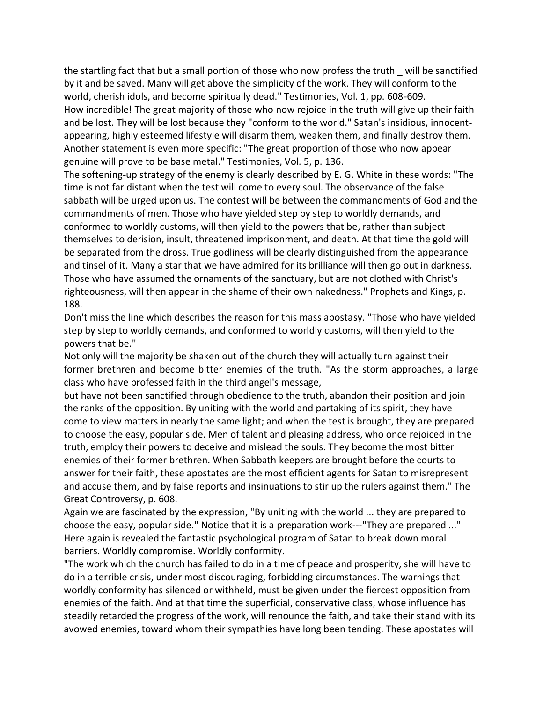the startling fact that but a small portion of those who now profess the truth \_ will be sanctified by it and be saved. Many will get above the simplicity of the work. They will conform to the world, cherish idols, and become spiritually dead." Testimonies, Vol. 1, pp. 608-609. How incredible! The great majority of those who now rejoice in the truth will give up their faith and be lost. They will be lost because they "conform to the world." Satan's insidious, innocentappearing, highly esteemed lifestyle will disarm them, weaken them, and finally destroy them. Another statement is even more specific: "The great proportion of those who now appear genuine will prove to be base metal." Testimonies, Vol. 5, p. 136.

The softening-up strategy of the enemy is clearly described by E. G. White in these words: "The time is not far distant when the test will come to every soul. The observance of the false sabbath will be urged upon us. The contest will be between the commandments of God and the commandments of men. Those who have yielded step by step to worldly demands, and conformed to worldly customs, will then yield to the powers that be, rather than subject themselves to derision, insult, threatened imprisonment, and death. At that time the gold will be separated from the dross. True godliness will be clearly distinguished from the appearance and tinsel of it. Many a star that we have admired for its brilliance will then go out in darkness. Those who have assumed the ornaments of the sanctuary, but are not clothed with Christ's righteousness, will then appear in the shame of their own nakedness." Prophets and Kings, p. 188.

Don't miss the line which describes the reason for this mass apostasy. "Those who have yielded step by step to worldly demands, and conformed to worldly customs, will then yield to the powers that be."

Not only will the majority be shaken out of the church they will actually turn against their former brethren and become bitter enemies of the truth. "As the storm approaches, a large class who have professed faith in the third angel's message,

but have not been sanctified through obedience to the truth, abandon their position and join the ranks of the opposition. By uniting with the world and partaking of its spirit, they have come to view matters in nearly the same light; and when the test is brought, they are prepared to choose the easy, popular side. Men of talent and pleasing address, who once rejoiced in the truth, employ their powers to deceive and mislead the souls. They become the most bitter enemies of their former brethren. When Sabbath keepers are brought before the courts to answer for their faith, these apostates are the most efficient agents for Satan to misrepresent and accuse them, and by false reports and insinuations to stir up the rulers against them." The Great Controversy, p. 608.

Again we are fascinated by the expression, "By uniting with the world ... they are prepared to choose the easy, popular side." Notice that it is a preparation work---"They are prepared ..." Here again is revealed the fantastic psychological program of Satan to break down moral barriers. Worldly compromise. Worldly conformity.

"The work which the church has failed to do in a time of peace and prosperity, she will have to do in a terrible crisis, under most discouraging, forbidding circumstances. The warnings that worldly conformity has silenced or withheld, must be given under the fiercest opposition from enemies of the faith. And at that time the superficial, conservative class, whose influence has steadily retarded the progress of the work, will renounce the faith, and take their stand with its avowed enemies, toward whom their sympathies have long been tending. These apostates will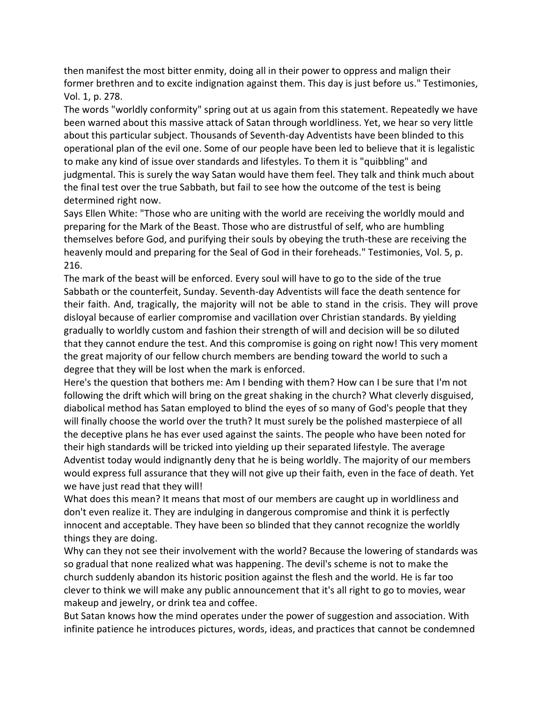then manifest the most bitter enmity, doing all in their power to oppress and malign their former brethren and to excite indignation against them. This day is just before us." Testimonies, Vol. 1, p. 278.

The words "worldly conformity" spring out at us again from this statement. Repeatedly we have been warned about this massive attack of Satan through worldliness. Yet, we hear so very little about this particular subject. Thousands of Seventh-day Adventists have been blinded to this operational plan of the evil one. Some of our people have been led to believe that it is legalistic to make any kind of issue over standards and lifestyles. To them it is "quibbling" and judgmental. This is surely the way Satan would have them feel. They talk and think much about the final test over the true Sabbath, but fail to see how the outcome of the test is being determined right now.

Says Ellen White: "Those who are uniting with the world are receiving the worldly mould and preparing for the Mark of the Beast. Those who are distrustful of self, who are humbling themselves before God, and purifying their souls by obeying the truth-these are receiving the heavenly mould and preparing for the Seal of God in their foreheads." Testimonies, Vol. 5, p. 216.

The mark of the beast will be enforced. Every soul will have to go to the side of the true Sabbath or the counterfeit, Sunday. Seventh-day Adventists will face the death sentence for their faith. And, tragically, the majority will not be able to stand in the crisis. They will prove disloyal because of earlier compromise and vacillation over Christian standards. By yielding gradually to worldly custom and fashion their strength of will and decision will be so diluted that they cannot endure the test. And this compromise is going on right now! This very moment the great majority of our fellow church members are bending toward the world to such a degree that they will be lost when the mark is enforced.

Here's the question that bothers me: Am I bending with them? How can I be sure that I'm not following the drift which will bring on the great shaking in the church? What cleverly disguised, diabolical method has Satan employed to blind the eyes of so many of God's people that they will finally choose the world over the truth? It must surely be the polished masterpiece of all the deceptive plans he has ever used against the saints. The people who have been noted for their high standards will be tricked into yielding up their separated lifestyle. The average Adventist today would indignantly deny that he is being worldly. The majority of our members would express full assurance that they will not give up their faith, even in the face of death. Yet we have just read that they will!

What does this mean? It means that most of our members are caught up in worldliness and don't even realize it. They are indulging in dangerous compromise and think it is perfectly innocent and acceptable. They have been so blinded that they cannot recognize the worldly things they are doing.

Why can they not see their involvement with the world? Because the lowering of standards was so gradual that none realized what was happening. The devil's scheme is not to make the church suddenly abandon its historic position against the flesh and the world. He is far too clever to think we will make any public announcement that it's all right to go to movies, wear makeup and jewelry, or drink tea and coffee.

But Satan knows how the mind operates under the power of suggestion and association. With infinite patience he introduces pictures, words, ideas, and practices that cannot be condemned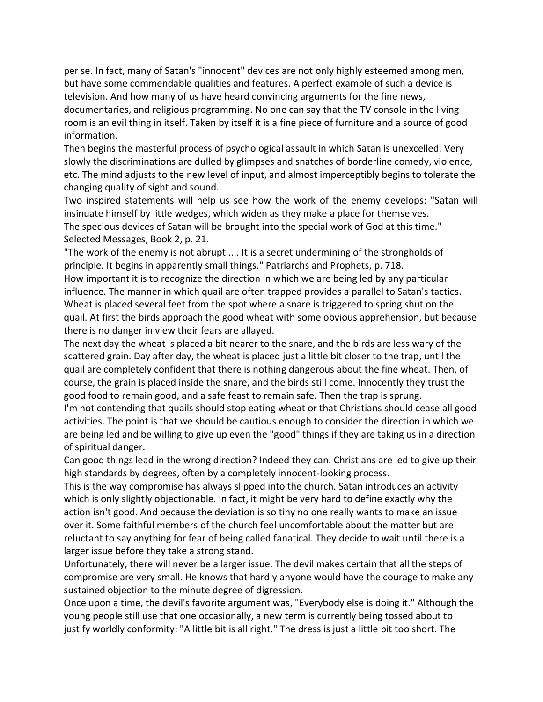per se. In fact, many of Satan's "innocent" devices are not only highly esteemed among men, but have some commendable qualities and features. A perfect example of such a device is television. And how many of us have heard convincing arguments for the fine news, documentaries, and religious programming. No one can say that the TV console in the living room is an evil thing in itself. Taken by itself it is a fine piece of furniture and a source of good information.

Then begins the masterful process of psychological assault in which Satan is unexcelled. Very slowly the discriminations are dulled by glimpses and snatches of borderline comedy, violence, etc. The mind adjusts to the new level of input, and almost imperceptibly begins to tolerate the changing quality of sight and sound.

Two inspired statements will help us see how the work of the enemy develops: "Satan will insinuate himself by little wedges, which widen as they make a place for themselves.

The specious devices of Satan will be brought into the special work of God at this time." Selected Messages, Book 2, p. 21.

"The work of the enemy is not abrupt .... It is a secret undermining of the strongholds of principle. It begins in apparently small things." Patriarchs and Prophets, p. 718.

How important it is to recognize the direction in which we are being led by any particular influence. The manner in which quail are often trapped provides a parallel to Satan's tactics. Wheat is placed several feet from the spot where a snare is triggered to spring shut on the quail. At first the birds approach the good wheat with some obvious apprehension, but because there is no danger in view their fears are allayed.

The next day the wheat is placed a bit nearer to the snare, and the birds are less wary of the scattered grain. Day after day, the wheat is placed just a little bit closer to the trap, until the quail are completely confident that there is nothing dangerous about the fine wheat. Then, of course, the grain is placed inside the snare, and the birds still come. Innocently they trust the good food to remain good, and a safe feast to remain safe. Then the trap is sprung.

I'm not contending that quails should stop eating wheat or that Christians should cease all good activities. The point is that we should be cautious enough to consider the direction in which we are being led and be willing to give up even the "good" things if they are taking us in a direction of spiritual danger.

Can good things lead in the wrong direction? Indeed they can. Christians are led to give up their high standards by degrees, often by a completely innocent-looking process.

This is the way compromise has always slipped into the church. Satan introduces an activity which is only slightly objectionable. In fact, it might be very hard to define exactly why the action isn't good. And because the deviation is so tiny no one really wants to make an issue over it. Some faithful members of the church feel uncomfortable about the matter but are reluctant to say anything for fear of being called fanatical. They decide to wait until there is a larger issue before they take a strong stand.

Unfortunately, there will never be a larger issue. The devil makes certain that all the steps of compromise are very small. He knows that hardly anyone would have the courage to make any sustained objection to the minute degree of digression.

Once upon a time, the devil's favorite argument was, "Everybody else is doing it." Although the young people still use that one occasionally, a new term is currently being tossed about to justify worldly conformity: "A little bit is all right." The dress is just a little bit too short. The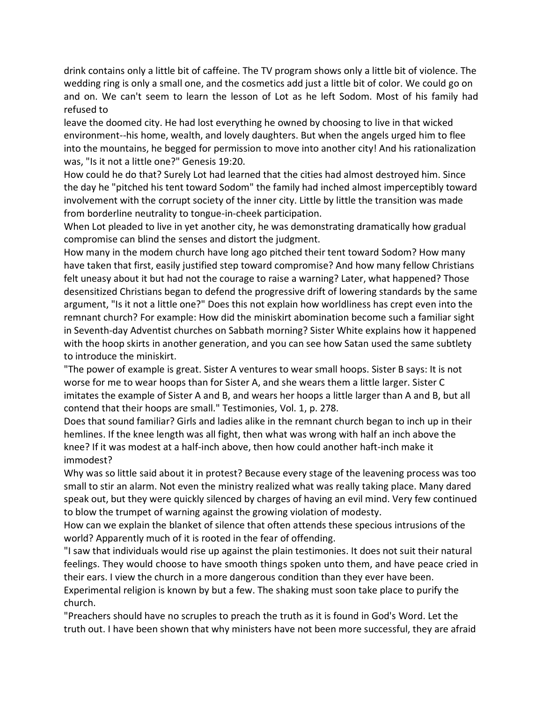drink contains only a little bit of caffeine. The TV program shows only a little bit of violence. The wedding ring is only a small one, and the cosmetics add just a little bit of color. We could go on and on. We can't seem to learn the lesson of Lot as he left Sodom. Most of his family had refused to

leave the doomed city. He had lost everything he owned by choosing to live in that wicked environment--his home, wealth, and lovely daughters. But when the angels urged him to flee into the mountains, he begged for permission to move into another city! And his rationalization was, "Is it not a little one?" Genesis 19:20.

How could he do that? Surely Lot had learned that the cities had almost destroyed him. Since the day he "pitched his tent toward Sodom" the family had inched almost imperceptibly toward involvement with the corrupt society of the inner city. Little by little the transition was made from borderline neutrality to tongue-in-cheek participation.

When Lot pleaded to live in yet another city, he was demonstrating dramatically how gradual compromise can blind the senses and distort the judgment.

How many in the modem church have long ago pitched their tent toward Sodom? How many have taken that first, easily justified step toward compromise? And how many fellow Christians felt uneasy about it but had not the courage to raise a warning? Later, what happened? Those desensitized Christians began to defend the progressive drift of lowering standards by the same argument, "Is it not a little one?" Does this not explain how worldliness has crept even into the remnant church? For example: How did the miniskirt abomination become such a familiar sight in Seventh-day Adventist churches on Sabbath morning? Sister White explains how it happened with the hoop skirts in another generation, and you can see how Satan used the same subtlety to introduce the miniskirt.

"The power of example is great. Sister A ventures to wear small hoops. Sister B says: It is not worse for me to wear hoops than for Sister A, and she wears them a little larger. Sister C imitates the example of Sister A and B, and wears her hoops a little larger than A and B, but all contend that their hoops are small." Testimonies, Vol. 1, p. 278.

Does that sound familiar? Girls and ladies alike in the remnant church began to inch up in their hemlines. If the knee length was all fight, then what was wrong with half an inch above the knee? If it was modest at a half-inch above, then how could another haft-inch make it immodest?

Why was so little said about it in protest? Because every stage of the leavening process was too small to stir an alarm. Not even the ministry realized what was really taking place. Many dared speak out, but they were quickly silenced by charges of having an evil mind. Very few continued to blow the trumpet of warning against the growing violation of modesty.

How can we explain the blanket of silence that often attends these specious intrusions of the world? Apparently much of it is rooted in the fear of offending.

"I saw that individuals would rise up against the plain testimonies. It does not suit their natural feelings. They would choose to have smooth things spoken unto them, and have peace cried in their ears. I view the church in a more dangerous condition than they ever have been.

Experimental religion is known by but a few. The shaking must soon take place to purify the church.

"Preachers should have no scruples to preach the truth as it is found in God's Word. Let the truth out. I have been shown that why ministers have not been more successful, they are afraid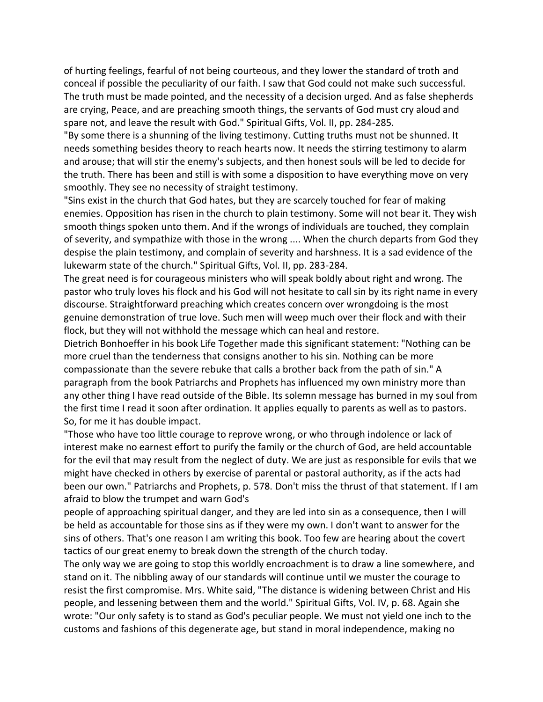of hurting feelings, fearful of not being courteous, and they lower the standard of troth and conceal if possible the peculiarity of our faith. I saw that God could not make such successful. The truth must be made pointed, and the necessity of a decision urged. And as false shepherds are crying, Peace, and are preaching smooth things, the servants of God must cry aloud and spare not, and leave the result with God." Spiritual Gifts, Vol. II, pp. 284-285.

"By some there is a shunning of the living testimony. Cutting truths must not be shunned. It needs something besides theory to reach hearts now. It needs the stirring testimony to alarm and arouse; that will stir the enemy's subjects, and then honest souls will be led to decide for the truth. There has been and still is with some a disposition to have everything move on very smoothly. They see no necessity of straight testimony.

"Sins exist in the church that God hates, but they are scarcely touched for fear of making enemies. Opposition has risen in the church to plain testimony. Some will not bear it. They wish smooth things spoken unto them. And if the wrongs of individuals are touched, they complain of severity, and sympathize with those in the wrong .... When the church departs from God they despise the plain testimony, and complain of severity and harshness. It is a sad evidence of the lukewarm state of the church." Spiritual Gifts, Vol. II, pp. 283-284.

The great need is for courageous ministers who will speak boldly about right and wrong. The pastor who truly loves his flock and his God will not hesitate to call sin by its right name in every discourse. Straightforward preaching which creates concern over wrongdoing is the most genuine demonstration of true love. Such men will weep much over their flock and with their flock, but they will not withhold the message which can heal and restore.

Dietrich Bonhoeffer in his book Life Together made this significant statement: "Nothing can be more cruel than the tenderness that consigns another to his sin. Nothing can be more compassionate than the severe rebuke that calls a brother back from the path of sin." A paragraph from the book Patriarchs and Prophets has influenced my own ministry more than any other thing I have read outside of the Bible. Its solemn message has burned in my soul from the first time I read it soon after ordination. It applies equally to parents as well as to pastors. So, for me it has double impact.

"Those who have too little courage to reprove wrong, or who through indolence or lack of interest make no earnest effort to purify the family or the church of God, are held accountable for the evil that may result from the neglect of duty. We are just as responsible for evils that we might have checked in others by exercise of parental or pastoral authority, as if the acts had been our own." Patriarchs and Prophets, p. 578. Don't miss the thrust of that statement. If I am afraid to blow the trumpet and warn God's

people of approaching spiritual danger, and they are led into sin as a consequence, then I will be held as accountable for those sins as if they were my own. I don't want to answer for the sins of others. That's one reason I am writing this book. Too few are hearing about the covert tactics of our great enemy to break down the strength of the church today.

The only way we are going to stop this worldly encroachment is to draw a line somewhere, and stand on it. The nibbling away of our standards will continue until we muster the courage to resist the first compromise. Mrs. White said, "The distance is widening between Christ and His people, and lessening between them and the world." Spiritual Gifts, Vol. IV, p. 68. Again she wrote: "Our only safety is to stand as God's peculiar people. We must not yield one inch to the customs and fashions of this degenerate age, but stand in moral independence, making no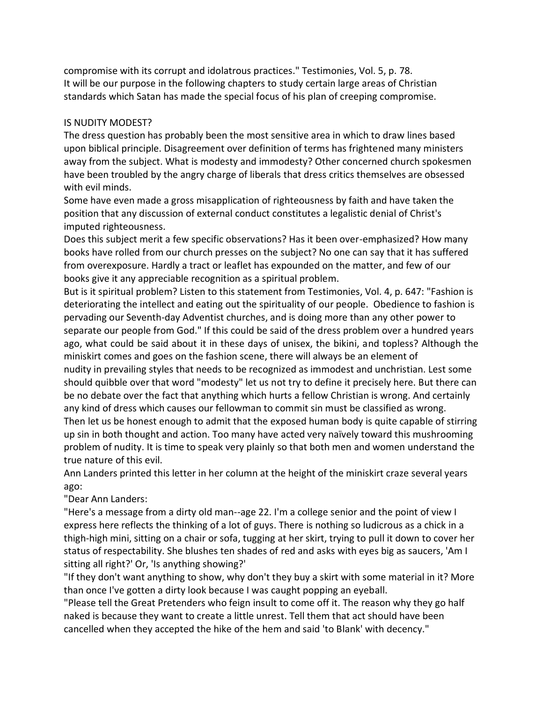compromise with its corrupt and idolatrous practices." Testimonies, Vol. 5, p. 78. It will be our purpose in the following chapters to study certain large areas of Christian standards which Satan has made the special focus of his plan of creeping compromise.

#### IS NUDITY MODEST?

The dress question has probably been the most sensitive area in which to draw lines based upon biblical principle. Disagreement over definition of terms has frightened many ministers away from the subject. What is modesty and immodesty? Other concerned church spokesmen have been troubled by the angry charge of liberals that dress critics themselves are obsessed with evil minds.

Some have even made a gross misapplication of righteousness by faith and have taken the position that any discussion of external conduct constitutes a legalistic denial of Christ's imputed righteousness.

Does this subject merit a few specific observations? Has it been over-emphasized? How many books have rolled from our church presses on the subject? No one can say that it has suffered from overexposure. Hardly a tract or leaflet has expounded on the matter, and few of our books give it any appreciable recognition as a spiritual problem.

But is it spiritual problem? Listen to this statement from Testimonies, Vol. 4, p. 647: "Fashion is deteriorating the intellect and eating out the spirituality of our people. Obedience to fashion is pervading our Seventh-day Adventist churches, and is doing more than any other power to separate our people from God." If this could be said of the dress problem over a hundred years ago, what could be said about it in these days of unisex, the bikini, and topless? Although the miniskirt comes and goes on the fashion scene, there will always be an element of nudity in prevailing styles that needs to be recognized as immodest and unchristian. Lest some should quibble over that word "modesty" let us not try to define it precisely here. But there can be no debate over the fact that anything which hurts a fellow Christian is wrong. And certainly any kind of dress which causes our fellowman to commit sin must be classified as wrong. Then let us be honest enough to admit that the exposed human body is quite capable of stirring up sin in both thought and action. Too many have acted very naïvely toward this mushrooming problem of nudity. It is time to speak very plainly so that both men and women understand the

true nature of this evil. Ann Landers printed this letter in her column at the height of the miniskirt craze several years ago:

# "Dear Ann Landers:

"Here's a message from a dirty old man--age 22. I'm a college senior and the point of view I express here reflects the thinking of a lot of guys. There is nothing so ludicrous as a chick in a thigh-high mini, sitting on a chair or sofa, tugging at her skirt, trying to pull it down to cover her status of respectability. She blushes ten shades of red and asks with eyes big as saucers, 'Am I sitting all right?' Or, 'Is anything showing?'

"If they don't want anything to show, why don't they buy a skirt with some material in it? More than once I've gotten a dirty look because I was caught popping an eyeball.

"Please tell the Great Pretenders who feign insult to come off it. The reason why they go half naked is because they want to create a little unrest. Tell them that act should have been cancelled when they accepted the hike of the hem and said 'to Blank' with decency."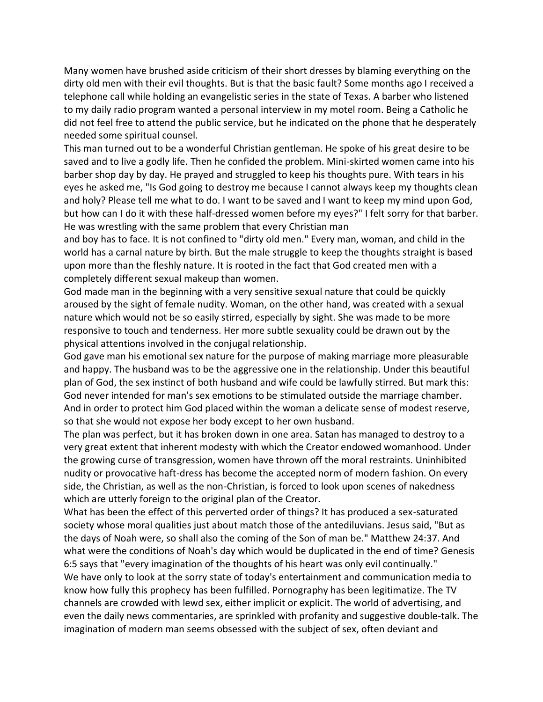Many women have brushed aside criticism of their short dresses by blaming everything on the dirty old men with their evil thoughts. But is that the basic fault? Some months ago I received a telephone call while holding an evangelistic series in the state of Texas. A barber who listened to my daily radio program wanted a personal interview in my motel room. Being a Catholic he did not feel free to attend the public service, but he indicated on the phone that he desperately needed some spiritual counsel.

This man turned out to be a wonderful Christian gentleman. He spoke of his great desire to be saved and to live a godly life. Then he confided the problem. Mini-skirted women came into his barber shop day by day. He prayed and struggled to keep his thoughts pure. With tears in his eyes he asked me, "Is God going to destroy me because I cannot always keep my thoughts clean and holy? Please tell me what to do. I want to be saved and I want to keep my mind upon God, but how can I do it with these half-dressed women before my eyes?" I felt sorry for that barber. He was wrestling with the same problem that every Christian man

and boy has to face. It is not confined to "dirty old men." Every man, woman, and child in the world has a carnal nature by birth. But the male struggle to keep the thoughts straight is based upon more than the fleshly nature. It is rooted in the fact that God created men with a completely different sexual makeup than women.

God made man in the beginning with a very sensitive sexual nature that could be quickly aroused by the sight of female nudity. Woman, on the other hand, was created with a sexual nature which would not be so easily stirred, especially by sight. She was made to be more responsive to touch and tenderness. Her more subtle sexuality could be drawn out by the physical attentions involved in the conjugal relationship.

God gave man his emotional sex nature for the purpose of making marriage more pleasurable and happy. The husband was to be the aggressive one in the relationship. Under this beautiful plan of God, the sex instinct of both husband and wife could be lawfully stirred. But mark this: God never intended for man's sex emotions to be stimulated outside the marriage chamber. And in order to protect him God placed within the woman a delicate sense of modest reserve, so that she would not expose her body except to her own husband.

The plan was perfect, but it has broken down in one area. Satan has managed to destroy to a very great extent that inherent modesty with which the Creator endowed womanhood. Under the growing curse of transgression, women have thrown off the moral restraints. Uninhibited nudity or provocative haft-dress has become the accepted norm of modern fashion. On every side, the Christian, as well as the non-Christian, is forced to look upon scenes of nakedness which are utterly foreign to the original plan of the Creator.

What has been the effect of this perverted order of things? It has produced a sex-saturated society whose moral qualities just about match those of the antediluvians. Jesus said, "But as the days of Noah were, so shall also the coming of the Son of man be." Matthew 24:37. And what were the conditions of Noah's day which would be duplicated in the end of time? Genesis 6:5 says that "every imagination of the thoughts of his heart was only evil continually." We have only to look at the sorry state of today's entertainment and communication media to know how fully this prophecy has been fulfilled. Pornography has been legitimatize. The TV channels are crowded with lewd sex, either implicit or explicit. The world of advertising, and even the daily news commentaries, are sprinkled with profanity and suggestive double-talk. The imagination of modern man seems obsessed with the subject of sex, often deviant and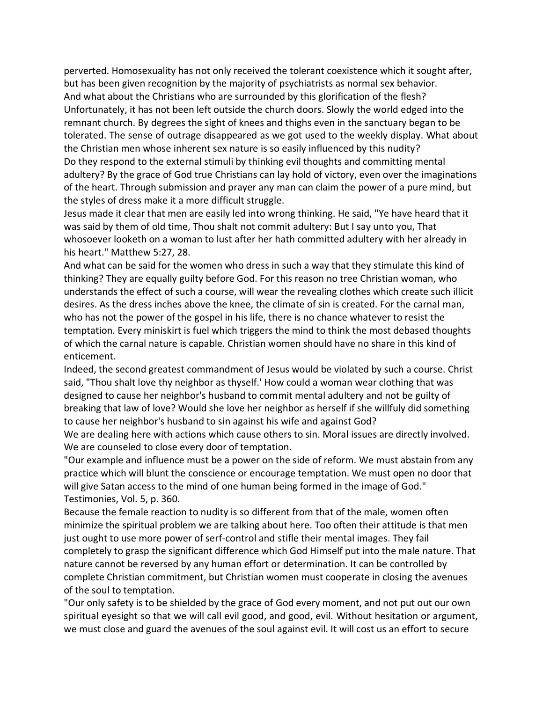perverted. Homosexuality has not only received the tolerant coexistence which it sought after, but has been given recognition by the majority of psychiatrists as normal sex behavior. And what about the Christians who are surrounded by this glorification of the flesh? Unfortunately, it has not been left outside the church doors. Slowly the world edged into the remnant church. By degrees the sight of knees and thighs even in the sanctuary began to be tolerated. The sense of outrage disappeared as we got used to the weekly display. What about the Christian men whose inherent sex nature is so easily influenced by this nudity? Do they respond to the external stimuli by thinking evil thoughts and committing mental adultery? By the grace of God true Christians can lay hold of victory, even over the imaginations of the heart. Through submission and prayer any man can claim the power of a pure mind, but the styles of dress make it a more difficult struggle.

Jesus made it clear that men are easily led into wrong thinking. He said, "Ye have heard that it was said by them of old time, Thou shalt not commit adultery: But I say unto you, That whosoever looketh on a woman to lust after her hath committed adultery with her already in his heart." Matthew 5:27, 28.

And what can be said for the women who dress in such a way that they stimulate this kind of thinking? They are equally guilty before God. For this reason no tree Christian woman, who understands the effect of such a course, will wear the revealing clothes which create such illicit desires. As the dress inches above the knee, the climate of sin is created. For the carnal man, who has not the power of the gospel in his life, there is no chance whatever to resist the temptation. Every miniskirt is fuel which triggers the mind to think the most debased thoughts of which the carnal nature is capable. Christian women should have no share in this kind of enticement.

Indeed, the second greatest commandment of Jesus would be violated by such a course. Christ said, "Thou shalt love thy neighbor as thyself.' How could a woman wear clothing that was designed to cause her neighbor's husband to commit mental adultery and not be guilty of breaking that law of love? Would she love her neighbor as herself if she willfuly did something to cause her neighbor's husband to sin against his wife and against God?

We are dealing here with actions which cause others to sin. Moral issues are directly involved. We are counseled to close every door of temptation.

"Our example and influence must be a power on the side of reform. We must abstain from any practice which will blunt the conscience or encourage temptation. We must open no door that will give Satan access to the mind of one human being formed in the image of God." Testimonies, Vol. 5, p. 360.

Because the female reaction to nudity is so different from that of the male, women often minimize the spiritual problem we are talking about here. Too often their attitude is that men just ought to use more power of serf-control and stifle their mental images. They fail completely to grasp the significant difference which God Himself put into the male nature. That nature cannot be reversed by any human effort or determination. It can be controlled by complete Christian commitment, but Christian women must cooperate in closing the avenues of the soul to temptation.

"Our only safety is to be shielded by the grace of God every moment, and not put out our own spiritual eyesight so that we will call evil good, and good, evil. Without hesitation or argument, we must close and guard the avenues of the soul against evil. It will cost us an effort to secure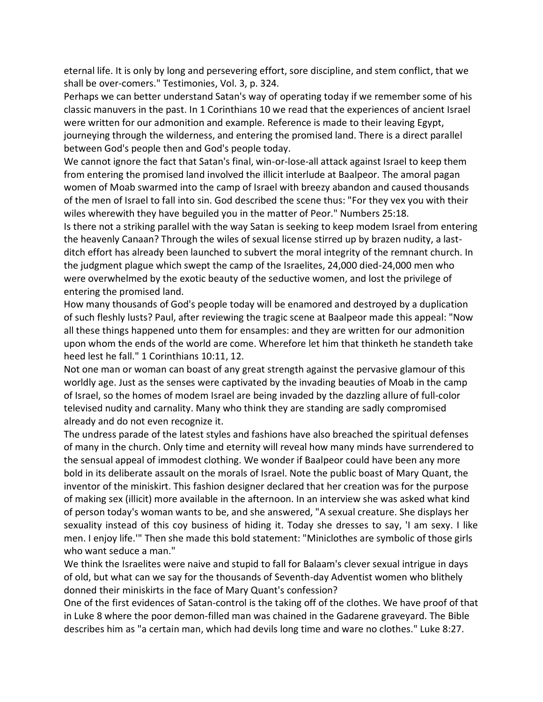eternal life. It is only by long and persevering effort, sore discipline, and stem conflict, that we shall be over-comers." Testimonies, Vol. 3, p. 324.

Perhaps we can better understand Satan's way of operating today if we remember some of his classic manuvers in the past. In 1 Corinthians 10 we read that the experiences of ancient Israel were written for our admonition and example. Reference is made to their leaving Egypt, journeying through the wilderness, and entering the promised land. There is a direct parallel between God's people then and God's people today.

We cannot ignore the fact that Satan's final, win-or-lose-all attack against Israel to keep them from entering the promised land involved the illicit interlude at Baalpeor. The amoral pagan women of Moab swarmed into the camp of Israel with breezy abandon and caused thousands of the men of Israel to fall into sin. God described the scene thus: "For they vex you with their wiles wherewith they have beguiled you in the matter of Peor." Numbers 25:18.

Is there not a striking parallel with the way Satan is seeking to keep modem Israel from entering the heavenly Canaan? Through the wiles of sexual license stirred up by brazen nudity, a lastditch effort has already been launched to subvert the moral integrity of the remnant church. In the judgment plague which swept the camp of the Israelites, 24,000 died-24,000 men who were overwhelmed by the exotic beauty of the seductive women, and lost the privilege of entering the promised land.

How many thousands of God's people today will be enamored and destroyed by a duplication of such fleshly lusts? Paul, after reviewing the tragic scene at Baalpeor made this appeal: "Now all these things happened unto them for ensamples: and they are written for our admonition upon whom the ends of the world are come. Wherefore let him that thinketh he standeth take heed lest he fall." 1 Corinthians 10:11, 12.

Not one man or woman can boast of any great strength against the pervasive glamour of this worldly age. Just as the senses were captivated by the invading beauties of Moab in the camp of Israel, so the homes of modem Israel are being invaded by the dazzling allure of full-color televised nudity and carnality. Many who think they are standing are sadly compromised already and do not even recognize it.

The undress parade of the latest styles and fashions have also breached the spiritual defenses of many in the church. Only time and eternity will reveal how many minds have surrendered to the sensual appeal of immodest clothing. We wonder if Baalpeor could have been any more bold in its deliberate assault on the morals of Israel. Note the public boast of Mary Quant, the inventor of the miniskirt. This fashion designer declared that her creation was for the purpose of making sex (illicit) more available in the afternoon. In an interview she was asked what kind of person today's woman wants to be, and she answered, "A sexual creature. She displays her sexuality instead of this coy business of hiding it. Today she dresses to say, 'I am sexy. I like men. I enjoy life.'" Then she made this bold statement: "Miniclothes are symbolic of those girls who want seduce a man."

We think the Israelites were naive and stupid to fall for Balaam's clever sexual intrigue in days of old, but what can we say for the thousands of Seventh-day Adventist women who blithely donned their miniskirts in the face of Mary Quant's confession?

One of the first evidences of Satan-control is the taking off of the clothes. We have proof of that in Luke 8 where the poor demon-filled man was chained in the Gadarene graveyard. The Bible describes him as "a certain man, which had devils long time and ware no clothes." Luke 8:27.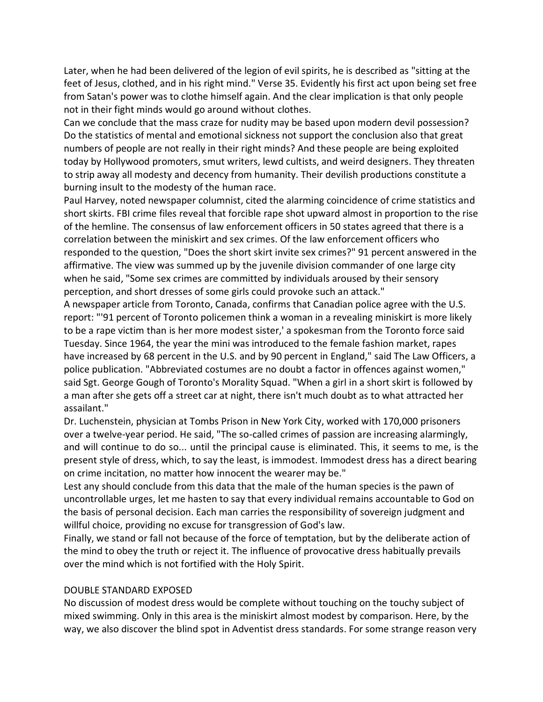Later, when he had been delivered of the legion of evil spirits, he is described as "sitting at the feet of Jesus, clothed, and in his right mind." Verse 35. Evidently his first act upon being set free from Satan's power was to clothe himself again. And the clear implication is that only people not in their fight minds would go around without clothes.

Can we conclude that the mass craze for nudity may be based upon modern devil possession? Do the statistics of mental and emotional sickness not support the conclusion also that great numbers of people are not really in their right minds? And these people are being exploited today by Hollywood promoters, smut writers, lewd cultists, and weird designers. They threaten to strip away all modesty and decency from humanity. Their devilish productions constitute a burning insult to the modesty of the human race.

Paul Harvey, noted newspaper columnist, cited the alarming coincidence of crime statistics and short skirts. FBI crime files reveal that forcible rape shot upward almost in proportion to the rise of the hemline. The consensus of law enforcement officers in 50 states agreed that there is a correlation between the miniskirt and sex crimes. Of the law enforcement officers who responded to the question, "Does the short skirt invite sex crimes?" 91 percent answered in the affirmative. The view was summed up by the juvenile division commander of one large city when he said, "Some sex crimes are committed by individuals aroused by their sensory perception, and short dresses of some girls could provoke such an attack."

A newspaper article from Toronto, Canada, confirms that Canadian police agree with the U.S. report: "'91 percent of Toronto policemen think a woman in a revealing miniskirt is more likely to be a rape victim than is her more modest sister,' a spokesman from the Toronto force said Tuesday. Since 1964, the year the mini was introduced to the female fashion market, rapes have increased by 68 percent in the U.S. and by 90 percent in England," said The Law Officers, a police publication. "Abbreviated costumes are no doubt a factor in offences against women," said Sgt. George Gough of Toronto's Morality Squad. "When a girl in a short skirt is followed by a man after she gets off a street car at night, there isn't much doubt as to what attracted her assailant."

Dr. Luchenstein, physician at Tombs Prison in New York City, worked with 170,000 prisoners over a twelve-year period. He said, "The so-called crimes of passion are increasing alarmingly, and will continue to do so... until the principal cause is eliminated. This, it seems to me, is the present style of dress, which, to say the least, is immodest. Immodest dress has a direct bearing on crime incitation, no matter how innocent the wearer may be."

Lest any should conclude from this data that the male of the human species is the pawn of uncontrollable urges, let me hasten to say that every individual remains accountable to God on the basis of personal decision. Each man carries the responsibility of sovereign judgment and willful choice, providing no excuse for transgression of God's law.

Finally, we stand or fall not because of the force of temptation, but by the deliberate action of the mind to obey the truth or reject it. The influence of provocative dress habitually prevails over the mind which is not fortified with the Holy Spirit.

#### DOUBLE STANDARD EXPOSED

No discussion of modest dress would be complete without touching on the touchy subject of mixed swimming. Only in this area is the miniskirt almost modest by comparison. Here, by the way, we also discover the blind spot in Adventist dress standards. For some strange reason very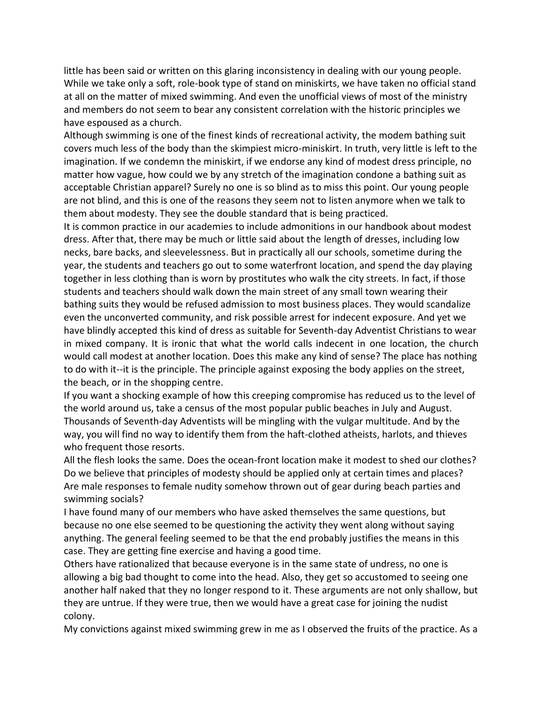little has been said or written on this glaring inconsistency in dealing with our young people. While we take only a soft, role-book type of stand on miniskirts, we have taken no official stand at all on the matter of mixed swimming. And even the unofficial views of most of the ministry and members do not seem to bear any consistent correlation with the historic principles we have espoused as a church.

Although swimming is one of the finest kinds of recreational activity, the modem bathing suit covers much less of the body than the skimpiest micro-miniskirt. In truth, very little is left to the imagination. If we condemn the miniskirt, if we endorse any kind of modest dress principle, no matter how vague, how could we by any stretch of the imagination condone a bathing suit as acceptable Christian apparel? Surely no one is so blind as to miss this point. Our young people are not blind, and this is one of the reasons they seem not to listen anymore when we talk to them about modesty. They see the double standard that is being practiced.

It is common practice in our academies to include admonitions in our handbook about modest dress. After that, there may be much or little said about the length of dresses, including low necks, bare backs, and sleevelessness. But in practically all our schools, sometime during the year, the students and teachers go out to some waterfront location, and spend the day playing together in less clothing than is worn by prostitutes who walk the city streets. In fact, if those students and teachers should walk down the main street of any small town wearing their bathing suits they would be refused admission to most business places. They would scandalize even the unconverted community, and risk possible arrest for indecent exposure. And yet we have blindly accepted this kind of dress as suitable for Seventh-day Adventist Christians to wear in mixed company. It is ironic that what the world calls indecent in one location, the church would call modest at another location. Does this make any kind of sense? The place has nothing to do with it--it is the principle. The principle against exposing the body applies on the street, the beach, or in the shopping centre.

If you want a shocking example of how this creeping compromise has reduced us to the level of the world around us, take a census of the most popular public beaches in July and August. Thousands of Seventh-day Adventists will be mingling with the vulgar multitude. And by the way, you will find no way to identify them from the haft-clothed atheists, harlots, and thieves who frequent those resorts.

All the flesh looks the same. Does the ocean-front location make it modest to shed our clothes? Do we believe that principles of modesty should be applied only at certain times and places? Are male responses to female nudity somehow thrown out of gear during beach parties and swimming socials?

I have found many of our members who have asked themselves the same questions, but because no one else seemed to be questioning the activity they went along without saying anything. The general feeling seemed to be that the end probably justifies the means in this case. They are getting fine exercise and having a good time.

Others have rationalized that because everyone is in the same state of undress, no one is allowing a big bad thought to come into the head. Also, they get so accustomed to seeing one another half naked that they no longer respond to it. These arguments are not only shallow, but they are untrue. If they were true, then we would have a great case for joining the nudist colony.

My convictions against mixed swimming grew in me as I observed the fruits of the practice. As a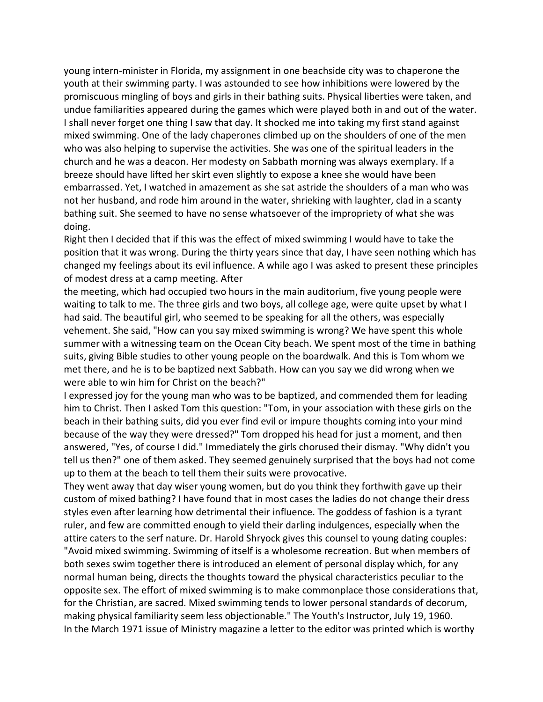young intern-minister in Florida, my assignment in one beachside city was to chaperone the youth at their swimming party. I was astounded to see how inhibitions were lowered by the promiscuous mingling of boys and girls in their bathing suits. Physical liberties were taken, and undue familiarities appeared during the games which were played both in and out of the water. I shall never forget one thing I saw that day. It shocked me into taking my first stand against mixed swimming. One of the lady chaperones climbed up on the shoulders of one of the men who was also helping to supervise the activities. She was one of the spiritual leaders in the church and he was a deacon. Her modesty on Sabbath morning was always exemplary. If a breeze should have lifted her skirt even slightly to expose a knee she would have been embarrassed. Yet, I watched in amazement as she sat astride the shoulders of a man who was not her husband, and rode him around in the water, shrieking with laughter, clad in a scanty bathing suit. She seemed to have no sense whatsoever of the impropriety of what she was doing.

Right then I decided that if this was the effect of mixed swimming I would have to take the position that it was wrong. During the thirty years since that day, I have seen nothing which has changed my feelings about its evil influence. A while ago I was asked to present these principles of modest dress at a camp meeting. After

the meeting, which had occupied two hours in the main auditorium, five young people were waiting to talk to me. The three girls and two boys, all college age, were quite upset by what I had said. The beautiful girl, who seemed to be speaking for all the others, was especially vehement. She said, "How can you say mixed swimming is wrong? We have spent this whole summer with a witnessing team on the Ocean City beach. We spent most of the time in bathing suits, giving Bible studies to other young people on the boardwalk. And this is Tom whom we met there, and he is to be baptized next Sabbath. How can you say we did wrong when we were able to win him for Christ on the beach?"

I expressed joy for the young man who was to be baptized, and commended them for leading him to Christ. Then I asked Tom this question: "Tom, in your association with these girls on the beach in their bathing suits, did you ever find evil or impure thoughts coming into your mind because of the way they were dressed?" Tom dropped his head for just a moment, and then answered, "Yes, of course I did." Immediately the girls chorused their dismay. "Why didn't you tell us then?" one of them asked. They seemed genuinely surprised that the boys had not come up to them at the beach to tell them their suits were provocative.

They went away that day wiser young women, but do you think they forthwith gave up their custom of mixed bathing? I have found that in most cases the ladies do not change their dress styles even after learning how detrimental their influence. The goddess of fashion is a tyrant ruler, and few are committed enough to yield their darling indulgences, especially when the attire caters to the serf nature. Dr. Harold Shryock gives this counsel to young dating couples: "Avoid mixed swimming. Swimming of itself is a wholesome recreation. But when members of both sexes swim together there is introduced an element of personal display which, for any normal human being, directs the thoughts toward the physical characteristics peculiar to the opposite sex. The effort of mixed swimming is to make commonplace those considerations that, for the Christian, are sacred. Mixed swimming tends to lower personal standards of decorum, making physical familiarity seem less objectionable." The Youth's Instructor, July 19, 1960. In the March 1971 issue of Ministry magazine a letter to the editor was printed which is worthy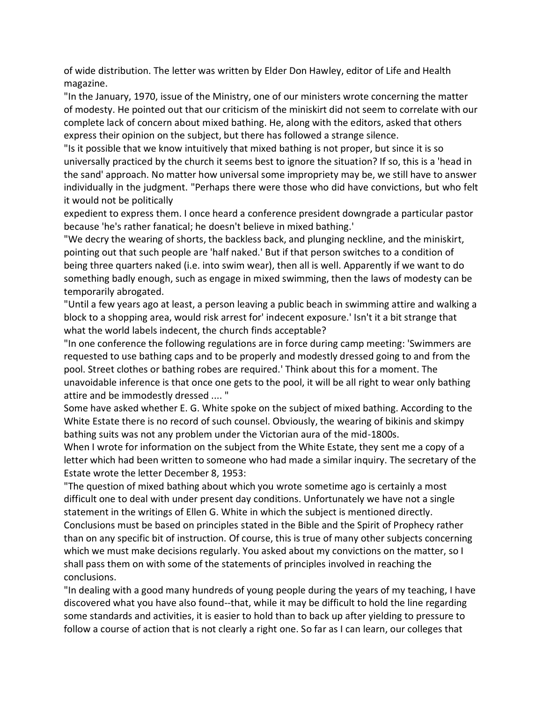of wide distribution. The letter was written by Elder Don Hawley, editor of Life and Health magazine.

"In the January, 1970, issue of the Ministry, one of our ministers wrote concerning the matter of modesty. He pointed out that our criticism of the miniskirt did not seem to correlate with our complete lack of concern about mixed bathing. He, along with the editors, asked that others express their opinion on the subject, but there has followed a strange silence.

"Is it possible that we know intuitively that mixed bathing is not proper, but since it is so universally practiced by the church it seems best to ignore the situation? If so, this is a 'head in the sand' approach. No matter how universal some impropriety may be, we still have to answer individually in the judgment. "Perhaps there were those who did have convictions, but who felt it would not be politically

expedient to express them. I once heard a conference president downgrade a particular pastor because 'he's rather fanatical; he doesn't believe in mixed bathing.'

"We decry the wearing of shorts, the backless back, and plunging neckline, and the miniskirt, pointing out that such people are 'half naked.' But if that person switches to a condition of being three quarters naked (i.e. into swim wear), then all is well. Apparently if we want to do something badly enough, such as engage in mixed swimming, then the laws of modesty can be temporarily abrogated.

"Until a few years ago at least, a person leaving a public beach in swimming attire and walking a block to a shopping area, would risk arrest for' indecent exposure.' Isn't it a bit strange that what the world labels indecent, the church finds acceptable?

"In one conference the following regulations are in force during camp meeting: 'Swimmers are requested to use bathing caps and to be properly and modestly dressed going to and from the pool. Street clothes or bathing robes are required.' Think about this for a moment. The unavoidable inference is that once one gets to the pool, it will be all right to wear only bathing attire and be immodestly dressed .... "

Some have asked whether E. G. White spoke on the subject of mixed bathing. According to the White Estate there is no record of such counsel. Obviously, the wearing of bikinis and skimpy bathing suits was not any problem under the Victorian aura of the mid-1800s.

When I wrote for information on the subject from the White Estate, they sent me a copy of a letter which had been written to someone who had made a similar inquiry. The secretary of the Estate wrote the letter December 8, 1953:

"The question of mixed bathing about which you wrote sometime ago is certainly a most difficult one to deal with under present day conditions. Unfortunately we have not a single statement in the writings of Ellen G. White in which the subject is mentioned directly. Conclusions must be based on principles stated in the Bible and the Spirit of Prophecy rather than on any specific bit of instruction. Of course, this is true of many other subjects concerning which we must make decisions regularly. You asked about my convictions on the matter, so I shall pass them on with some of the statements of principles involved in reaching the conclusions.

"In dealing with a good many hundreds of young people during the years of my teaching, I have discovered what you have also found--that, while it may be difficult to hold the line regarding some standards and activities, it is easier to hold than to back up after yielding to pressure to follow a course of action that is not clearly a right one. So far as I can learn, our colleges that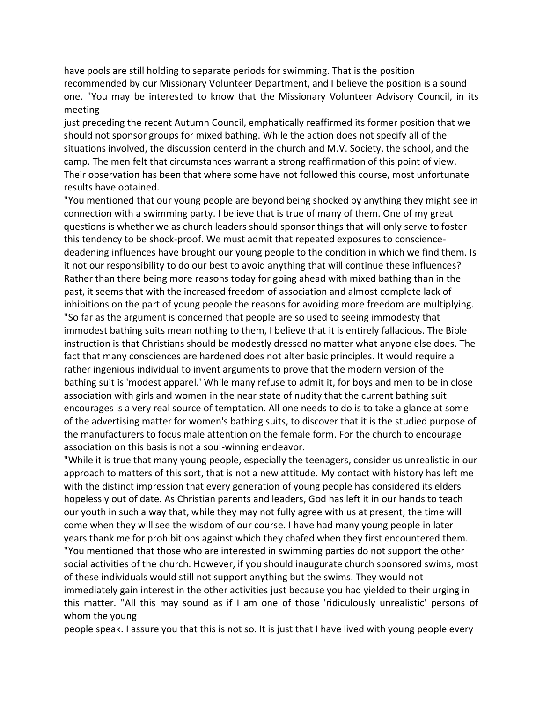have pools are still holding to separate periods for swimming. That is the position recommended by our Missionary Volunteer Department, and I believe the position is a sound one. "You may be interested to know that the Missionary Volunteer Advisory Council, in its meeting

just preceding the recent Autumn Council, emphatically reaffirmed its former position that we should not sponsor groups for mixed bathing. While the action does not specify all of the situations involved, the discussion centerd in the church and M.V. Society, the school, and the camp. The men felt that circumstances warrant a strong reaffirmation of this point of view. Their observation has been that where some have not followed this course, most unfortunate results have obtained.

"You mentioned that our young people are beyond being shocked by anything they might see in connection with a swimming party. I believe that is true of many of them. One of my great questions is whether we as church leaders should sponsor things that will only serve to foster this tendency to be shock-proof. We must admit that repeated exposures to consciencedeadening influences have brought our young people to the condition in which we find them. Is it not our responsibility to do our best to avoid anything that will continue these influences? Rather than there being more reasons today for going ahead with mixed bathing than in the past, it seems that with the increased freedom of association and almost complete lack of inhibitions on the part of young people the reasons for avoiding more freedom are multiplying. "So far as the argument is concerned that people are so used to seeing immodesty that immodest bathing suits mean nothing to them, I believe that it is entirely fallacious. The Bible instruction is that Christians should be modestly dressed no matter what anyone else does. The fact that many consciences are hardened does not alter basic principles. It would require a rather ingenious individual to invent arguments to prove that the modern version of the bathing suit is 'modest apparel.' While many refuse to admit it, for boys and men to be in close association with girls and women in the near state of nudity that the current bathing suit encourages is a very real source of temptation. All one needs to do is to take a glance at some of the advertising matter for women's bathing suits, to discover that it is the studied purpose of the manufacturers to focus male attention on the female form. For the church to encourage association on this basis is not a soul-winning endeavor.

"While it is true that many young people, especially the teenagers, consider us unrealistic in our approach to matters of this sort, that is not a new attitude. My contact with history has left me with the distinct impression that every generation of young people has considered its elders hopelessly out of date. As Christian parents and leaders, God has left it in our hands to teach our youth in such a way that, while they may not fully agree with us at present, the time will come when they will see the wisdom of our course. I have had many young people in later years thank me for prohibitions against which they chafed when they first encountered them. "You mentioned that those who are interested in swimming parties do not support the other social activities of the church. However, if you should inaugurate church sponsored swims, most of these individuals would still not support anything but the swims. They would not immediately gain interest in the other activities just because you had yielded to their urging in this matter. "All this may sound as if I am one of those 'ridiculously unrealistic' persons of whom the young

people speak. I assure you that this is not so. It is just that I have lived with young people every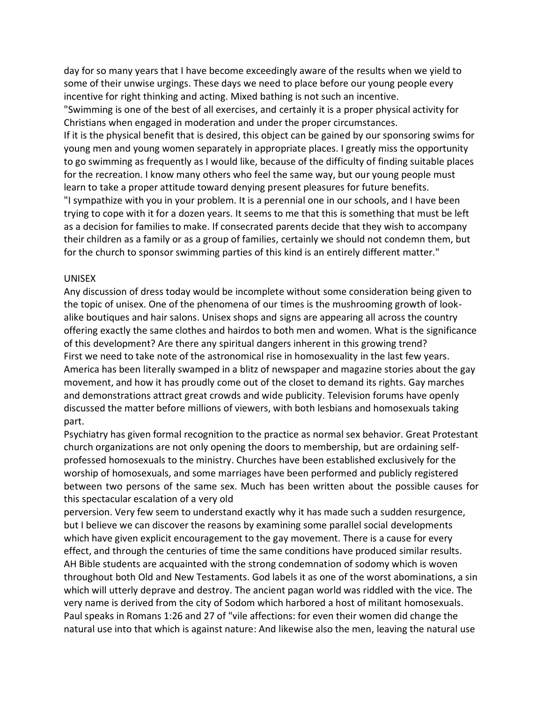day for so many years that I have become exceedingly aware of the results when we yield to some of their unwise urgings. These days we need to place before our young people every incentive for right thinking and acting. Mixed bathing is not such an incentive. "Swimming is one of the best of all exercises, and certainly it is a proper physical activity for Christians when engaged in moderation and under the proper circumstances. If it is the physical benefit that is desired, this object can be gained by our sponsoring swims for young men and young women separately in appropriate places. I greatly miss the opportunity to go swimming as frequently as I would like, because of the difficulty of finding suitable places for the recreation. I know many others who feel the same way, but our young people must learn to take a proper attitude toward denying present pleasures for future benefits. "I sympathize with you in your problem. It is a perennial one in our schools, and I have been trying to cope with it for a dozen years. It seems to me that this is something that must be left as a decision for families to make. If consecrated parents decide that they wish to accompany their children as a family or as a group of families, certainly we should not condemn them, but for the church to sponsor swimming parties of this kind is an entirely different matter."

#### UNISEX

Any discussion of dress today would be incomplete without some consideration being given to the topic of unisex. One of the phenomena of our times is the mushrooming growth of lookalike boutiques and hair salons. Unisex shops and signs are appearing all across the country offering exactly the same clothes and hairdos to both men and women. What is the significance of this development? Are there any spiritual dangers inherent in this growing trend? First we need to take note of the astronomical rise in homosexuality in the last few years. America has been literally swamped in a blitz of newspaper and magazine stories about the gay movement, and how it has proudly come out of the closet to demand its rights. Gay marches and demonstrations attract great crowds and wide publicity. Television forums have openly discussed the matter before millions of viewers, with both lesbians and homosexuals taking part.

Psychiatry has given formal recognition to the practice as normal sex behavior. Great Protestant church organizations are not only opening the doors to membership, but are ordaining selfprofessed homosexuals to the ministry. Churches have been established exclusively for the worship of homosexuals, and some marriages have been performed and publicly registered between two persons of the same sex. Much has been written about the possible causes for this spectacular escalation of a very old

perversion. Very few seem to understand exactly why it has made such a sudden resurgence, but I believe we can discover the reasons by examining some parallel social developments which have given explicit encouragement to the gay movement. There is a cause for every effect, and through the centuries of time the same conditions have produced similar results. AH Bible students are acquainted with the strong condemnation of sodomy which is woven throughout both Old and New Testaments. God labels it as one of the worst abominations, a sin which will utterly deprave and destroy. The ancient pagan world was riddled with the vice. The very name is derived from the city of Sodom which harbored a host of militant homosexuals. Paul speaks in Romans 1:26 and 27 of "vile affections: for even their women did change the natural use into that which is against nature: And likewise also the men, leaving the natural use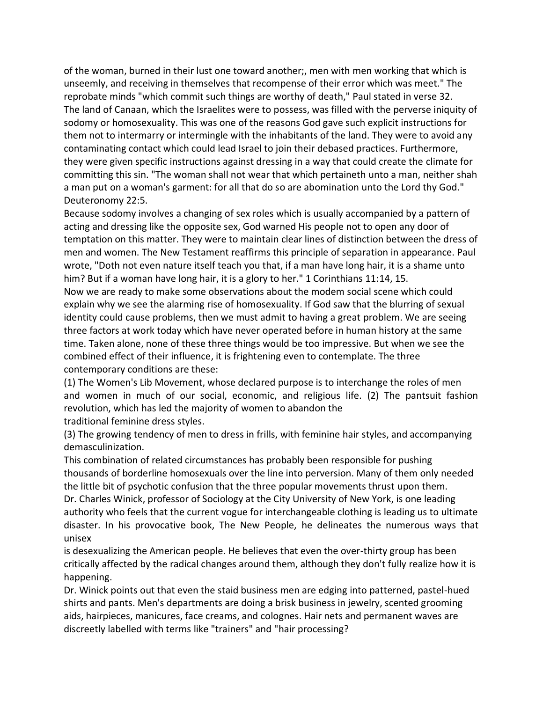of the woman, burned in their lust one toward another;, men with men working that which is unseemly, and receiving in themselves that recompense of their error which was meet." The reprobate minds "which commit such things are worthy of death," Paul stated in verse 32. The land of Canaan, which the Israelites were to possess, was filled with the perverse iniquity of sodomy or homosexuality. This was one of the reasons God gave such explicit instructions for them not to intermarry or intermingle with the inhabitants of the land. They were to avoid any contaminating contact which could lead Israel to join their debased practices. Furthermore, they were given specific instructions against dressing in a way that could create the climate for committing this sin. "The woman shall not wear that which pertaineth unto a man, neither shah a man put on a woman's garment: for all that do so are abomination unto the Lord thy God." Deuteronomy 22:5.

Because sodomy involves a changing of sex roles which is usually accompanied by a pattern of acting and dressing like the opposite sex, God warned His people not to open any door of temptation on this matter. They were to maintain clear lines of distinction between the dress of men and women. The New Testament reaffirms this principle of separation in appearance. Paul wrote, "Doth not even nature itself teach you that, if a man have long hair, it is a shame unto him? But if a woman have long hair, it is a glory to her." 1 Corinthians 11:14, 15.

Now we are ready to make some observations about the modem social scene which could explain why we see the alarming rise of homosexuality. If God saw that the blurring of sexual identity could cause problems, then we must admit to having a great problem. We are seeing three factors at work today which have never operated before in human history at the same time. Taken alone, none of these three things would be too impressive. But when we see the combined effect of their influence, it is frightening even to contemplate. The three contemporary conditions are these:

(1) The Women's Lib Movement, whose declared purpose is to interchange the roles of men and women in much of our social, economic, and religious life. (2) The pantsuit fashion revolution, which has led the majority of women to abandon the

traditional feminine dress styles.

(3) The growing tendency of men to dress in frills, with feminine hair styles, and accompanying demasculinization.

This combination of related circumstances has probably been responsible for pushing thousands of borderline homosexuals over the line into perversion. Many of them only needed the little bit of psychotic confusion that the three popular movements thrust upon them. Dr. Charles Winick, professor of Sociology at the City University of New York, is one leading authority who feels that the current vogue for interchangeable clothing is leading us to ultimate disaster. In his provocative book, The New People, he delineates the numerous ways that unisex

is desexualizing the American people. He believes that even the over-thirty group has been critically affected by the radical changes around them, although they don't fully realize how it is happening.

Dr. Winick points out that even the staid business men are edging into patterned, pastel-hued shirts and pants. Men's departments are doing a brisk business in jewelry, scented grooming aids, hairpieces, manicures, face creams, and colognes. Hair nets and permanent waves are discreetly labelled with terms like "trainers" and "hair processing?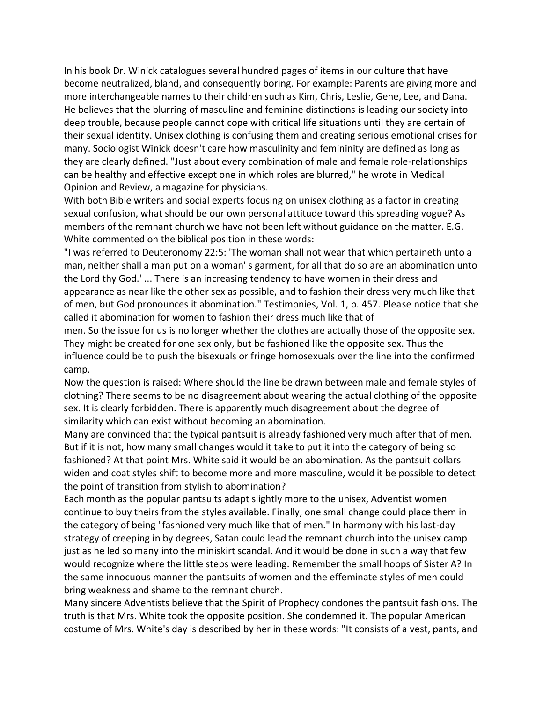In his book Dr. Winick catalogues several hundred pages of items in our culture that have become neutralized, bland, and consequently boring. For example: Parents are giving more and more interchangeable names to their children such as Kim, Chris, Leslie, Gene, Lee, and Dana. He believes that the blurring of masculine and feminine distinctions is leading our society into deep trouble, because people cannot cope with critical life situations until they are certain of their sexual identity. Unisex clothing is confusing them and creating serious emotional crises for many. Sociologist Winick doesn't care how masculinity and femininity are defined as long as they are clearly defined. "Just about every combination of male and female role-relationships can be healthy and effective except one in which roles are blurred," he wrote in Medical Opinion and Review, a magazine for physicians.

With both Bible writers and social experts focusing on unisex clothing as a factor in creating sexual confusion, what should be our own personal attitude toward this spreading vogue? As members of the remnant church we have not been left without guidance on the matter. E.G. White commented on the biblical position in these words:

"I was referred to Deuteronomy 22:5: 'The woman shall not wear that which pertaineth unto a man, neither shall a man put on a woman' s garment, for all that do so are an abomination unto the Lord thy God.' ... There is an increasing tendency to have women in their dress and appearance as near like the other sex as possible, and to fashion their dress very much like that of men, but God pronounces it abomination." Testimonies, Vol. 1, p. 457. Please notice that she called it abomination for women to fashion their dress much like that of

men. So the issue for us is no longer whether the clothes are actually those of the opposite sex. They might be created for one sex only, but be fashioned like the opposite sex. Thus the influence could be to push the bisexuals or fringe homosexuals over the line into the confirmed camp.

Now the question is raised: Where should the line be drawn between male and female styles of clothing? There seems to be no disagreement about wearing the actual clothing of the opposite sex. It is clearly forbidden. There is apparently much disagreement about the degree of similarity which can exist without becoming an abomination.

Many are convinced that the typical pantsuit is already fashioned very much after that of men. But if it is not, how many small changes would it take to put it into the category of being so fashioned? At that point Mrs. White said it would be an abomination. As the pantsuit collars widen and coat styles shift to become more and more masculine, would it be possible to detect the point of transition from stylish to abomination?

Each month as the popular pantsuits adapt slightly more to the unisex, Adventist women continue to buy theirs from the styles available. Finally, one small change could place them in the category of being "fashioned very much like that of men." In harmony with his last-day strategy of creeping in by degrees, Satan could lead the remnant church into the unisex camp just as he led so many into the miniskirt scandal. And it would be done in such a way that few would recognize where the little steps were leading. Remember the small hoops of Sister A? In the same innocuous manner the pantsuits of women and the effeminate styles of men could bring weakness and shame to the remnant church.

Many sincere Adventists believe that the Spirit of Prophecy condones the pantsuit fashions. The truth is that Mrs. White took the opposite position. She condemned it. The popular American costume of Mrs. White's day is described by her in these words: "It consists of a vest, pants, and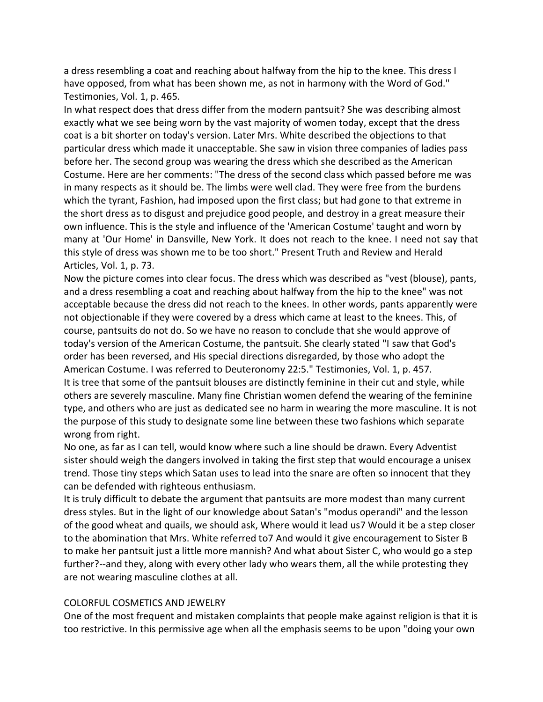a dress resembling a coat and reaching about halfway from the hip to the knee. This dress I have opposed, from what has been shown me, as not in harmony with the Word of God." Testimonies, Vol. 1, p. 465.

In what respect does that dress differ from the modern pantsuit? She was describing almost exactly what we see being worn by the vast majority of women today, except that the dress coat is a bit shorter on today's version. Later Mrs. White described the objections to that particular dress which made it unacceptable. She saw in vision three companies of ladies pass before her. The second group was wearing the dress which she described as the American Costume. Here are her comments: "The dress of the second class which passed before me was in many respects as it should be. The limbs were well clad. They were free from the burdens which the tyrant, Fashion, had imposed upon the first class; but had gone to that extreme in the short dress as to disgust and prejudice good people, and destroy in a great measure their own influence. This is the style and influence of the 'American Costume' taught and worn by many at 'Our Home' in Dansville, New York. It does not reach to the knee. I need not say that this style of dress was shown me to be too short." Present Truth and Review and Herald Articles, Vol. 1, p. 73.

Now the picture comes into clear focus. The dress which was described as "vest (blouse), pants, and a dress resembling a coat and reaching about halfway from the hip to the knee" was not acceptable because the dress did not reach to the knees. In other words, pants apparently were not objectionable if they were covered by a dress which came at least to the knees. This, of course, pantsuits do not do. So we have no reason to conclude that she would approve of today's version of the American Costume, the pantsuit. She clearly stated "I saw that God's order has been reversed, and His special directions disregarded, by those who adopt the American Costume. I was referred to Deuteronomy 22:5." Testimonies, Vol. 1, p. 457. It is tree that some of the pantsuit blouses are distinctly feminine in their cut and style, while others are severely masculine. Many fine Christian women defend the wearing of the feminine type, and others who are just as dedicated see no harm in wearing the more masculine. It is not the purpose of this study to designate some line between these two fashions which separate wrong from right.

No one, as far as I can tell, would know where such a line should be drawn. Every Adventist sister should weigh the dangers involved in taking the first step that would encourage a unisex trend. Those tiny steps which Satan uses to lead into the snare are often so innocent that they can be defended with righteous enthusiasm.

It is truly difficult to debate the argument that pantsuits are more modest than many current dress styles. But in the light of our knowledge about Satan's "modus operandi" and the lesson of the good wheat and quails, we should ask, Where would it lead us7 Would it be a step closer to the abomination that Mrs. White referred to7 And would it give encouragement to Sister B to make her pantsuit just a little more mannish? And what about Sister C, who would go a step further?--and they, along with every other lady who wears them, all the while protesting they are not wearing masculine clothes at all.

#### COLORFUL COSMETICS AND JEWELRY

One of the most frequent and mistaken complaints that people make against religion is that it is too restrictive. In this permissive age when all the emphasis seems to be upon "doing your own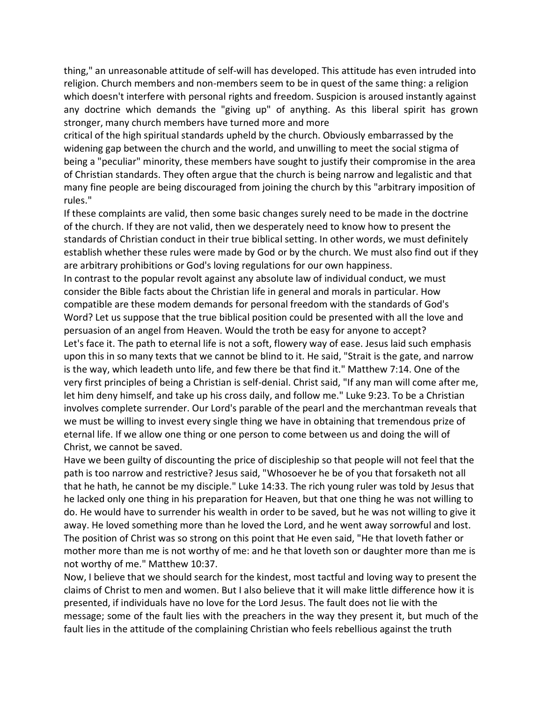thing," an unreasonable attitude of self-will has developed. This attitude has even intruded into religion. Church members and non-members seem to be in quest of the same thing: a religion which doesn't interfere with personal rights and freedom. Suspicion is aroused instantly against any doctrine which demands the "giving up" of anything. As this liberal spirit has grown stronger, many church members have turned more and more

critical of the high spiritual standards upheld by the church. Obviously embarrassed by the widening gap between the church and the world, and unwilling to meet the social stigma of being a "peculiar" minority, these members have sought to justify their compromise in the area of Christian standards. They often argue that the church is being narrow and legalistic and that many fine people are being discouraged from joining the church by this "arbitrary imposition of rules."

If these complaints are valid, then some basic changes surely need to be made in the doctrine of the church. If they are not valid, then we desperately need to know how to present the standards of Christian conduct in their true biblical setting. In other words, we must definitely establish whether these rules were made by God or by the church. We must also find out if they are arbitrary prohibitions or God's loving regulations for our own happiness.

In contrast to the popular revolt against any absolute law of individual conduct, we must consider the Bible facts about the Christian life in general and morals in particular. How compatible are these modem demands for personal freedom with the standards of God's Word? Let us suppose that the true biblical position could be presented with all the love and persuasion of an angel from Heaven. Would the troth be easy for anyone to accept? Let's face it. The path to eternal life is not a soft, flowery way of ease. Jesus laid such emphasis upon this in so many texts that we cannot be blind to it. He said, "Strait is the gate, and narrow is the way, which leadeth unto life, and few there be that find it." Matthew 7:14. One of the very first principles of being a Christian is self-denial. Christ said, "If any man will come after me, let him deny himself, and take up his cross daily, and follow me." Luke 9:23. To be a Christian involves complete surrender. Our Lord's parable of the pearl and the merchantman reveals that we must be willing to invest every single thing we have in obtaining that tremendous prize of eternal life. If we allow one thing or one person to come between us and doing the will of Christ, we cannot be saved.

Have we been guilty of discounting the price of discipleship so that people will not feel that the path is too narrow and restrictive? Jesus said, "Whosoever he be of you that forsaketh not all that he hath, he cannot be my disciple." Luke 14:33. The rich young ruler was told by Jesus that he lacked only one thing in his preparation for Heaven, but that one thing he was not willing to do. He would have to surrender his wealth in order to be saved, but he was not willing to give it away. He loved something more than he loved the Lord, and he went away sorrowful and lost. The position of Christ was so strong on this point that He even said, "He that loveth father or mother more than me is not worthy of me: and he that loveth son or daughter more than me is not worthy of me." Matthew 10:37.

Now, I believe that we should search for the kindest, most tactful and loving way to present the claims of Christ to men and women. But I also believe that it will make little difference how it is presented, if individuals have no love for the Lord Jesus. The fault does not lie with the message; some of the fault lies with the preachers in the way they present it, but much of the fault lies in the attitude of the complaining Christian who feels rebellious against the truth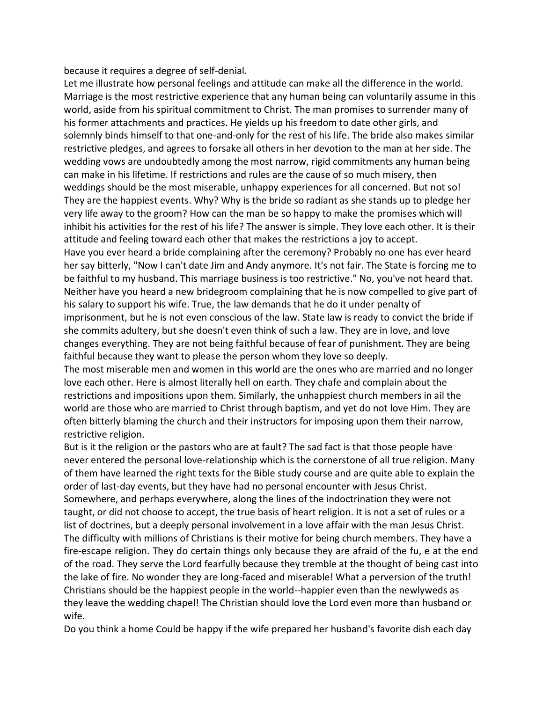because it requires a degree of self-denial.

Let me illustrate how personal feelings and attitude can make all the difference in the world. Marriage is the most restrictive experience that any human being can voluntarily assume in this world, aside from his spiritual commitment to Christ. The man promises to surrender many of his former attachments and practices. He yields up his freedom to date other girls, and solemnly binds himself to that one-and-only for the rest of his life. The bride also makes similar restrictive pledges, and agrees to forsake all others in her devotion to the man at her side. The wedding vows are undoubtedly among the most narrow, rigid commitments any human being can make in his lifetime. If restrictions and rules are the cause of so much misery, then weddings should be the most miserable, unhappy experiences for all concerned. But not so! They are the happiest events. Why? Why is the bride so radiant as she stands up to pledge her very life away to the groom? How can the man be so happy to make the promises which will inhibit his activities for the rest of his life? The answer is simple. They love each other. It is their attitude and feeling toward each other that makes the restrictions a joy to accept. Have you ever heard a bride complaining after the ceremony? Probably no one has ever heard her say bitterly, "Now I can't date Jim and Andy anymore. It's not fair. The State is forcing me to be faithful to my husband. This marriage business is too restrictive." No, you've not heard that. Neither have you heard a new bridegroom complaining that he is now compelled to give part of his salary to support his wife. True, the law demands that he do it under penalty of imprisonment, but he is not even conscious of the law. State law is ready to convict the bride if she commits adultery, but she doesn't even think of such a law. They are in love, and love changes everything. They are not being faithful because of fear of punishment. They are being faithful because they want to please the person whom they love so deeply. The most miserable men and women in this world are the ones who are married and no longer love each other. Here is almost literally hell on earth. They chafe and complain about the

restrictions and impositions upon them. Similarly, the unhappiest church members in ail the world are those who are married to Christ through baptism, and yet do not love Him. They are often bitterly blaming the church and their instructors for imposing upon them their narrow, restrictive religion.

But is it the religion or the pastors who are at fault? The sad fact is that those people have never entered the personal love-relationship which is the cornerstone of all true religion. Many of them have learned the right texts for the Bible study course and are quite able to explain the order of last-day events, but they have had no personal encounter with Jesus Christ. Somewhere, and perhaps everywhere, along the lines of the indoctrination they were not taught, or did not choose to accept, the true basis of heart religion. It is not a set of rules or a list of doctrines, but a deeply personal involvement in a love affair with the man Jesus Christ. The difficulty with millions of Christians is their motive for being church members. They have a fire-escape religion. They do certain things only because they are afraid of the fu, e at the end of the road. They serve the Lord fearfully because they tremble at the thought of being cast into the lake of fire. No wonder they are long-faced and miserable! What a perversion of the truth! Christians should be the happiest people in the world--happier even than the newlyweds as they leave the wedding chapel! The Christian should love the Lord even more than husband or wife.

Do you think a home Could be happy if the wife prepared her husband's favorite dish each day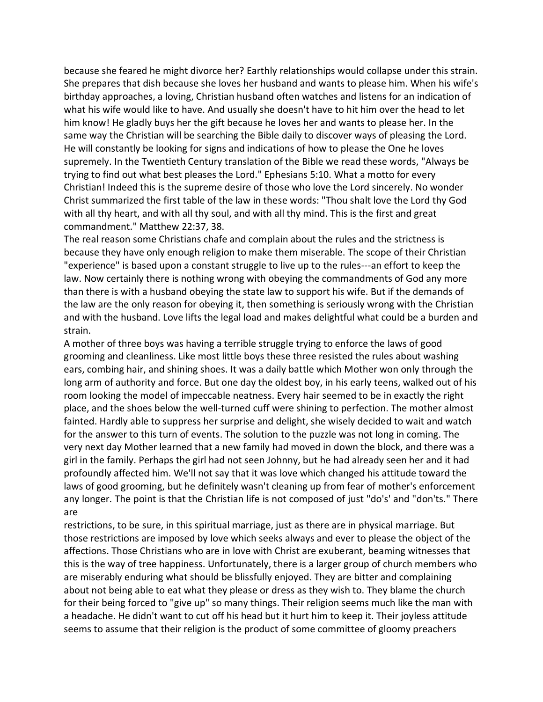because she feared he might divorce her? Earthly relationships would collapse under this strain. She prepares that dish because she loves her husband and wants to please him. When his wife's birthday approaches, a loving, Christian husband often watches and listens for an indication of what his wife would like to have. And usually she doesn't have to hit him over the head to let him know! He gladly buys her the gift because he loves her and wants to please her. In the same way the Christian will be searching the Bible daily to discover ways of pleasing the Lord. He will constantly be looking for signs and indications of how to please the One he loves supremely. In the Twentieth Century translation of the Bible we read these words, "Always be trying to find out what best pleases the Lord." Ephesians 5:10. What a motto for every Christian! Indeed this is the supreme desire of those who love the Lord sincerely. No wonder Christ summarized the first table of the law in these words: "Thou shalt love the Lord thy God with all thy heart, and with all thy soul, and with all thy mind. This is the first and great commandment." Matthew 22:37, 38.

The real reason some Christians chafe and complain about the rules and the strictness is because they have only enough religion to make them miserable. The scope of their Christian "experience" is based upon a constant struggle to live up to the rules---an effort to keep the law. Now certainly there is nothing wrong with obeying the commandments of God any more than there is with a husband obeying the state law to support his wife. But if the demands of the law are the only reason for obeying it, then something is seriously wrong with the Christian and with the husband. Love lifts the legal load and makes delightful what could be a burden and strain.

A mother of three boys was having a terrible struggle trying to enforce the laws of good grooming and cleanliness. Like most little boys these three resisted the rules about washing ears, combing hair, and shining shoes. It was a daily battle which Mother won only through the long arm of authority and force. But one day the oldest boy, in his early teens, walked out of his room looking the model of impeccable neatness. Every hair seemed to be in exactly the right place, and the shoes below the well-turned cuff were shining to perfection. The mother almost fainted. Hardly able to suppress her surprise and delight, she wisely decided to wait and watch for the answer to this turn of events. The solution to the puzzle was not long in coming. The very next day Mother learned that a new family had moved in down the block, and there was a girl in the family. Perhaps the girl had not seen Johnny, but he had already seen her and it had profoundly affected him. We'll not say that it was love which changed his attitude toward the laws of good grooming, but he definitely wasn't cleaning up from fear of mother's enforcement any longer. The point is that the Christian life is not composed of just "do's' and "don'ts." There are

restrictions, to be sure, in this spiritual marriage, just as there are in physical marriage. But those restrictions are imposed by love which seeks always and ever to please the object of the affections. Those Christians who are in love with Christ are exuberant, beaming witnesses that this is the way of tree happiness. Unfortunately, there is a larger group of church members who are miserably enduring what should be blissfully enjoyed. They are bitter and complaining about not being able to eat what they please or dress as they wish to. They blame the church for their being forced to "give up" so many things. Their religion seems much like the man with a headache. He didn't want to cut off his head but it hurt him to keep it. Their joyless attitude seems to assume that their religion is the product of some committee of gloomy preachers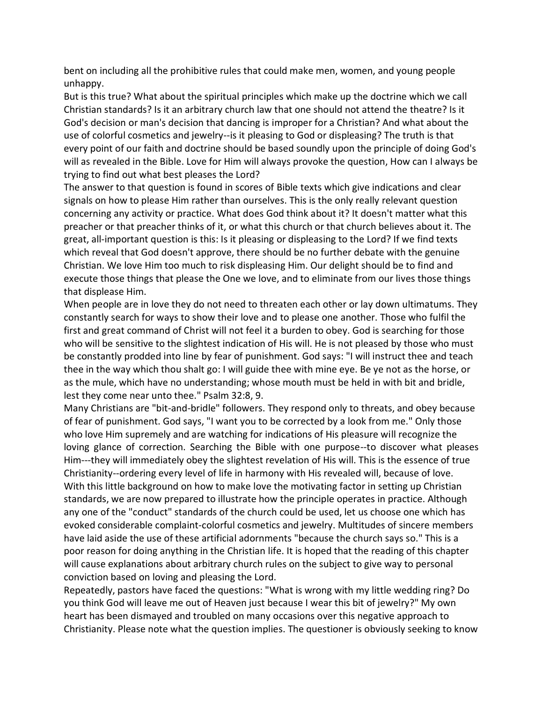bent on including all the prohibitive rules that could make men, women, and young people unhappy.

But is this true? What about the spiritual principles which make up the doctrine which we call Christian standards? Is it an arbitrary church law that one should not attend the theatre? Is it God's decision or man's decision that dancing is improper for a Christian? And what about the use of colorful cosmetics and jewelry--is it pleasing to God or displeasing? The truth is that every point of our faith and doctrine should be based soundly upon the principle of doing God's will as revealed in the Bible. Love for Him will always provoke the question, How can I always be trying to find out what best pleases the Lord?

The answer to that question is found in scores of Bible texts which give indications and clear signals on how to please Him rather than ourselves. This is the only really relevant question concerning any activity or practice. What does God think about it? It doesn't matter what this preacher or that preacher thinks of it, or what this church or that church believes about it. The great, all-important question is this: Is it pleasing or displeasing to the Lord? If we find texts which reveal that God doesn't approve, there should be no further debate with the genuine Christian. We love Him too much to risk displeasing Him. Our delight should be to find and execute those things that please the One we love, and to eliminate from our lives those things that displease Him.

When people are in love they do not need to threaten each other or lay down ultimatums. They constantly search for ways to show their love and to please one another. Those who fulfil the first and great command of Christ will not feel it a burden to obey. God is searching for those who will be sensitive to the slightest indication of His will. He is not pleased by those who must be constantly prodded into line by fear of punishment. God says: "I will instruct thee and teach thee in the way which thou shalt go: I will guide thee with mine eye. Be ye not as the horse, or as the mule, which have no understanding; whose mouth must be held in with bit and bridle, lest they come near unto thee." Psalm 32:8, 9.

Many Christians are "bit-and-bridle" followers. They respond only to threats, and obey because of fear of punishment. God says, "I want you to be corrected by a look from me." Only those who love Him supremely and are watching for indications of His pleasure will recognize the loving glance of correction. Searching the Bible with one purpose--to discover what pleases Him---they will immediately obey the slightest revelation of His will. This is the essence of true Christianity--ordering every level of life in harmony with His revealed will, because of love. With this little background on how to make love the motivating factor in setting up Christian standards, we are now prepared to illustrate how the principle operates in practice. Although any one of the "conduct" standards of the church could be used, let us choose one which has evoked considerable complaint-colorful cosmetics and jewelry. Multitudes of sincere members have laid aside the use of these artificial adornments "because the church says so." This is a poor reason for doing anything in the Christian life. It is hoped that the reading of this chapter will cause explanations about arbitrary church rules on the subject to give way to personal conviction based on loving and pleasing the Lord.

Repeatedly, pastors have faced the questions: "What is wrong with my little wedding ring? Do you think God will leave me out of Heaven just because I wear this bit of jewelry?" My own heart has been dismayed and troubled on many occasions over this negative approach to Christianity. Please note what the question implies. The questioner is obviously seeking to know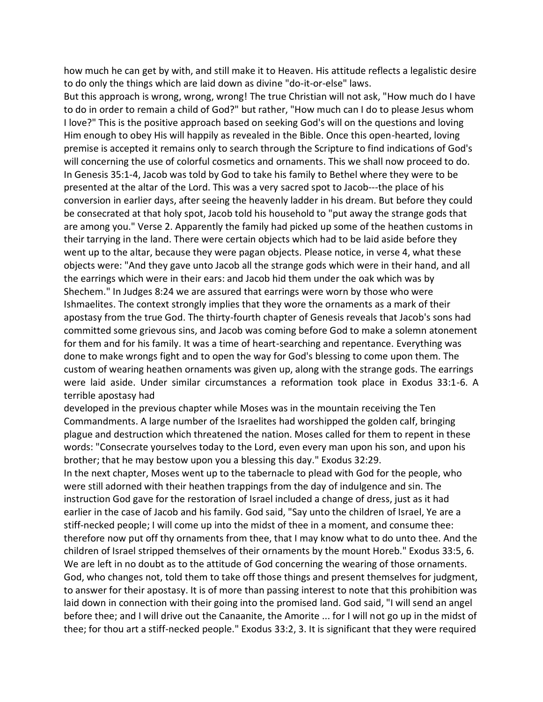how much he can get by with, and still make it to Heaven. His attitude reflects a legalistic desire to do only the things which are laid down as divine "do-it-or-else" laws.

But this approach is wrong, wrong, wrong! The true Christian will not ask, "How much do I have to do in order to remain a child of God?" but rather, "How much can I do to please Jesus whom I love?" This is the positive approach based on seeking God's will on the questions and loving Him enough to obey His will happily as revealed in the Bible. Once this open-hearted, loving premise is accepted it remains only to search through the Scripture to find indications of God's will concerning the use of colorful cosmetics and ornaments. This we shall now proceed to do. In Genesis 35:1-4, Jacob was told by God to take his family to Bethel where they were to be presented at the altar of the Lord. This was a very sacred spot to Jacob---the place of his conversion in earlier days, after seeing the heavenly ladder in his dream. But before they could be consecrated at that holy spot, Jacob told his household to "put away the strange gods that are among you." Verse 2. Apparently the family had picked up some of the heathen customs in their tarrying in the land. There were certain objects which had to be laid aside before they went up to the altar, because they were pagan objects. Please notice, in verse 4, what these objects were: "And they gave unto Jacob all the strange gods which were in their hand, and all the earrings which were in their ears: and Jacob hid them under the oak which was by Shechem." In Judges 8:24 we are assured that earrings were worn by those who were Ishmaelites. The context strongly implies that they wore the ornaments as a mark of their apostasy from the true God. The thirty-fourth chapter of Genesis reveals that Jacob's sons had committed some grievous sins, and Jacob was coming before God to make a solemn atonement for them and for his family. It was a time of heart-searching and repentance. Everything was done to make wrongs fight and to open the way for God's blessing to come upon them. The custom of wearing heathen ornaments was given up, along with the strange gods. The earrings were laid aside. Under similar circumstances a reformation took place in Exodus 33:1-6. A terrible apostasy had

developed in the previous chapter while Moses was in the mountain receiving the Ten Commandments. A large number of the Israelites had worshipped the golden calf, bringing plague and destruction which threatened the nation. Moses called for them to repent in these words: "Consecrate yourselves today to the Lord, even every man upon his son, and upon his brother; that he may bestow upon you a blessing this day." Exodus 32:29.

In the next chapter, Moses went up to the tabernacle to plead with God for the people, who were still adorned with their heathen trappings from the day of indulgence and sin. The instruction God gave for the restoration of Israel included a change of dress, just as it had earlier in the case of Jacob and his family. God said, "Say unto the children of Israel, Ye are a stiff-necked people; I will come up into the midst of thee in a moment, and consume thee: therefore now put off thy ornaments from thee, that I may know what to do unto thee. And the children of Israel stripped themselves of their ornaments by the mount Horeb." Exodus 33:5, 6. We are left in no doubt as to the attitude of God concerning the wearing of those ornaments. God, who changes not, told them to take off those things and present themselves for judgment, to answer for their apostasy. It is of more than passing interest to note that this prohibition was laid down in connection with their going into the promised land. God said, "I will send an angel before thee; and I will drive out the Canaanite, the Amorite ... for I will not go up in the midst of thee; for thou art a stiff-necked people." Exodus 33:2, 3. It is significant that they were required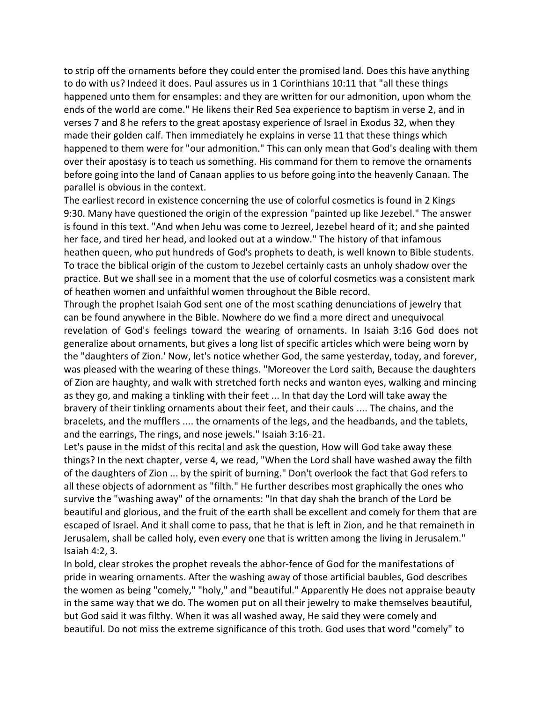to strip off the ornaments before they could enter the promised land. Does this have anything to do with us? Indeed it does. Paul assures us in 1 Corinthians 10:11 that "all these things happened unto them for ensamples: and they are written for our admonition, upon whom the ends of the world are come." He likens their Red Sea experience to baptism in verse 2, and in verses 7 and 8 he refers to the great apostasy experience of Israel in Exodus 32, when they made their golden calf. Then immediately he explains in verse 11 that these things which happened to them were for "our admonition." This can only mean that God's dealing with them over their apostasy is to teach us something. His command for them to remove the ornaments before going into the land of Canaan applies to us before going into the heavenly Canaan. The parallel is obvious in the context.

The earliest record in existence concerning the use of colorful cosmetics is found in 2 Kings 9:30. Many have questioned the origin of the expression "painted up like Jezebel." The answer is found in this text. "And when Jehu was come to Jezreel, Jezebel heard of it; and she painted her face, and tired her head, and looked out at a window." The history of that infamous heathen queen, who put hundreds of God's prophets to death, is well known to Bible students. To trace the biblical origin of the custom to Jezebel certainly casts an unholy shadow over the practice. But we shall see in a moment that the use of colorful cosmetics was a consistent mark of heathen women and unfaithful women throughout the Bible record.

Through the prophet Isaiah God sent one of the most scathing denunciations of jewelry that can be found anywhere in the Bible. Nowhere do we find a more direct and unequivocal revelation of God's feelings toward the wearing of ornaments. In Isaiah 3:16 God does not generalize about ornaments, but gives a long list of specific articles which were being worn by the "daughters of Zion.' Now, let's notice whether God, the same yesterday, today, and forever, was pleased with the wearing of these things. "Moreover the Lord saith, Because the daughters of Zion are haughty, and walk with stretched forth necks and wanton eyes, walking and mincing as they go, and making a tinkling with their feet ... In that day the Lord will take away the bravery of their tinkling ornaments about their feet, and their cauls .... The chains, and the bracelets, and the mufflers .... the ornaments of the legs, and the headbands, and the tablets, and the earrings, The rings, and nose jewels." Isaiah 3:16-21.

Let's pause in the midst of this recital and ask the question, How will God take away these things? In the next chapter, verse 4, we read, "When the Lord shall have washed away the filth of the daughters of Zion ... by the spirit of burning." Don't overlook the fact that God refers to all these objects of adornment as "filth." He further describes most graphically the ones who survive the "washing away" of the ornaments: "In that day shah the branch of the Lord be beautiful and glorious, and the fruit of the earth shall be excellent and comely for them that are escaped of Israel. And it shall come to pass, that he that is left in Zion, and he that remaineth in Jerusalem, shall be called holy, even every one that is written among the living in Jerusalem." Isaiah 4:2, 3.

In bold, clear strokes the prophet reveals the abhor-fence of God for the manifestations of pride in wearing ornaments. After the washing away of those artificial baubles, God describes the women as being "comely," "holy," and "beautiful." Apparently He does not appraise beauty in the same way that we do. The women put on all their jewelry to make themselves beautiful, but God said it was filthy. When it was all washed away, He said they were comely and beautiful. Do not miss the extreme significance of this troth. God uses that word "comely" to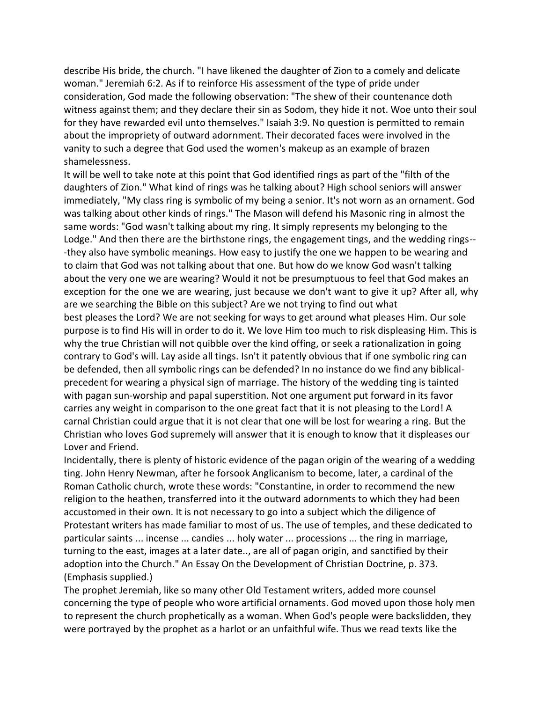describe His bride, the church. "I have likened the daughter of Zion to a comely and delicate woman." Jeremiah 6:2. As if to reinforce His assessment of the type of pride under consideration, God made the following observation: "The shew of their countenance doth witness against them; and they declare their sin as Sodom, they hide it not. Woe unto their soul for they have rewarded evil unto themselves." Isaiah 3:9. No question is permitted to remain about the impropriety of outward adornment. Their decorated faces were involved in the vanity to such a degree that God used the women's makeup as an example of brazen shamelessness.

It will be well to take note at this point that God identified rings as part of the "filth of the daughters of Zion." What kind of rings was he talking about? High school seniors will answer immediately, "My class ring is symbolic of my being a senior. It's not worn as an ornament. God was talking about other kinds of rings." The Mason will defend his Masonic ring in almost the same words: "God wasn't talking about my ring. It simply represents my belonging to the Lodge." And then there are the birthstone rings, the engagement tings, and the wedding rings-- -they also have symbolic meanings. How easy to justify the one we happen to be wearing and to claim that God was not talking about that one. But how do we know God wasn't talking about the very one we are wearing? Would it not be presumptuous to feel that God makes an exception for the one we are wearing, just because we don't want to give it up? After all, why are we searching the Bible on this subject? Are we not trying to find out what best pleases the Lord? We are not seeking for ways to get around what pleases Him. Our sole purpose is to find His will in order to do it. We love Him too much to risk displeasing Him. This is why the true Christian will not quibble over the kind offing, or seek a rationalization in going contrary to God's will. Lay aside all tings. Isn't it patently obvious that if one symbolic ring can be defended, then all symbolic rings can be defended? In no instance do we find any biblicalprecedent for wearing a physical sign of marriage. The history of the wedding ting is tainted with pagan sun-worship and papal superstition. Not one argument put forward in its favor carries any weight in comparison to the one great fact that it is not pleasing to the Lord! A carnal Christian could argue that it is not clear that one will be lost for wearing a ring. But the Christian who loves God supremely will answer that it is enough to know that it displeases our

Lover and Friend.

Incidentally, there is plenty of historic evidence of the pagan origin of the wearing of a wedding ting. John Henry Newman, after he forsook Anglicanism to become, later, a cardinal of the Roman Catholic church, wrote these words: "Constantine, in order to recommend the new religion to the heathen, transferred into it the outward adornments to which they had been accustomed in their own. It is not necessary to go into a subject which the diligence of Protestant writers has made familiar to most of us. The use of temples, and these dedicated to particular saints ... incense ... candies ... holy water ... processions ... the ring in marriage, turning to the east, images at a later date.., are all of pagan origin, and sanctified by their adoption into the Church." An Essay On the Development of Christian Doctrine, p. 373. (Emphasis supplied.)

The prophet Jeremiah, like so many other Old Testament writers, added more counsel concerning the type of people who wore artificial ornaments. God moved upon those holy men to represent the church prophetically as a woman. When God's people were backslidden, they were portrayed by the prophet as a harlot or an unfaithful wife. Thus we read texts like the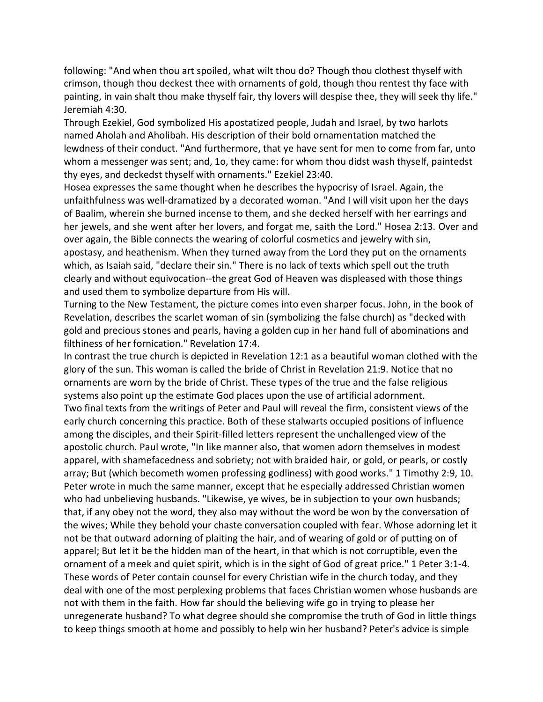following: "And when thou art spoiled, what wilt thou do? Though thou clothest thyself with crimson, though thou deckest thee with ornaments of gold, though thou rentest thy face with painting, in vain shalt thou make thyself fair, thy lovers will despise thee, they will seek thy life." Jeremiah 4:30.

Through Ezekiel, God symbolized His apostatized people, Judah and Israel, by two harlots named Aholah and Aholibah. His description of their bold ornamentation matched the lewdness of their conduct. "And furthermore, that ye have sent for men to come from far, unto whom a messenger was sent; and, 1o, they came: for whom thou didst wash thyself, paintedst thy eyes, and deckedst thyself with ornaments." Ezekiel 23:40.

Hosea expresses the same thought when he describes the hypocrisy of Israel. Again, the unfaithfulness was well-dramatized by a decorated woman. "And I will visit upon her the days of Baalim, wherein she burned incense to them, and she decked herself with her earrings and her jewels, and she went after her lovers, and forgat me, saith the Lord." Hosea 2:13. Over and over again, the Bible connects the wearing of colorful cosmetics and jewelry with sin, apostasy, and heathenism. When they turned away from the Lord they put on the ornaments which, as Isaiah said, "declare their sin." There is no lack of texts which spell out the truth clearly and without equivocation--the great God of Heaven was displeased with those things and used them to symbolize departure from His will.

Turning to the New Testament, the picture comes into even sharper focus. John, in the book of Revelation, describes the scarlet woman of sin (symbolizing the false church) as "decked with gold and precious stones and pearls, having a golden cup in her hand full of abominations and filthiness of her fornication." Revelation 17:4.

In contrast the true church is depicted in Revelation 12:1 as a beautiful woman clothed with the glory of the sun. This woman is called the bride of Christ in Revelation 21:9. Notice that no ornaments are worn by the bride of Christ. These types of the true and the false religious systems also point up the estimate God places upon the use of artificial adornment. Two final texts from the writings of Peter and Paul will reveal the firm, consistent views of the early church concerning this practice. Both of these stalwarts occupied positions of influence among the disciples, and their Spirit-filled letters represent the unchallenged view of the apostolic church. Paul wrote, "In like manner also, that women adorn themselves in modest apparel, with shamefacedness and sobriety; not with braided hair, or gold, or pearls, or costly array; But (which becometh women professing godliness) with good works." 1 Timothy 2:9, 10. Peter wrote in much the same manner, except that he especially addressed Christian women who had unbelieving husbands. "Likewise, ye wives, be in subjection to your own husbands; that, if any obey not the word, they also may without the word be won by the conversation of the wives; While they behold your chaste conversation coupled with fear. Whose adorning let it not be that outward adorning of plaiting the hair, and of wearing of gold or of putting on of apparel; But let it be the hidden man of the heart, in that which is not corruptible, even the ornament of a meek and quiet spirit, which is in the sight of God of great price." 1 Peter 3:1-4. These words of Peter contain counsel for every Christian wife in the church today, and they deal with one of the most perplexing problems that faces Christian women whose husbands are not with them in the faith. How far should the believing wife go in trying to please her unregenerate husband? To what degree should she compromise the truth of God in little things to keep things smooth at home and possibly to help win her husband? Peter's advice is simple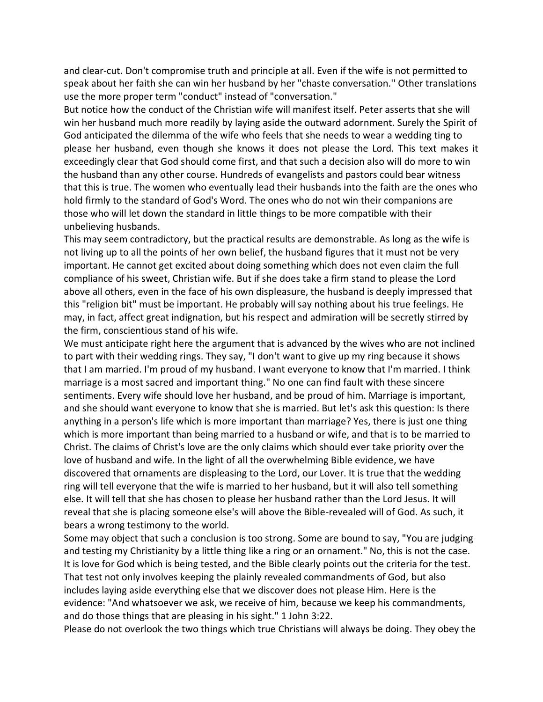and clear-cut. Don't compromise truth and principle at all. Even if the wife is not permitted to speak about her faith she can win her husband by her "chaste conversation.'' Other translations use the more proper term "conduct" instead of "conversation."

But notice how the conduct of the Christian wife will manifest itself. Peter asserts that she will win her husband much more readily by laying aside the outward adornment. Surely the Spirit of God anticipated the dilemma of the wife who feels that she needs to wear a wedding ting to please her husband, even though she knows it does not please the Lord. This text makes it exceedingly clear that God should come first, and that such a decision also will do more to win the husband than any other course. Hundreds of evangelists and pastors could bear witness that this is true. The women who eventually lead their husbands into the faith are the ones who hold firmly to the standard of God's Word. The ones who do not win their companions are those who will let down the standard in little things to be more compatible with their unbelieving husbands.

This may seem contradictory, but the practical results are demonstrable. As long as the wife is not living up to all the points of her own belief, the husband figures that it must not be very important. He cannot get excited about doing something which does not even claim the full compliance of his sweet, Christian wife. But if she does take a firm stand to please the Lord above all others, even in the face of his own displeasure, the husband is deeply impressed that this "religion bit" must be important. He probably will say nothing about his true feelings. He may, in fact, affect great indignation, but his respect and admiration will be secretly stirred by the firm, conscientious stand of his wife.

We must anticipate right here the argument that is advanced by the wives who are not inclined to part with their wedding rings. They say, "I don't want to give up my ring because it shows that I am married. I'm proud of my husband. I want everyone to know that I'm married. I think marriage is a most sacred and important thing." No one can find fault with these sincere sentiments. Every wife should love her husband, and be proud of him. Marriage is important, and she should want everyone to know that she is married. But let's ask this question: Is there anything in a person's life which is more important than marriage? Yes, there is just one thing which is more important than being married to a husband or wife, and that is to be married to Christ. The claims of Christ's love are the only claims which should ever take priority over the love of husband and wife. In the light of all the overwhelming Bible evidence, we have discovered that ornaments are displeasing to the Lord, our Lover. It is true that the wedding ring will tell everyone that the wife is married to her husband, but it will also tell something else. It will tell that she has chosen to please her husband rather than the Lord Jesus. It will reveal that she is placing someone else's will above the Bible-revealed will of God. As such, it bears a wrong testimony to the world.

Some may object that such a conclusion is too strong. Some are bound to say, "You are judging and testing my Christianity by a little thing like a ring or an ornament." No, this is not the case. It is love for God which is being tested, and the Bible clearly points out the criteria for the test. That test not only involves keeping the plainly revealed commandments of God, but also includes laying aside everything else that we discover does not please Him. Here is the evidence: "And whatsoever we ask, we receive of him, because we keep his commandments, and do those things that are pleasing in his sight." 1 John 3:22.

Please do not overlook the two things which true Christians will always be doing. They obey the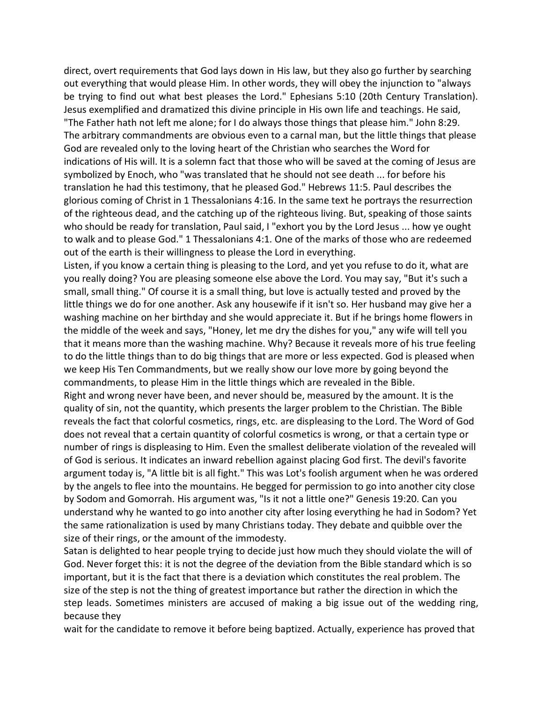direct, overt requirements that God lays down in His law, but they also go further by searching out everything that would please Him. In other words, they will obey the injunction to "always be trying to find out what best pleases the Lord." Ephesians 5:10 (20th Century Translation). Jesus exemplified and dramatized this divine principle in His own life and teachings. He said, "The Father hath not left me alone; for I do always those things that please him." John 8:29. The arbitrary commandments are obvious even to a carnal man, but the little things that please God are revealed only to the loving heart of the Christian who searches the Word for indications of His will. It is a solemn fact that those who will be saved at the coming of Jesus are symbolized by Enoch, who "was translated that he should not see death ... for before his translation he had this testimony, that he pleased God." Hebrews 11:5. Paul describes the glorious coming of Christ in 1 Thessalonians 4:16. In the same text he portrays the resurrection of the righteous dead, and the catching up of the righteous living. But, speaking of those saints who should be ready for translation, Paul said, I "exhort you by the Lord Jesus ... how ye ought to walk and to please God." 1 Thessalonians 4:1. One of the marks of those who are redeemed out of the earth is their willingness to please the Lord in everything.

Listen, if you know a certain thing is pleasing to the Lord, and yet you refuse to do it, what are you really doing? You are pleasing someone else above the Lord. You may say, "But it's such a small, small thing." Of course it is a small thing, but love is actually tested and proved by the little things we do for one another. Ask any housewife if it isn't so. Her husband may give her a washing machine on her birthday and she would appreciate it. But if he brings home flowers in the middle of the week and says, "Honey, let me dry the dishes for you," any wife will tell you that it means more than the washing machine. Why? Because it reveals more of his true feeling to do the little things than to do big things that are more or less expected. God is pleased when we keep His Ten Commandments, but we really show our love more by going beyond the commandments, to please Him in the little things which are revealed in the Bible. Right and wrong never have been, and never should be, measured by the amount. It is the quality of sin, not the quantity, which presents the larger problem to the Christian. The Bible reveals the fact that colorful cosmetics, rings, etc. are displeasing to the Lord. The Word of God does not reveal that a certain quantity of colorful cosmetics is wrong, or that a certain type or number of rings is displeasing to Him. Even the smallest deliberate violation of the revealed will of God is serious. It indicates an inward rebellion against placing God first. The devil's favorite argument today is, "A little bit is all fight." This was Lot's foolish argument when he was ordered by the angels to flee into the mountains. He begged for permission to go into another city close

by Sodom and Gomorrah. His argument was, "Is it not a little one?" Genesis 19:20. Can you understand why he wanted to go into another city after losing everything he had in Sodom? Yet the same rationalization is used by many Christians today. They debate and quibble over the size of their rings, or the amount of the immodesty.

Satan is delighted to hear people trying to decide just how much they should violate the will of God. Never forget this: it is not the degree of the deviation from the Bible standard which is so important, but it is the fact that there is a deviation which constitutes the real problem. The size of the step is not the thing of greatest importance but rather the direction in which the step leads. Sometimes ministers are accused of making a big issue out of the wedding ring, because they

wait for the candidate to remove it before being baptized. Actually, experience has proved that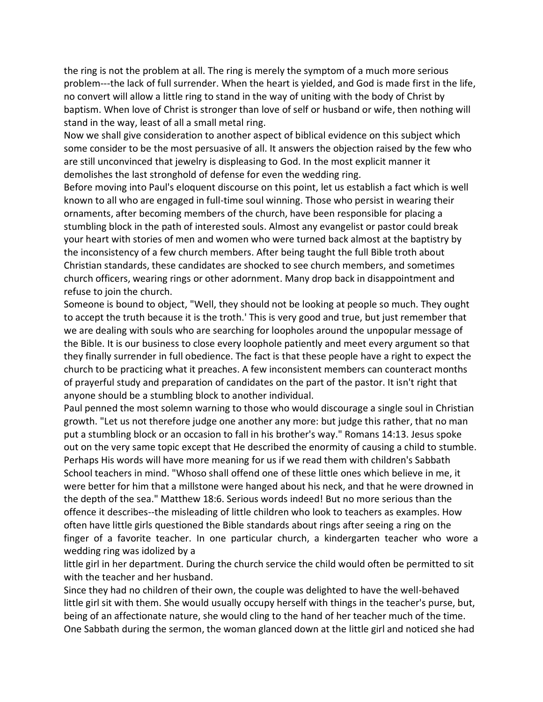the ring is not the problem at all. The ring is merely the symptom of a much more serious problem---the lack of full surrender. When the heart is yielded, and God is made first in the life, no convert will allow a little ring to stand in the way of uniting with the body of Christ by baptism. When love of Christ is stronger than love of self or husband or wife, then nothing will stand in the way, least of all a small metal ring.

Now we shall give consideration to another aspect of biblical evidence on this subject which some consider to be the most persuasive of all. It answers the objection raised by the few who are still unconvinced that jewelry is displeasing to God. In the most explicit manner it demolishes the last stronghold of defense for even the wedding ring.

Before moving into Paul's eloquent discourse on this point, let us establish a fact which is well known to all who are engaged in full-time soul winning. Those who persist in wearing their ornaments, after becoming members of the church, have been responsible for placing a stumbling block in the path of interested souls. Almost any evangelist or pastor could break your heart with stories of men and women who were turned back almost at the baptistry by the inconsistency of a few church members. After being taught the full Bible troth about Christian standards, these candidates are shocked to see church members, and sometimes church officers, wearing rings or other adornment. Many drop back in disappointment and refuse to join the church.

Someone is bound to object, "Well, they should not be looking at people so much. They ought to accept the truth because it is the troth.' This is very good and true, but just remember that we are dealing with souls who are searching for loopholes around the unpopular message of the Bible. It is our business to close every loophole patiently and meet every argument so that they finally surrender in full obedience. The fact is that these people have a right to expect the church to be practicing what it preaches. A few inconsistent members can counteract months of prayerful study and preparation of candidates on the part of the pastor. It isn't right that anyone should be a stumbling block to another individual.

Paul penned the most solemn warning to those who would discourage a single soul in Christian growth. "Let us not therefore judge one another any more: but judge this rather, that no man put a stumbling block or an occasion to fall in his brother's way." Romans 14:13. Jesus spoke out on the very same topic except that He described the enormity of causing a child to stumble. Perhaps His words will have more meaning for us if we read them with children's Sabbath School teachers in mind. "Whoso shall offend one of these little ones which believe in me, it were better for him that a millstone were hanged about his neck, and that he were drowned in the depth of the sea." Matthew 18:6. Serious words indeed! But no more serious than the offence it describes--the misleading of little children who look to teachers as examples. How often have little girls questioned the Bible standards about rings after seeing a ring on the finger of a favorite teacher. In one particular church, a kindergarten teacher who wore a wedding ring was idolized by a

little girl in her department. During the church service the child would often be permitted to sit with the teacher and her husband.

Since they had no children of their own, the couple was delighted to have the well-behaved little girl sit with them. She would usually occupy herself with things in the teacher's purse, but, being of an affectionate nature, she would cling to the hand of her teacher much of the time. One Sabbath during the sermon, the woman glanced down at the little girl and noticed she had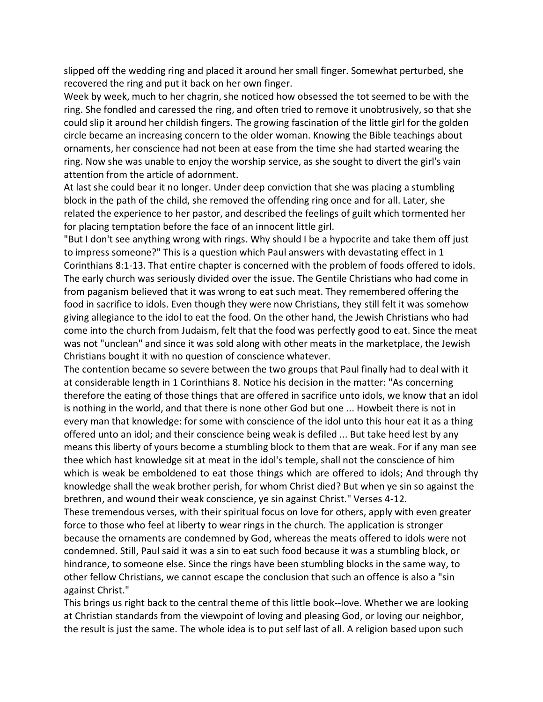slipped off the wedding ring and placed it around her small finger. Somewhat perturbed, she recovered the ring and put it back on her own finger.

Week by week, much to her chagrin, she noticed how obsessed the tot seemed to be with the ring. She fondled and caressed the ring, and often tried to remove it unobtrusively, so that she could slip it around her childish fingers. The growing fascination of the little girl for the golden circle became an increasing concern to the older woman. Knowing the Bible teachings about ornaments, her conscience had not been at ease from the time she had started wearing the ring. Now she was unable to enjoy the worship service, as she sought to divert the girl's vain attention from the article of adornment.

At last she could bear it no longer. Under deep conviction that she was placing a stumbling block in the path of the child, she removed the offending ring once and for all. Later, she related the experience to her pastor, and described the feelings of guilt which tormented her for placing temptation before the face of an innocent little girl.

"But I don't see anything wrong with rings. Why should I be a hypocrite and take them off just to impress someone?" This is a question which Paul answers with devastating effect in 1 Corinthians 8:1-13. That entire chapter is concerned with the problem of foods offered to idols. The early church was seriously divided over the issue. The Gentile Christians who had come in from paganism believed that it was wrong to eat such meat. They remembered offering the food in sacrifice to idols. Even though they were now Christians, they still felt it was somehow giving allegiance to the idol to eat the food. On the other hand, the Jewish Christians who had come into the church from Judaism, felt that the food was perfectly good to eat. Since the meat was not "unclean" and since it was sold along with other meats in the marketplace, the Jewish Christians bought it with no question of conscience whatever.

The contention became so severe between the two groups that Paul finally had to deal with it at considerable length in 1 Corinthians 8. Notice his decision in the matter: "As concerning therefore the eating of those things that are offered in sacrifice unto idols, we know that an idol is nothing in the world, and that there is none other God but one ... Howbeit there is not in every man that knowledge: for some with conscience of the idol unto this hour eat it as a thing offered unto an idol; and their conscience being weak is defiled ... But take heed lest by any means this liberty of yours become a stumbling block to them that are weak. For if any man see thee which hast knowledge sit at meat in the idol's temple, shall not the conscience of him which is weak be emboldened to eat those things which are offered to idols; And through thy knowledge shall the weak brother perish, for whom Christ died? But when ye sin so against the brethren, and wound their weak conscience, ye sin against Christ." Verses 4-12.

These tremendous verses, with their spiritual focus on love for others, apply with even greater force to those who feel at liberty to wear rings in the church. The application is stronger because the ornaments are condemned by God, whereas the meats offered to idols were not condemned. Still, Paul said it was a sin to eat such food because it was a stumbling block, or hindrance, to someone else. Since the rings have been stumbling blocks in the same way, to other fellow Christians, we cannot escape the conclusion that such an offence is also a "sin against Christ."

This brings us right back to the central theme of this little book--love. Whether we are looking at Christian standards from the viewpoint of loving and pleasing God, or loving our neighbor, the result is just the same. The whole idea is to put self last of all. A religion based upon such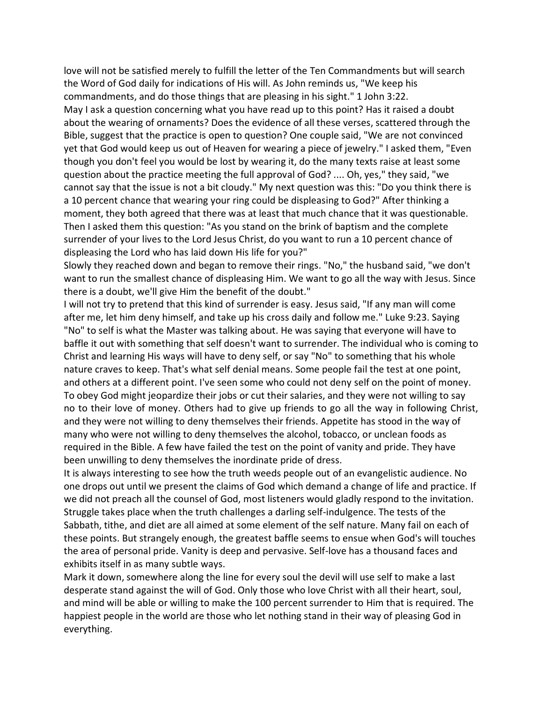love will not be satisfied merely to fulfill the letter of the Ten Commandments but will search the Word of God daily for indications of His will. As John reminds us, "We keep his commandments, and do those things that are pleasing in his sight." 1 John 3:22. May I ask a question concerning what you have read up to this point? Has it raised a doubt about the wearing of ornaments? Does the evidence of all these verses, scattered through the Bible, suggest that the practice is open to question? One couple said, "We are not convinced yet that God would keep us out of Heaven for wearing a piece of jewelry." I asked them, "Even though you don't feel you would be lost by wearing it, do the many texts raise at least some question about the practice meeting the full approval of God? .... Oh, yes," they said, "we cannot say that the issue is not a bit cloudy." My next question was this: "Do you think there is a 10 percent chance that wearing your ring could be displeasing to God?" After thinking a moment, they both agreed that there was at least that much chance that it was questionable. Then I asked them this question: "As you stand on the brink of baptism and the complete surrender of your lives to the Lord Jesus Christ, do you want to run a 10 percent chance of displeasing the Lord who has laid down His life for you?"

Slowly they reached down and began to remove their rings. "No," the husband said, "we don't want to run the smallest chance of displeasing Him. We want to go all the way with Jesus. Since there is a doubt, we'll give Him the benefit of the doubt."

I will not try to pretend that this kind of surrender is easy. Jesus said, "If any man will come after me, let him deny himself, and take up his cross daily and follow me." Luke 9:23. Saying "No" to self is what the Master was talking about. He was saying that everyone will have to baffle it out with something that self doesn't want to surrender. The individual who is coming to Christ and learning His ways will have to deny self, or say "No" to something that his whole nature craves to keep. That's what self denial means. Some people fail the test at one point, and others at a different point. I've seen some who could not deny self on the point of money. To obey God might jeopardize their jobs or cut their salaries, and they were not willing to say no to their love of money. Others had to give up friends to go all the way in following Christ, and they were not willing to deny themselves their friends. Appetite has stood in the way of many who were not willing to deny themselves the alcohol, tobacco, or unclean foods as required in the Bible. A few have failed the test on the point of vanity and pride. They have been unwilling to deny themselves the inordinate pride of dress.

It is always interesting to see how the truth weeds people out of an evangelistic audience. No one drops out until we present the claims of God which demand a change of life and practice. If we did not preach all the counsel of God, most listeners would gladly respond to the invitation. Struggle takes place when the truth challenges a darling self-indulgence. The tests of the Sabbath, tithe, and diet are all aimed at some element of the self nature. Many fail on each of these points. But strangely enough, the greatest baffle seems to ensue when God's will touches the area of personal pride. Vanity is deep and pervasive. Self-love has a thousand faces and exhibits itself in as many subtle ways.

Mark it down, somewhere along the line for every soul the devil will use self to make a last desperate stand against the will of God. Only those who love Christ with all their heart, soul, and mind will be able or willing to make the 100 percent surrender to Him that is required. The happiest people in the world are those who let nothing stand in their way of pleasing God in everything.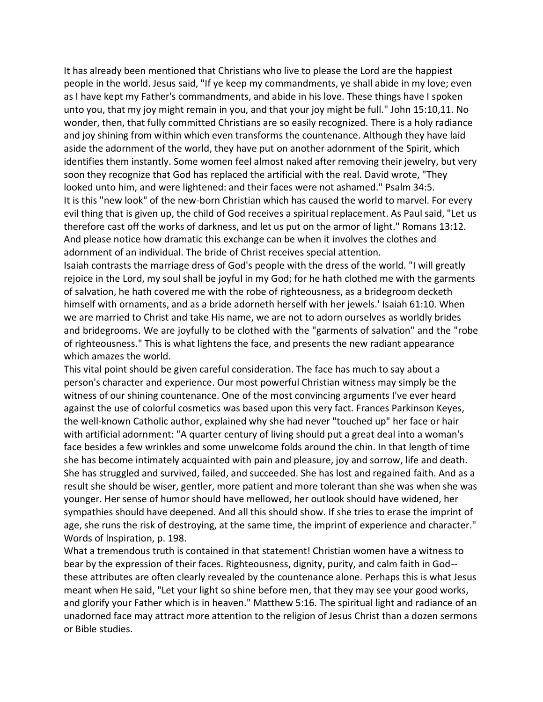It has already been mentioned that Christians who live to please the Lord are the happiest people in the world. Jesus said, "If ye keep my commandments, ye shall abide in my love; even as I have kept my Father's commandments, and abide in his love. These things have I spoken unto you, that my joy might remain in you, and that your joy might be full." John 15:10,11. No wonder, then, that fully committed Christians are so easily recognized. There is a holy radiance and joy shining from within which even transforms the countenance. Although they have laid aside the adornment of the world, they have put on another adornment of the Spirit, which identifies them instantly. Some women feel almost naked after removing their jewelry, but very soon they recognize that God has replaced the artificial with the real. David wrote, "They looked unto him, and were lightened: and their faces were not ashamed." Psalm 34:5. It is this "new look" of the new-born Christian which has caused the world to marvel. For every evil thing that is given up, the child of God receives a spiritual replacement. As Paul said, "Let us therefore cast off the works of darkness, and let us put on the armor of light." Romans 13:12. And please notice how dramatic this exchange can be when it involves the clothes and adornment of an individual. The bride of Christ receives special attention.

Isaiah contrasts the marriage dress of God's people with the dress of the world. "I will greatly rejoice in the Lord, my soul shall be joyful in my God; for he hath clothed me with the garments of salvation, he hath covered me with the robe of righteousness, as a bridegroom decketh himself with ornaments, and as a bride adorneth herself with her jewels.' Isaiah 61:10. When we are married to Christ and take His name, we are not to adorn ourselves as worldly brides and bridegrooms. We are joyfully to be clothed with the "garments of salvation" and the "robe of righteousness." This is what lightens the face, and presents the new radiant appearance which amazes the world.

This vital point should be given careful consideration. The face has much to say about a person's character and experience. Our most powerful Christian witness may simply be the witness of our shining countenance. One of the most convincing arguments I've ever heard against the use of colorful cosmetics was based upon this very fact. Frances Parkinson Keyes, the well-known Catholic author, explained why she had never "touched up" her face or hair with artificial adornment: "A quarter century of living should put a great deal into a woman's face besides a few wrinkles and some unwelcome folds around the chin. In that length of time she has become intimately acquainted with pain and pleasure, joy and sorrow, life and death. She has struggled and survived, failed, and succeeded. She has lost and regained faith. And as a result she should be wiser, gentler, more patient and more tolerant than she was when she was younger. Her sense of humor should have mellowed, her outlook should have widened, her sympathies should have deepened. And all this should show. If she tries to erase the imprint of age, she runs the risk of destroying, at the same time, the imprint of experience and character." Words of lnspiration, p. 198.

What a tremendous truth is contained in that statement! Christian women have a witness to bear by the expression of their faces. Righteousness, dignity, purity, and calm faith in God- these attributes are often clearly revealed by the countenance alone. Perhaps this is what Jesus meant when He said, "Let your light so shine before men, that they may see your good works, and glorify your Father which is in heaven." Matthew 5:16. The spiritual light and radiance of an unadorned face may attract more attention to the religion of Jesus Christ than a dozen sermons or Bible studies.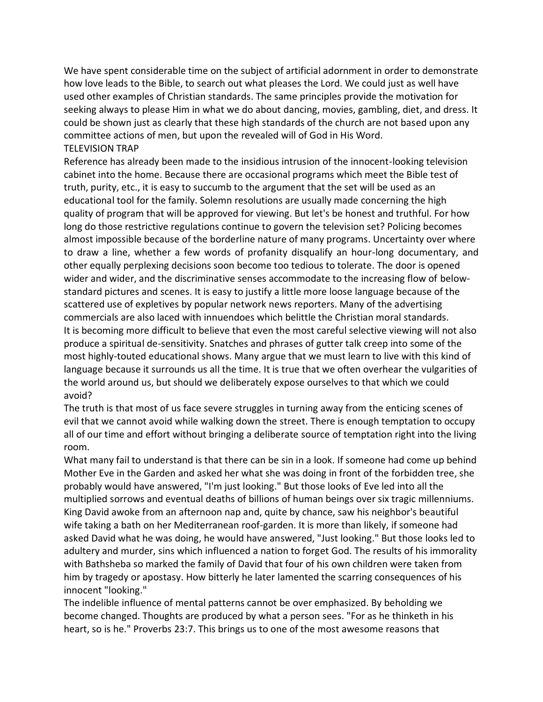We have spent considerable time on the subject of artificial adornment in order to demonstrate how love leads to the Bible, to search out what pleases the Lord. We could just as well have used other examples of Christian standards. The same principles provide the motivation for seeking always to please Him in what we do about dancing, movies, gambling, diet, and dress. It could be shown just as clearly that these high standards of the church are not based upon any committee actions of men, but upon the revealed will of God in His Word. TELEVISION TRAP

Reference has already been made to the insidious intrusion of the innocent-looking television cabinet into the home. Because there are occasional programs which meet the Bible test of truth, purity, etc., it is easy to succumb to the argument that the set will be used as an educational tool for the family. Solemn resolutions are usually made concerning the high quality of program that will be approved for viewing. But let's be honest and truthful. For how long do those restrictive regulations continue to govern the television set? Policing becomes almost impossible because of the borderline nature of many programs. Uncertainty over where to draw a line, whether a few words of profanity disqualify an hour-long documentary, and other equally perplexing decisions soon become too tedious to tolerate. The door is opened wider and wider, and the discriminative senses accommodate to the increasing flow of belowstandard pictures and scenes. It is easy to justify a little more loose language because of the scattered use of expletives by popular network news reporters. Many of the advertising commercials are also laced with innuendoes which belittle the Christian moral standards. It is becoming more difficult to believe that even the most careful selective viewing will not also produce a spiritual de-sensitivity. Snatches and phrases of gutter talk creep into some of the most highly-touted educational shows. Many argue that we must learn to live with this kind of language because it surrounds us all the time. It is true that we often overhear the vulgarities of the world around us, but should we deliberately expose ourselves to that which we could avoid?

The truth is that most of us face severe struggles in turning away from the enticing scenes of evil that we cannot avoid while walking down the street. There is enough temptation to occupy all of our time and effort without bringing a deliberate source of temptation right into the living room.

What many fail to understand is that there can be sin in a look. If someone had come up behind Mother Eve in the Garden and asked her what she was doing in front of the forbidden tree, she probably would have answered, "I'm just looking." But those looks of Eve led into all the multiplied sorrows and eventual deaths of billions of human beings over six tragic millenniums. King David awoke from an afternoon nap and, quite by chance, saw his neighbor's beautiful wife taking a bath on her Mediterranean roof-garden. It is more than likely, if someone had asked David what he was doing, he would have answered, "Just looking." But those looks led to adultery and murder, sins which influenced a nation to forget God. The results of his immorality with Bathsheba so marked the family of David that four of his own children were taken from him by tragedy or apostasy. How bitterly he later lamented the scarring consequences of his innocent "looking."

The indelible influence of mental patterns cannot be over emphasized. By beholding we become changed. Thoughts are produced by what a person sees. "For as he thinketh in his heart, so is he." Proverbs 23:7. This brings us to one of the most awesome reasons that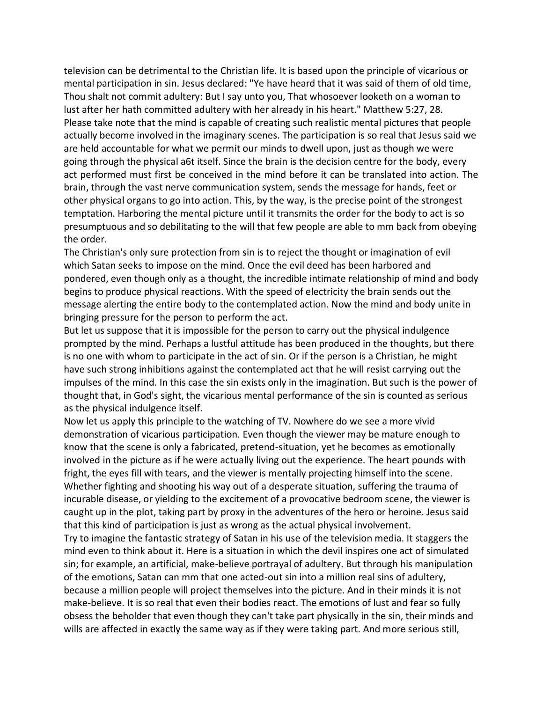television can be detrimental to the Christian life. It is based upon the principle of vicarious or mental participation in sin. Jesus declared: "Ye have heard that it was said of them of old time, Thou shalt not commit adultery: But I say unto you, That whosoever looketh on a woman to lust after her hath committed adultery with her already in his heart." Matthew 5:27, 28. Please take note that the mind is capable of creating such realistic mental pictures that people actually become involved in the imaginary scenes. The participation is so real that Jesus said we are held accountable for what we permit our minds to dwell upon, just as though we were going through the physical a6t itself. Since the brain is the decision centre for the body, every act performed must first be conceived in the mind before it can be translated into action. The brain, through the vast nerve communication system, sends the message for hands, feet or other physical organs to go into action. This, by the way, is the precise point of the strongest temptation. Harboring the mental picture until it transmits the order for the body to act is so presumptuous and so debilitating to the will that few people are able to mm back from obeying the order.

The Christian's only sure protection from sin is to reject the thought or imagination of evil which Satan seeks to impose on the mind. Once the evil deed has been harbored and pondered, even though only as a thought, the incredible intimate relationship of mind and body begins to produce physical reactions. With the speed of electricity the brain sends out the message alerting the entire body to the contemplated action. Now the mind and body unite in bringing pressure for the person to perform the act.

But let us suppose that it is impossible for the person to carry out the physical indulgence prompted by the mind. Perhaps a lustful attitude has been produced in the thoughts, but there is no one with whom to participate in the act of sin. Or if the person is a Christian, he might have such strong inhibitions against the contemplated act that he will resist carrying out the impulses of the mind. In this case the sin exists only in the imagination. But such is the power of thought that, in God's sight, the vicarious mental performance of the sin is counted as serious as the physical indulgence itself.

Now let us apply this principle to the watching of TV. Nowhere do we see a more vivid demonstration of vicarious participation. Even though the viewer may be mature enough to know that the scene is only a fabricated, pretend-situation, yet he becomes as emotionally involved in the picture as if he were actually living out the experience. The heart pounds with fright, the eyes fill with tears, and the viewer is mentally projecting himself into the scene. Whether fighting and shooting his way out of a desperate situation, suffering the trauma of incurable disease, or yielding to the excitement of a provocative bedroom scene, the viewer is caught up in the plot, taking part by proxy in the adventures of the hero or heroine. Jesus said that this kind of participation is just as wrong as the actual physical involvement.

Try to imagine the fantastic strategy of Satan in his use of the television media. It staggers the mind even to think about it. Here is a situation in which the devil inspires one act of simulated sin; for example, an artificial, make-believe portrayal of adultery. But through his manipulation of the emotions, Satan can mm that one acted-out sin into a million real sins of adultery, because a million people will project themselves into the picture. And in their minds it is not make-believe. It is so real that even their bodies react. The emotions of lust and fear so fully obsess the beholder that even though they can't take part physically in the sin, their minds and wills are affected in exactly the same way as if they were taking part. And more serious still,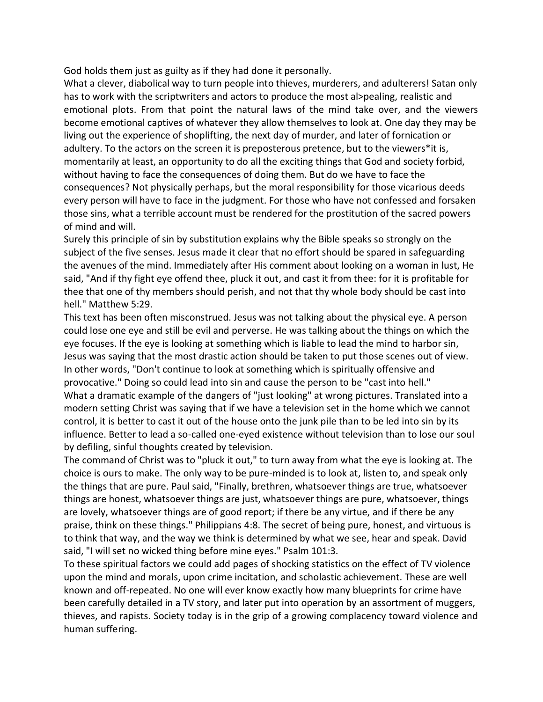God holds them just as guilty as if they had done it personally.

What a clever, diabolical way to turn people into thieves, murderers, and adulterers! Satan only has to work with the scriptwriters and actors to produce the most al>pealing, realistic and emotional plots. From that point the natural laws of the mind take over, and the viewers become emotional captives of whatever they allow themselves to look at. One day they may be living out the experience of shoplifting, the next day of murder, and later of fornication or adultery. To the actors on the screen it is preposterous pretence, but to the viewers\*it is, momentarily at least, an opportunity to do all the exciting things that God and society forbid, without having to face the consequences of doing them. But do we have to face the consequences? Not physically perhaps, but the moral responsibility for those vicarious deeds every person will have to face in the judgment. For those who have not confessed and forsaken those sins, what a terrible account must be rendered for the prostitution of the sacred powers of mind and will.

Surely this principle of sin by substitution explains why the Bible speaks so strongly on the subject of the five senses. Jesus made it clear that no effort should be spared in safeguarding the avenues of the mind. Immediately after His comment about looking on a woman in lust, He said, "And if thy fight eye offend thee, pluck it out, and cast it from thee: for it is profitable for thee that one of thy members should perish, and not that thy whole body should be cast into hell." Matthew 5:29.

This text has been often misconstrued. Jesus was not talking about the physical eye. A person could lose one eye and still be evil and perverse. He was talking about the things on which the eye focuses. If the eye is looking at something which is liable to lead the mind to harbor sin, Jesus was saying that the most drastic action should be taken to put those scenes out of view. In other words, "Don't continue to look at something which is spiritually offensive and provocative." Doing so could lead into sin and cause the person to be "cast into hell." What a dramatic example of the dangers of "just looking" at wrong pictures. Translated into a modern setting Christ was saying that if we have a television set in the home which we cannot control, it is better to cast it out of the house onto the junk pile than to be led into sin by its influence. Better to lead a so-called one-eyed existence without television than to lose our soul by defiling, sinful thoughts created by television.

The command of Christ was to "pluck it out," to turn away from what the eye is looking at. The choice is ours to make. The only way to be pure-minded is to look at, listen to, and speak only the things that are pure. Paul said, "Finally, brethren, whatsoever things are true, whatsoever things are honest, whatsoever things are just, whatsoever things are pure, whatsoever, things are lovely, whatsoever things are of good report; if there be any virtue, and if there be any praise, think on these things." Philippians 4:8. The secret of being pure, honest, and virtuous is to think that way, and the way we think is determined by what we see, hear and speak. David said, "I will set no wicked thing before mine eyes." Psalm 101:3.

To these spiritual factors we could add pages of shocking statistics on the effect of TV violence upon the mind and morals, upon crime incitation, and scholastic achievement. These are well known and off-repeated. No one will ever know exactly how many blueprints for crime have been carefully detailed in a TV story, and later put into operation by an assortment of muggers, thieves, and rapists. Society today is in the grip of a growing complacency toward violence and human suffering.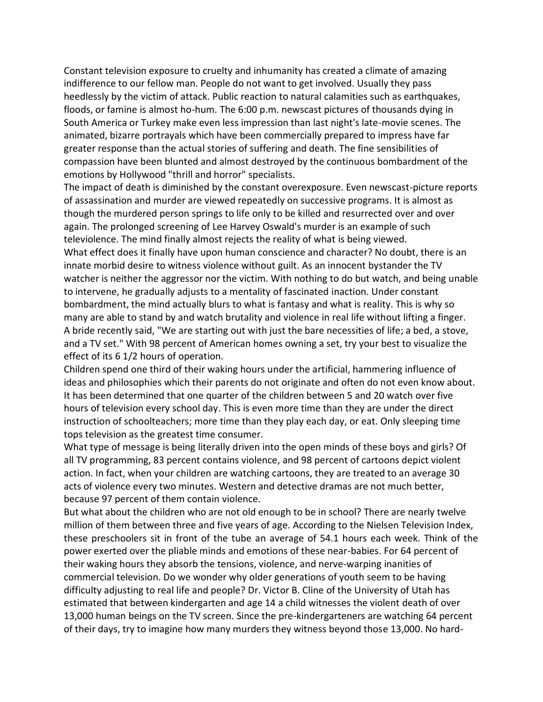Constant television exposure to cruelty and inhumanity has created a climate of amazing indifference to our fellow man. People do not want to get involved. Usually they pass heedlessly by the victim of attack. Public reaction to natural calamities such as earthquakes, floods, or famine is almost ho-hum. The 6:00 p.m. newscast pictures of thousands dying in South America or Turkey make even less impression than last night's late-movie scenes. The animated, bizarre portrayals which have been commercially prepared to impress have far greater response than the actual stories of suffering and death. The fine sensibilities of compassion have been blunted and almost destroyed by the continuous bombardment of the emotions by Hollywood "thrill and horror" specialists.

The impact of death is diminished by the constant overexposure. Even newscast-picture reports of assassination and murder are viewed repeatedly on successive programs. It is almost as though the murdered person springs to life only to be killed and resurrected over and over again. The prolonged screening of Lee Harvey Oswald's murder is an example of such televiolence. The mind finally almost rejects the reality of what is being viewed. What effect does it finally have upon human conscience and character? No doubt, there is an innate morbid desire to witness violence without guilt. As an innocent bystander the TV watcher is neither the aggressor nor the victim. With nothing to do but watch, and being unable to intervene, he gradually adjusts to a mentality of fascinated inaction. Under constant bombardment, the mind actually blurs to what is fantasy and what is reality. This is why so many are able to stand by and watch brutality and violence in real life without lifting a finger. A bride recently said, "We are starting out with just the bare necessities of life; a bed, a stove, and a TV set." With 98 percent of American homes owning a set, try your best to visualize the effect of its 6 1/2 hours of operation.

Children spend one third of their waking hours under the artificial, hammering influence of ideas and philosophies which their parents do not originate and often do not even know about. It has been determined that one quarter of the children between 5 and 20 watch over five hours of television every school day. This is even more time than they are under the direct instruction of schoolteachers; more time than they play each day, or eat. Only sleeping time tops television as the greatest time consumer.

What type of message is being literally driven into the open minds of these boys and girls? Of all TV programming, 83 percent contains violence, and 98 percent of cartoons depict violent action. In fact, when your children are watching cartoons, they are treated to an average 30 acts of violence every two minutes. Western and detective dramas are not much better, because 97 percent of them contain violence.

But what about the children who are not old enough to be in school? There are nearly twelve million of them between three and five years of age. According to the Nielsen Television Index, these preschoolers sit in front of the tube an average of 54.1 hours each week. Think of the power exerted over the pliable minds and emotions of these near-babies. For 64 percent of their waking hours they absorb the tensions, violence, and nerve-warping inanities of commercial television. Do we wonder why older generations of youth seem to be having difficulty adjusting to real life and people? Dr. Victor B. Cline of the University of Utah has estimated that between kindergarten and age 14 a child witnesses the violent death of over 13,000 human beings on the TV screen. Since the pre-kindergarteners are watching 64 percent of their days, try to imagine how many murders they witness beyond those 13,000. No hard-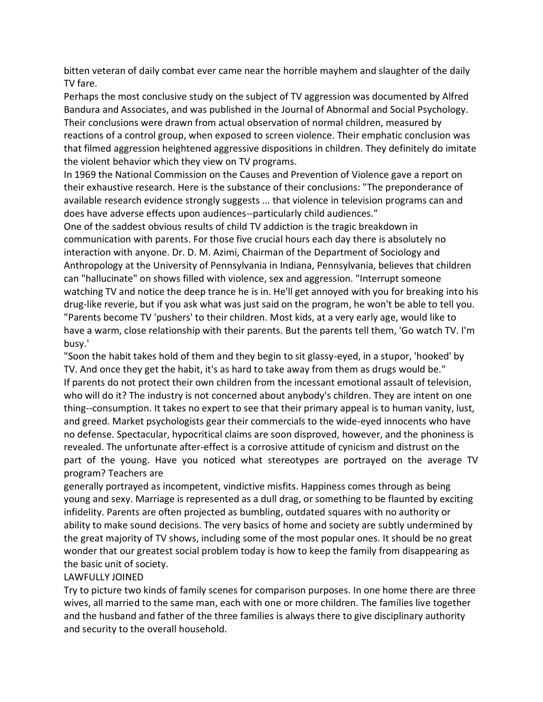bitten veteran of daily combat ever came near the horrible mayhem and slaughter of the daily TV fare.

Perhaps the most conclusive study on the subject of TV aggression was documented by Alfred Bandura and Associates, and was published in the Journal of Abnormal and Social Psychology. Their conclusions were drawn from actual observation of normal children, measured by reactions of a control group, when exposed to screen violence. Their emphatic conclusion was that filmed aggression heightened aggressive dispositions in children. They definitely do imitate the violent behavior which they view on TV programs.

In 1969 the National Commission on the Causes and Prevention of Violence gave a report on their exhaustive research. Here is the substance of their conclusions: "The preponderance of available research evidence strongly suggests ... that violence in television programs can and does have adverse effects upon audiences--particularly child audiences."

One of the saddest obvious results of child TV addiction is the tragic breakdown in communication with parents. For those five crucial hours each day there is absolutely no interaction with anyone. Dr. D. M. Azimi, Chairman of the Department of Sociology and Anthropology at the University of Pennsylvania in Indiana, Pennsylvania, believes that children can "hallucinate" on shows filled with violence, sex and aggression. "Interrupt someone watching TV and notice the deep trance he is in. He'll get annoyed with you for breaking into his drug-like reverie, but if you ask what was just said on the program, he won't be able to tell you. "Parents become TV 'pushers' to their children. Most kids, at a very early age, would like to have a warm, close relationship with their parents. But the parents tell them, 'Go watch TV. I'm busy.'

"Soon the habit takes hold of them and they begin to sit glassy-eyed, in a stupor, 'hooked' by TV. And once they get the habit, it's as hard to take away from them as drugs would be." If parents do not protect their own children from the incessant emotional assault of television, who will do it? The industry is not concerned about anybody's children. They are intent on one thing--consumption. It takes no expert to see that their primary appeal is to human vanity, lust, and greed. Market psychologists gear their commercials to the wide-eyed innocents who have no defense. Spectacular, hypocritical claims are soon disproved, however, and the phoniness is revealed. The unfortunate after-effect is a corrosive attitude of cynicism and distrust on the part of the young. Have you noticed what stereotypes are portrayed on the average TV program? Teachers are

generally portrayed as incompetent, vindictive misfits. Happiness comes through as being young and sexy. Marriage is represented as a dull drag, or something to be flaunted by exciting infidelity. Parents are often projected as bumbling, outdated squares with no authority or ability to make sound decisions. The very basics of home and society are subtly undermined by the great majority of TV shows, including some of the most popular ones. It should be no great wonder that our greatest social problem today is how to keep the family from disappearing as the basic unit of society.

## LAWFULLY JOINED

Try to picture two kinds of family scenes for comparison purposes. In one home there are three wives, all married to the same man, each with one or more children. The families live together and the husband and father of the three families is always there to give disciplinary authority and security to the overall household.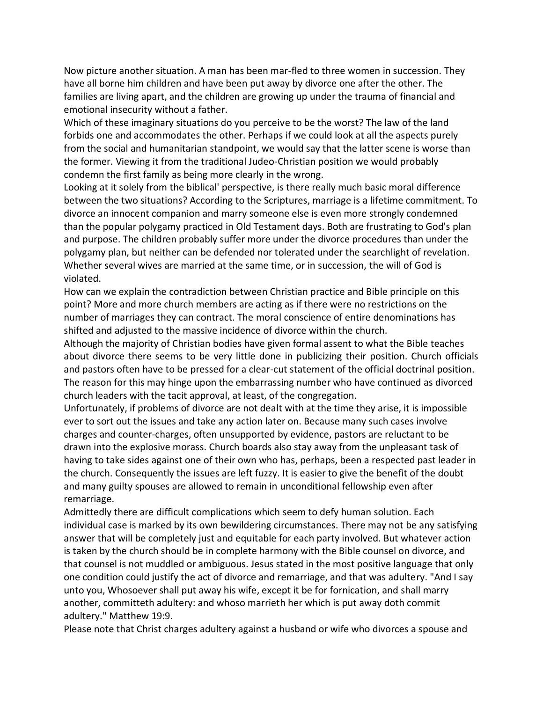Now picture another situation. A man has been mar-fled to three women in succession. They have all borne him children and have been put away by divorce one after the other. The families are living apart, and the children are growing up under the trauma of financial and emotional insecurity without a father.

Which of these imaginary situations do you perceive to be the worst? The law of the land forbids one and accommodates the other. Perhaps if we could look at all the aspects purely from the social and humanitarian standpoint, we would say that the latter scene is worse than the former. Viewing it from the traditional Judeo-Christian position we would probably condemn the first family as being more clearly in the wrong.

Looking at it solely from the biblical' perspective, is there really much basic moral difference between the two situations? According to the Scriptures, marriage is a lifetime commitment. To divorce an innocent companion and marry someone else is even more strongly condemned than the popular polygamy practiced in Old Testament days. Both are frustrating to God's plan and purpose. The children probably suffer more under the divorce procedures than under the polygamy plan, but neither can be defended nor tolerated under the searchlight of revelation. Whether several wives are married at the same time, or in succession, the will of God is violated.

How can we explain the contradiction between Christian practice and Bible principle on this point? More and more church members are acting as if there were no restrictions on the number of marriages they can contract. The moral conscience of entire denominations has shifted and adjusted to the massive incidence of divorce within the church.

Although the majority of Christian bodies have given formal assent to what the Bible teaches about divorce there seems to be very little done in publicizing their position. Church officials and pastors often have to be pressed for a clear-cut statement of the official doctrinal position. The reason for this may hinge upon the embarrassing number who have continued as divorced church leaders with the tacit approval, at least, of the congregation.

Unfortunately, if problems of divorce are not dealt with at the time they arise, it is impossible ever to sort out the issues and take any action later on. Because many such cases involve charges and counter-charges, often unsupported by evidence, pastors are reluctant to be drawn into the explosive morass. Church boards also stay away from the unpleasant task of having to take sides against one of their own who has, perhaps, been a respected past leader in the church. Consequently the issues are left fuzzy. It is easier to give the benefit of the doubt and many guilty spouses are allowed to remain in unconditional fellowship even after remarriage.

Admittedly there are difficult complications which seem to defy human solution. Each individual case is marked by its own bewildering circumstances. There may not be any satisfying answer that will be completely just and equitable for each party involved. But whatever action is taken by the church should be in complete harmony with the Bible counsel on divorce, and that counsel is not muddled or ambiguous. Jesus stated in the most positive language that only one condition could justify the act of divorce and remarriage, and that was adultery. "And I say unto you, Whosoever shall put away his wife, except it be for fornication, and shall marry another, committeth adultery: and whoso marrieth her which is put away doth commit adultery." Matthew 19:9.

Please note that Christ charges adultery against a husband or wife who divorces a spouse and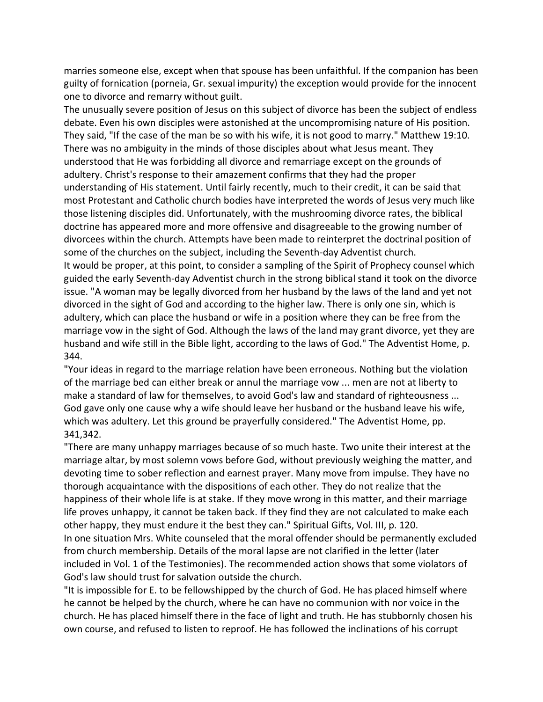marries someone else, except when that spouse has been unfaithful. If the companion has been guilty of fornication (porneia, Gr. sexual impurity) the exception would provide for the innocent one to divorce and remarry without guilt.

The unusually severe position of Jesus on this subject of divorce has been the subject of endless debate. Even his own disciples were astonished at the uncompromising nature of His position. They said, "If the case of the man be so with his wife, it is not good to marry." Matthew 19:10. There was no ambiguity in the minds of those disciples about what Jesus meant. They understood that He was forbidding all divorce and remarriage except on the grounds of adultery. Christ's response to their amazement confirms that they had the proper understanding of His statement. Until fairly recently, much to their credit, it can be said that most Protestant and Catholic church bodies have interpreted the words of Jesus very much like those listening disciples did. Unfortunately, with the mushrooming divorce rates, the biblical doctrine has appeared more and more offensive and disagreeable to the growing number of divorcees within the church. Attempts have been made to reinterpret the doctrinal position of some of the churches on the subject, including the Seventh-day Adventist church. It would be proper, at this point, to consider a sampling of the Spirit of Prophecy counsel which guided the early Seventh-day Adventist church in the strong biblical stand it took on the divorce issue. "A woman may be legally divorced from her husband by the laws of the land and yet not divorced in the sight of God and according to the higher law. There is only one sin, which is adultery, which can place the husband or wife in a position where they can be free from the marriage vow in the sight of God. Although the laws of the land may grant divorce, yet they are husband and wife still in the Bible light, according to the laws of God." The Adventist Home, p. 344.

"Your ideas in regard to the marriage relation have been erroneous. Nothing but the violation of the marriage bed can either break or annul the marriage vow ... men are not at liberty to make a standard of law for themselves, to avoid God's law and standard of righteousness ... God gave only one cause why a wife should leave her husband or the husband leave his wife, which was adultery. Let this ground be prayerfully considered." The Adventist Home, pp. 341,342.

"There are many unhappy marriages because of so much haste. Two unite their interest at the marriage altar, by most solemn vows before God, without previously weighing the matter, and devoting time to sober reflection and earnest prayer. Many move from impulse. They have no thorough acquaintance with the dispositions of each other. They do not realize that the happiness of their whole life is at stake. If they move wrong in this matter, and their marriage life proves unhappy, it cannot be taken back. If they find they are not calculated to make each other happy, they must endure it the best they can." Spiritual Gifts, Vol. III, p. 120.

In one situation Mrs. White counseled that the moral offender should be permanently excluded from church membership. Details of the moral lapse are not clarified in the letter (later included in Vol. 1 of the Testimonies). The recommended action shows that some violators of God's law should trust for salvation outside the church.

"It is impossible for E. to be fellowshipped by the church of God. He has placed himself where he cannot be helped by the church, where he can have no communion with nor voice in the church. He has placed himself there in the face of light and truth. He has stubbornly chosen his own course, and refused to listen to reproof. He has followed the inclinations of his corrupt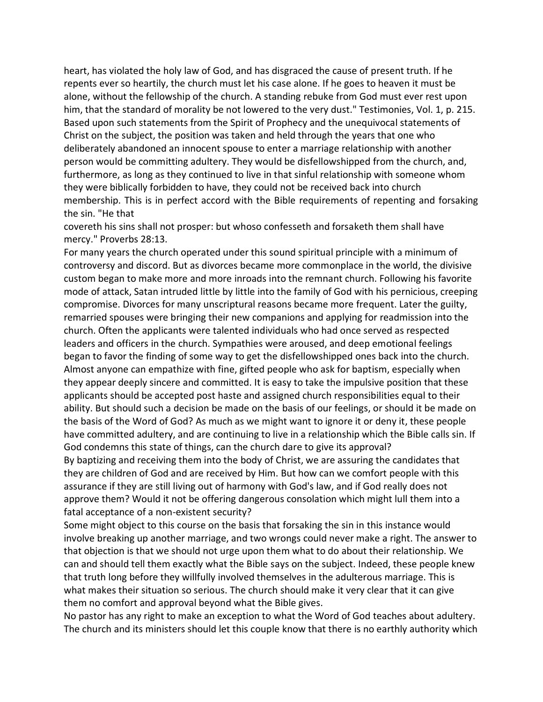heart, has violated the holy law of God, and has disgraced the cause of present truth. If he repents ever so heartily, the church must let his case alone. If he goes to heaven it must be alone, without the fellowship of the church. A standing rebuke from God must ever rest upon him, that the standard of morality be not lowered to the very dust." Testimonies, Vol. 1, p. 215. Based upon such statements from the Spirit of Prophecy and the unequivocal statements of Christ on the subject, the position was taken and held through the years that one who deliberately abandoned an innocent spouse to enter a marriage relationship with another person would be committing adultery. They would be disfellowshipped from the church, and, furthermore, as long as they continued to live in that sinful relationship with someone whom they were biblically forbidden to have, they could not be received back into church membership. This is in perfect accord with the Bible requirements of repenting and forsaking the sin. "He that

covereth his sins shall not prosper: but whoso confesseth and forsaketh them shall have mercy." Proverbs 28:13.

For many years the church operated under this sound spiritual principle with a minimum of controversy and discord. But as divorces became more commonplace in the world, the divisive custom began to make more and more inroads into the remnant church. Following his favorite mode of attack, Satan intruded little by little into the family of God with his pernicious, creeping compromise. Divorces for many unscriptural reasons became more frequent. Later the guilty, remarried spouses were bringing their new companions and applying for readmission into the church. Often the applicants were talented individuals who had once served as respected leaders and officers in the church. Sympathies were aroused, and deep emotional feelings began to favor the finding of some way to get the disfellowshipped ones back into the church. Almost anyone can empathize with fine, gifted people who ask for baptism, especially when they appear deeply sincere and committed. It is easy to take the impulsive position that these applicants should be accepted post haste and assigned church responsibilities equal to their ability. But should such a decision be made on the basis of our feelings, or should it be made on the basis of the Word of God? As much as we might want to ignore it or deny it, these people have committed adultery, and are continuing to live in a relationship which the Bible calls sin. If God condemns this state of things, can the church dare to give its approval?

By baptizing and receiving them into the body of Christ, we are assuring the candidates that they are children of God and are received by Him. But how can we comfort people with this assurance if they are still living out of harmony with God's law, and if God really does not approve them? Would it not be offering dangerous consolation which might lull them into a fatal acceptance of a non-existent security?

Some might object to this course on the basis that forsaking the sin in this instance would involve breaking up another marriage, and two wrongs could never make a right. The answer to that objection is that we should not urge upon them what to do about their relationship. We can and should tell them exactly what the Bible says on the subject. Indeed, these people knew that truth long before they willfully involved themselves in the adulterous marriage. This is what makes their situation so serious. The church should make it very clear that it can give them no comfort and approval beyond what the Bible gives.

No pastor has any right to make an exception to what the Word of God teaches about adultery. The church and its ministers should let this couple know that there is no earthly authority which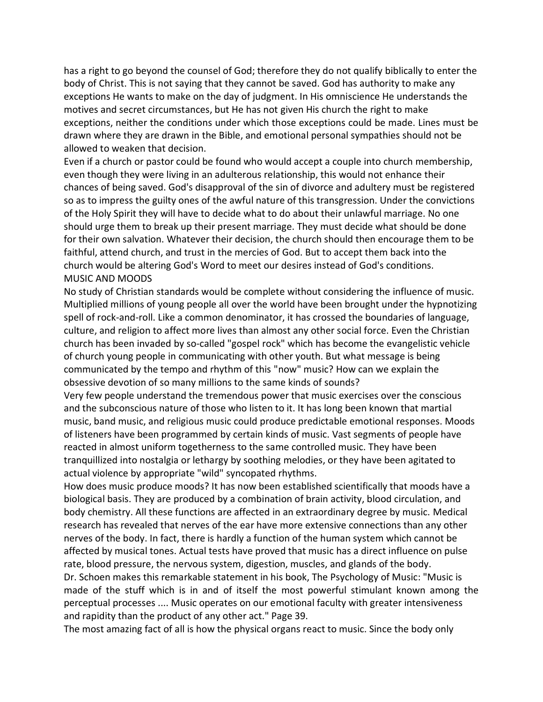has a right to go beyond the counsel of God; therefore they do not qualify biblically to enter the body of Christ. This is not saying that they cannot be saved. God has authority to make any exceptions He wants to make on the day of judgment. In His omniscience He understands the motives and secret circumstances, but He has not given His church the right to make exceptions, neither the conditions under which those exceptions could be made. Lines must be drawn where they are drawn in the Bible, and emotional personal sympathies should not be allowed to weaken that decision.

Even if a church or pastor could be found who would accept a couple into church membership, even though they were living in an adulterous relationship, this would not enhance their chances of being saved. God's disapproval of the sin of divorce and adultery must be registered so as to impress the guilty ones of the awful nature of this transgression. Under the convictions of the Holy Spirit they will have to decide what to do about their unlawful marriage. No one should urge them to break up their present marriage. They must decide what should be done for their own salvation. Whatever their decision, the church should then encourage them to be faithful, attend church, and trust in the mercies of God. But to accept them back into the church would be altering God's Word to meet our desires instead of God's conditions. MUSIC AND MOODS

No study of Christian standards would be complete without considering the influence of music. Multiplied millions of young people all over the world have been brought under the hypnotizing spell of rock-and-roll. Like a common denominator, it has crossed the boundaries of language, culture, and religion to affect more lives than almost any other social force. Even the Christian church has been invaded by so-called "gospel rock" which has become the evangelistic vehicle of church young people in communicating with other youth. But what message is being communicated by the tempo and rhythm of this "now" music? How can we explain the obsessive devotion of so many millions to the same kinds of sounds?

Very few people understand the tremendous power that music exercises over the conscious and the subconscious nature of those who listen to it. It has long been known that martial music, band music, and religious music could produce predictable emotional responses. Moods of listeners have been programmed by certain kinds of music. Vast segments of people have reacted in almost uniform togetherness to the same controlled music. They have been tranquillized into nostalgia or lethargy by soothing melodies, or they have been agitated to actual violence by appropriate "wild" syncopated rhythms.

How does music produce moods? It has now been established scientifically that moods have a biological basis. They are produced by a combination of brain activity, blood circulation, and body chemistry. All these functions are affected in an extraordinary degree by music. Medical research has revealed that nerves of the ear have more extensive connections than any other nerves of the body. In fact, there is hardly a function of the human system which cannot be affected by musical tones. Actual tests have proved that music has a direct influence on pulse rate, blood pressure, the nervous system, digestion, muscles, and glands of the body. Dr. Schoen makes this remarkable statement in his book, The Psychology of Music: "Music is made of the stuff which is in and of itself the most powerful stimulant known among the perceptual processes .... Music operates on our emotional faculty with greater intensiveness and rapidity than the product of any other act." Page 39.

The most amazing fact of all is how the physical organs react to music. Since the body only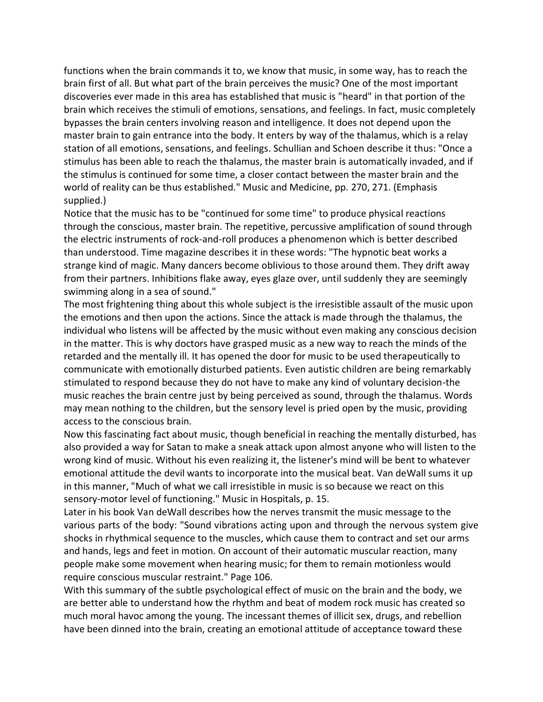functions when the brain commands it to, we know that music, in some way, has to reach the brain first of all. But what part of the brain perceives the music? One of the most important discoveries ever made in this area has established that music is "heard" in that portion of the brain which receives the stimuli of emotions, sensations, and feelings. In fact, music completely bypasses the brain centers involving reason and intelligence. It does not depend upon the master brain to gain entrance into the body. It enters by way of the thalamus, which is a relay station of all emotions, sensations, and feelings. Schullian and Schoen describe it thus: "Once a stimulus has been able to reach the thalamus, the master brain is automatically invaded, and if the stimulus is continued for some time, a closer contact between the master brain and the world of reality can be thus established." Music and Medicine, pp. 270, 271. (Emphasis supplied.)

Notice that the music has to be "continued for some time" to produce physical reactions through the conscious, master brain. The repetitive, percussive amplification of sound through the electric instruments of rock-and-roll produces a phenomenon which is better described than understood. Time magazine describes it in these words: "The hypnotic beat works a strange kind of magic. Many dancers become oblivious to those around them. They drift away from their partners. Inhibitions flake away, eyes glaze over, until suddenly they are seemingly swimming along in a sea of sound."

The most frightening thing about this whole subject is the irresistible assault of the music upon the emotions and then upon the actions. Since the attack is made through the thalamus, the individual who listens will be affected by the music without even making any conscious decision in the matter. This is why doctors have grasped music as a new way to reach the minds of the retarded and the mentally ill. It has opened the door for music to be used therapeutically to communicate with emotionally disturbed patients. Even autistic children are being remarkably stimulated to respond because they do not have to make any kind of voluntary decision-the music reaches the brain centre just by being perceived as sound, through the thalamus. Words may mean nothing to the children, but the sensory level is pried open by the music, providing access to the conscious brain.

Now this fascinating fact about music, though beneficial in reaching the mentally disturbed, has also provided a way for Satan to make a sneak attack upon almost anyone who will listen to the wrong kind of music. Without his even realizing it, the listener's mind will be bent to whatever emotional attitude the devil wants to incorporate into the musical beat. Van deWall sums it up in this manner, "Much of what we call irresistible in music is so because we react on this sensory-motor level of functioning." Music in Hospitals, p. 15.

Later in his book Van deWall describes how the nerves transmit the music message to the various parts of the body: "Sound vibrations acting upon and through the nervous system give shocks in rhythmical sequence to the muscles, which cause them to contract and set our arms and hands, legs and feet in motion. On account of their automatic muscular reaction, many people make some movement when hearing music; for them to remain motionless would require conscious muscular restraint." Page 106.

With this summary of the subtle psychological effect of music on the brain and the body, we are better able to understand how the rhythm and beat of modem rock music has created so much moral havoc among the young. The incessant themes of illicit sex, drugs, and rebellion have been dinned into the brain, creating an emotional attitude of acceptance toward these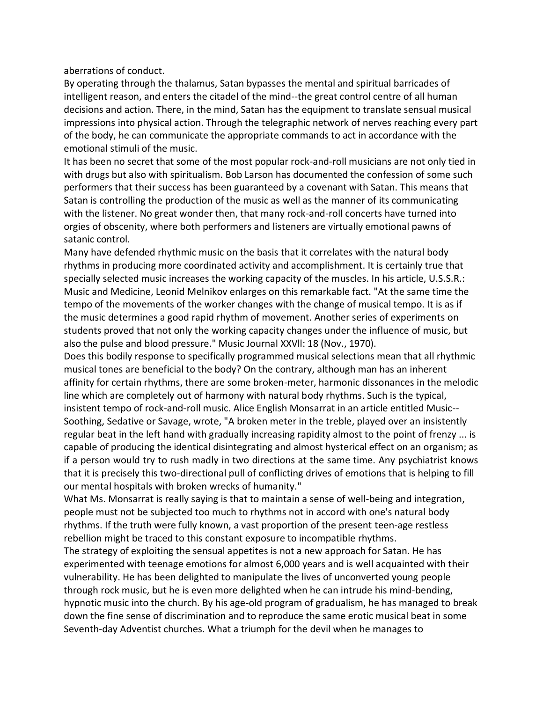aberrations of conduct.

By operating through the thalamus, Satan bypasses the mental and spiritual barricades of intelligent reason, and enters the citadel of the mind--the great control centre of all human decisions and action. There, in the mind, Satan has the equipment to translate sensual musical impressions into physical action. Through the telegraphic network of nerves reaching every part of the body, he can communicate the appropriate commands to act in accordance with the emotional stimuli of the music.

It has been no secret that some of the most popular rock-and-roll musicians are not only tied in with drugs but also with spiritualism. Bob Larson has documented the confession of some such performers that their success has been guaranteed by a covenant with Satan. This means that Satan is controlling the production of the music as well as the manner of its communicating with the listener. No great wonder then, that many rock-and-roll concerts have turned into orgies of obscenity, where both performers and listeners are virtually emotional pawns of satanic control.

Many have defended rhythmic music on the basis that it correlates with the natural body rhythms in producing more coordinated activity and accomplishment. It is certainly true that specially selected music increases the working capacity of the muscles. In his article, U.S.S.R.: Music and Medicine, Leonid Melnikov enlarges on this remarkable fact. "At the same time the tempo of the movements of the worker changes with the change of musical tempo. It is as if the music determines a good rapid rhythm of movement. Another series of experiments on students proved that not only the working capacity changes under the influence of music, but also the pulse and blood pressure." Music Journal XXVll: 18 (Nov., 1970).

Does this bodily response to specifically programmed musical selections mean that all rhythmic musical tones are beneficial to the body? On the contrary, although man has an inherent affinity for certain rhythms, there are some broken-meter, harmonic dissonances in the melodic line which are completely out of harmony with natural body rhythms. Such is the typical, insistent tempo of rock-and-roll music. Alice English Monsarrat in an article entitled Music-- Soothing, Sedative or Savage, wrote, "A broken meter in the treble, played over an insistently regular beat in the left hand with gradually increasing rapidity almost to the point of frenzy ... is capable of producing the identical disintegrating and almost hysterical effect on an organism; as if a person would try to rush madly in two directions at the same time. Any psychiatrist knows that it is precisely this two-directional pull of conflicting drives of emotions that is helping to fill our mental hospitals with broken wrecks of humanity."

What Ms. Monsarrat is really saying is that to maintain a sense of well-being and integration, people must not be subjected too much to rhythms not in accord with one's natural body rhythms. If the truth were fully known, a vast proportion of the present teen-age restless rebellion might be traced to this constant exposure to incompatible rhythms.

The strategy of exploiting the sensual appetites is not a new approach for Satan. He has experimented with teenage emotions for almost 6,000 years and is well acquainted with their vulnerability. He has been delighted to manipulate the lives of unconverted young people through rock music, but he is even more delighted when he can intrude his mind-bending, hypnotic music into the church. By his age-old program of gradualism, he has managed to break down the fine sense of discrimination and to reproduce the same erotic musical beat in some Seventh-day Adventist churches. What a triumph for the devil when he manages to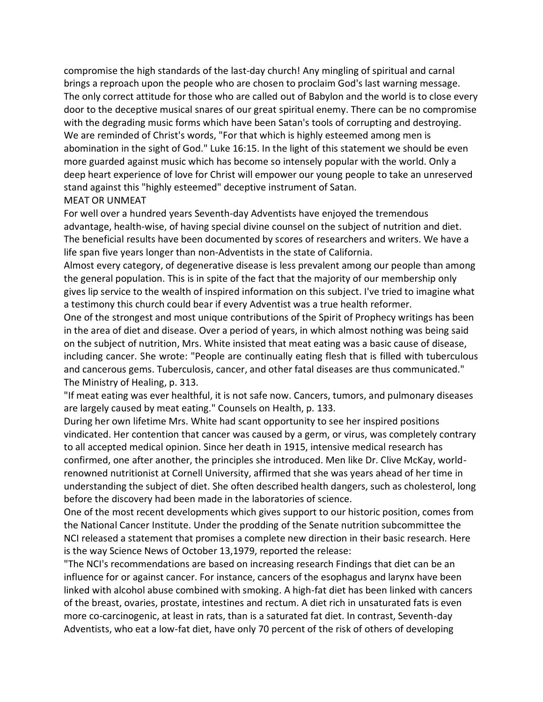compromise the high standards of the last-day church! Any mingling of spiritual and carnal brings a reproach upon the people who are chosen to proclaim God's last warning message. The only correct attitude for those who are called out of Babylon and the world is to close every door to the deceptive musical snares of our great spiritual enemy. There can be no compromise with the degrading music forms which have been Satan's tools of corrupting and destroying. We are reminded of Christ's words, "For that which is highly esteemed among men is abomination in the sight of God." Luke 16:15. In the light of this statement we should be even more guarded against music which has become so intensely popular with the world. Only a deep heart experience of love for Christ will empower our young people to take an unreserved stand against this "highly esteemed" deceptive instrument of Satan. MEAT OR UNMEAT

For well over a hundred years Seventh-day Adventists have enjoyed the tremendous advantage, health-wise, of having special divine counsel on the subject of nutrition and diet. The beneficial results have been documented by scores of researchers and writers. We have a life span five years longer than non-Adventists in the state of California.

Almost every category, of degenerative disease is less prevalent among our people than among the general population. This is in spite of the fact that the majority of our membership only gives lip service to the wealth of inspired information on this subject. I've tried to imagine what a testimony this church could bear if every Adventist was a true health reformer.

One of the strongest and most unique contributions of the Spirit of Prophecy writings has been in the area of diet and disease. Over a period of years, in which almost nothing was being said on the subject of nutrition, Mrs. White insisted that meat eating was a basic cause of disease, including cancer. She wrote: "People are continually eating flesh that is filled with tuberculous and cancerous gems. Tuberculosis, cancer, and other fatal diseases are thus communicated." The Ministry of Healing, p. 313.

"If meat eating was ever healthful, it is not safe now. Cancers, tumors, and pulmonary diseases are largely caused by meat eating." Counsels on Health, p. 133.

During her own lifetime Mrs. White had scant opportunity to see her inspired positions vindicated. Her contention that cancer was caused by a germ, or virus, was completely contrary to all accepted medical opinion. Since her death in 1915, intensive medical research has confirmed, one after another, the principles she introduced. Men like Dr. Clive McKay, worldrenowned nutritionist at Cornell University, affirmed that she was years ahead of her time in understanding the subject of diet. She often described health dangers, such as cholesterol, long before the discovery had been made in the laboratories of science.

One of the most recent developments which gives support to our historic position, comes from the National Cancer Institute. Under the prodding of the Senate nutrition subcommittee the NCI released a statement that promises a complete new direction in their basic research. Here is the way Science News of October 13,1979, reported the release:

"The NCI's recommendations are based on increasing research Findings that diet can be an influence for or against cancer. For instance, cancers of the esophagus and larynx have been linked with alcohol abuse combined with smoking. A high-fat diet has been linked with cancers of the breast, ovaries, prostate, intestines and rectum. A diet rich in unsaturated fats is even more co-carcinogenic, at least in rats, than is a saturated fat diet. In contrast, Seventh-day Adventists, who eat a low-fat diet, have only 70 percent of the risk of others of developing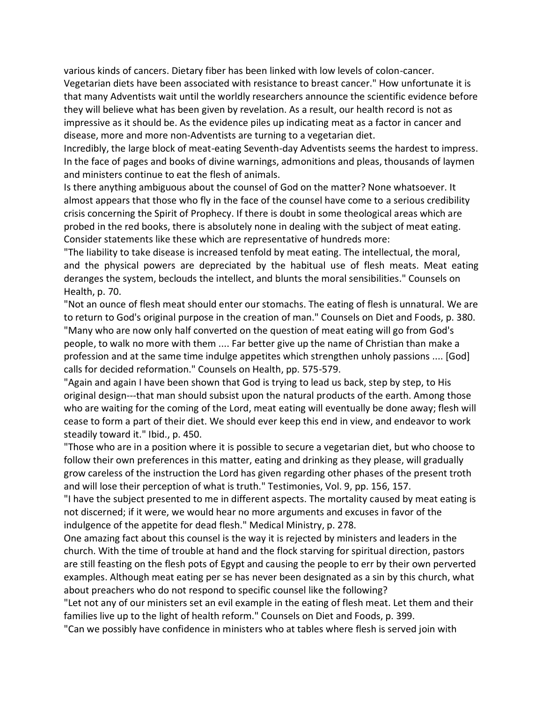various kinds of cancers. Dietary fiber has been linked with low levels of colon-cancer. Vegetarian diets have been associated with resistance to breast cancer." How unfortunate it is that many Adventists wait until the worldly researchers announce the scientific evidence before they will believe what has been given by revelation. As a result, our health record is not as impressive as it should be. As the evidence piles up indicating meat as a factor in cancer and disease, more and more non-Adventists are turning to a vegetarian diet.

Incredibly, the large block of meat-eating Seventh-day Adventists seems the hardest to impress. In the face of pages and books of divine warnings, admonitions and pleas, thousands of laymen and ministers continue to eat the flesh of animals.

Is there anything ambiguous about the counsel of God on the matter? None whatsoever. It almost appears that those who fly in the face of the counsel have come to a serious credibility crisis concerning the Spirit of Prophecy. If there is doubt in some theological areas which are probed in the red books, there is absolutely none in dealing with the subject of meat eating. Consider statements like these which are representative of hundreds more:

"The liability to take disease is increased tenfold by meat eating. The intellectual, the moral, and the physical powers are depreciated by the habitual use of flesh meats. Meat eating deranges the system, beclouds the intellect, and blunts the moral sensibilities." Counsels on Health, p. 70.

"Not an ounce of flesh meat should enter our stomachs. The eating of flesh is unnatural. We are to return to God's original purpose in the creation of man." Counsels on Diet and Foods, p. 380. "Many who are now only half converted on the question of meat eating will go from God's people, to walk no more with them .... Far better give up the name of Christian than make a profession and at the same time indulge appetites which strengthen unholy passions .... [God] calls for decided reformation." Counsels on Health, pp. 575-579.

"Again and again I have been shown that God is trying to lead us back, step by step, to His original design---that man should subsist upon the natural products of the earth. Among those who are waiting for the coming of the Lord, meat eating will eventually be done away; flesh will cease to form a part of their diet. We should ever keep this end in view, and endeavor to work steadily toward it." Ibid., p. 450.

"Those who are in a position where it is possible to secure a vegetarian diet, but who choose to follow their own preferences in this matter, eating and drinking as they please, will gradually grow careless of the instruction the Lord has given regarding other phases of the present troth and will lose their perception of what is truth." Testimonies, Vol. 9, pp. 156, 157.

"I have the subject presented to me in different aspects. The mortality caused by meat eating is not discerned; if it were, we would hear no more arguments and excuses in favor of the indulgence of the appetite for dead flesh." Medical Ministry, p. 278.

One amazing fact about this counsel is the way it is rejected by ministers and leaders in the church. With the time of trouble at hand and the flock starving for spiritual direction, pastors are still feasting on the flesh pots of Egypt and causing the people to err by their own perverted examples. Although meat eating per se has never been designated as a sin by this church, what about preachers who do not respond to specific counsel like the following?

"Let not any of our ministers set an evil example in the eating of flesh meat. Let them and their families live up to the light of health reform." Counsels on Diet and Foods, p. 399.

"Can we possibly have confidence in ministers who at tables where flesh is served join with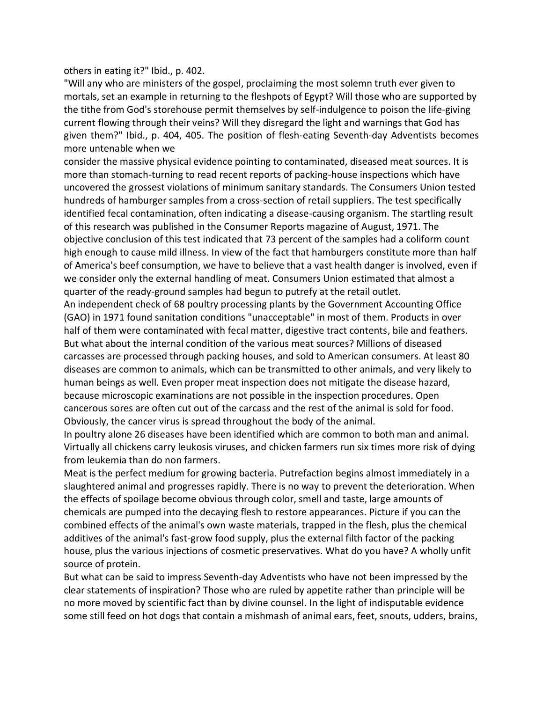others in eating it?" Ibid., p. 402.

"Will any who are ministers of the gospel, proclaiming the most solemn truth ever given to mortals, set an example in returning to the fleshpots of Egypt? Will those who are supported by the tithe from God's storehouse permit themselves by self-indulgence to poison the life-giving current flowing through their veins? Will they disregard the light and warnings that God has given them?" Ibid., p. 404, 405. The position of flesh-eating Seventh-day Adventists becomes more untenable when we

consider the massive physical evidence pointing to contaminated, diseased meat sources. It is more than stomach-turning to read recent reports of packing-house inspections which have uncovered the grossest violations of minimum sanitary standards. The Consumers Union tested hundreds of hamburger samples from a cross-section of retail suppliers. The test specifically identified fecal contamination, often indicating a disease-causing organism. The startling result of this research was published in the Consumer Reports magazine of August, 1971. The objective conclusion of this test indicated that 73 percent of the samples had a coliform count high enough to cause mild illness. In view of the fact that hamburgers constitute more than half of America's beef consumption, we have to believe that a vast health danger is involved, even if we consider only the external handling of meat. Consumers Union estimated that almost a quarter of the ready-ground samples had begun to putrefy at the retail outlet.

An independent check of 68 poultry processing plants by the Government Accounting Office (GAO) in 1971 found sanitation conditions "unacceptable" in most of them. Products in over half of them were contaminated with fecal matter, digestive tract contents, bile and feathers. But what about the internal condition of the various meat sources? Millions of diseased carcasses are processed through packing houses, and sold to American consumers. At least 80 diseases are common to animals, which can be transmitted to other animals, and very likely to human beings as well. Even proper meat inspection does not mitigate the disease hazard, because microscopic examinations are not possible in the inspection procedures. Open cancerous sores are often cut out of the carcass and the rest of the animal is sold for food. Obviously, the cancer virus is spread throughout the body of the animal.

In poultry alone 26 diseases have been identified which are common to both man and animal. Virtually all chickens carry leukosis viruses, and chicken farmers run six times more risk of dying from leukemia than do non farmers.

Meat is the perfect medium for growing bacteria. Putrefaction begins almost immediately in a slaughtered animal and progresses rapidly. There is no way to prevent the deterioration. When the effects of spoilage become obvious through color, smell and taste, large amounts of chemicals are pumped into the decaying flesh to restore appearances. Picture if you can the combined effects of the animal's own waste materials, trapped in the flesh, plus the chemical additives of the animal's fast-grow food supply, plus the external filth factor of the packing house, plus the various injections of cosmetic preservatives. What do you have? A wholly unfit source of protein.

But what can be said to impress Seventh-day Adventists who have not been impressed by the clear statements of inspiration? Those who are ruled by appetite rather than principle will be no more moved by scientific fact than by divine counsel. In the light of indisputable evidence some still feed on hot dogs that contain a mishmash of animal ears, feet, snouts, udders, brains,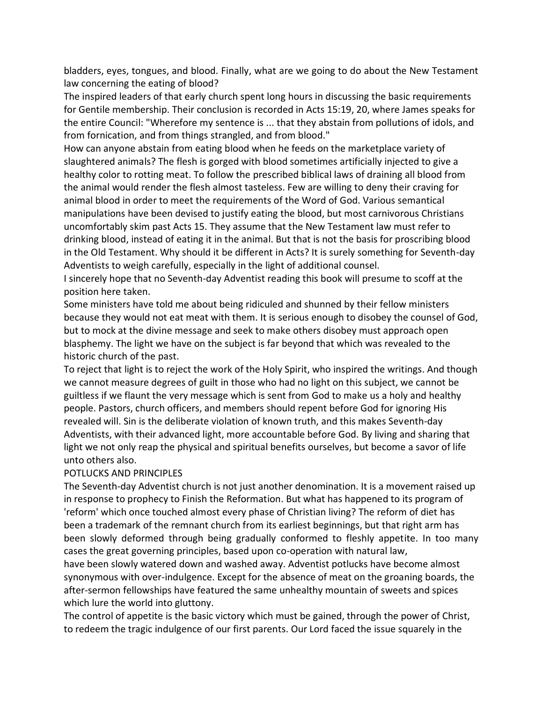bladders, eyes, tongues, and blood. Finally, what are we going to do about the New Testament law concerning the eating of blood?

The inspired leaders of that early church spent long hours in discussing the basic requirements for Gentile membership. Their conclusion is recorded in Acts 15:19, 20, where James speaks for the entire Council: "Wherefore my sentence is ... that they abstain from pollutions of idols, and from fornication, and from things strangled, and from blood."

How can anyone abstain from eating blood when he feeds on the marketplace variety of slaughtered animals? The flesh is gorged with blood sometimes artificially injected to give a healthy color to rotting meat. To follow the prescribed biblical laws of draining all blood from the animal would render the flesh almost tasteless. Few are willing to deny their craving for animal blood in order to meet the requirements of the Word of God. Various semantical manipulations have been devised to justify eating the blood, but most carnivorous Christians uncomfortably skim past Acts 15. They assume that the New Testament law must refer to drinking blood, instead of eating it in the animal. But that is not the basis for proscribing blood in the Old Testament. Why should it be different in Acts? It is surely something for Seventh-day Adventists to weigh carefully, especially in the light of additional counsel.

I sincerely hope that no Seventh-day Adventist reading this book will presume to scoff at the position here taken.

Some ministers have told me about being ridiculed and shunned by their fellow ministers because they would not eat meat with them. It is serious enough to disobey the counsel of God, but to mock at the divine message and seek to make others disobey must approach open blasphemy. The light we have on the subject is far beyond that which was revealed to the historic church of the past.

To reject that light is to reject the work of the Holy Spirit, who inspired the writings. And though we cannot measure degrees of guilt in those who had no light on this subject, we cannot be guiltless if we flaunt the very message which is sent from God to make us a holy and healthy people. Pastors, church officers, and members should repent before God for ignoring His revealed will. Sin is the deliberate violation of known truth, and this makes Seventh-day Adventists, with their advanced light, more accountable before God. By living and sharing that light we not only reap the physical and spiritual benefits ourselves, but become a savor of life unto others also.

#### POTLUCKS AND PRINCIPLES

The Seventh-day Adventist church is not just another denomination. It is a movement raised up in response to prophecy to Finish the Reformation. But what has happened to its program of 'reform' which once touched almost every phase of Christian living? The reform of diet has been a trademark of the remnant church from its earliest beginnings, but that right arm has been slowly deformed through being gradually conformed to fleshly appetite. In too many cases the great governing principles, based upon co-operation with natural law,

have been slowly watered down and washed away. Adventist potlucks have become almost synonymous with over-indulgence. Except for the absence of meat on the groaning boards, the after-sermon fellowships have featured the same unhealthy mountain of sweets and spices which lure the world into gluttony.

The control of appetite is the basic victory which must be gained, through the power of Christ, to redeem the tragic indulgence of our first parents. Our Lord faced the issue squarely in the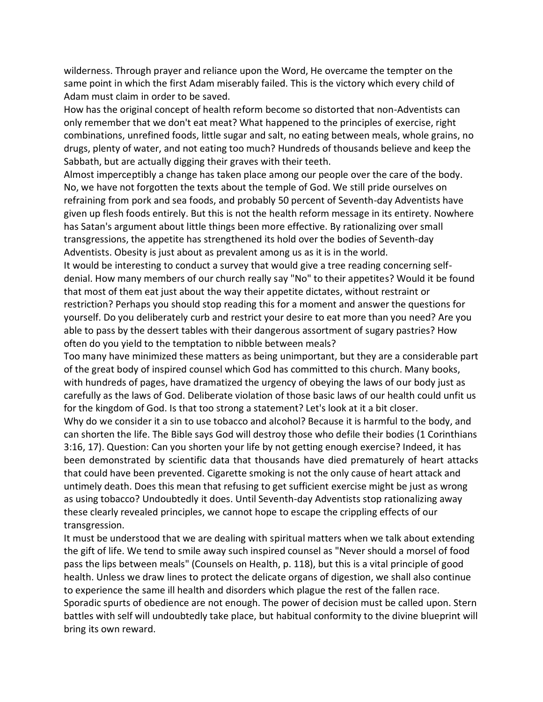wilderness. Through prayer and reliance upon the Word, He overcame the tempter on the same point in which the first Adam miserably failed. This is the victory which every child of Adam must claim in order to be saved.

How has the original concept of health reform become so distorted that non-Adventists can only remember that we don't eat meat? What happened to the principles of exercise, right combinations, unrefined foods, little sugar and salt, no eating between meals, whole grains, no drugs, plenty of water, and not eating too much? Hundreds of thousands believe and keep the Sabbath, but are actually digging their graves with their teeth.

Almost imperceptibly a change has taken place among our people over the care of the body. No, we have not forgotten the texts about the temple of God. We still pride ourselves on refraining from pork and sea foods, and probably 50 percent of Seventh-day Adventists have given up flesh foods entirely. But this is not the health reform message in its entirety. Nowhere has Satan's argument about little things been more effective. By rationalizing over small transgressions, the appetite has strengthened its hold over the bodies of Seventh-day Adventists. Obesity is just about as prevalent among us as it is in the world.

It would be interesting to conduct a survey that would give a tree reading concerning selfdenial. How many members of our church really say "No" to their appetites? Would it be found that most of them eat just about the way their appetite dictates, without restraint or restriction? Perhaps you should stop reading this for a moment and answer the questions for yourself. Do you deliberately curb and restrict your desire to eat more than you need? Are you able to pass by the dessert tables with their dangerous assortment of sugary pastries? How often do you yield to the temptation to nibble between meals?

Too many have minimized these matters as being unimportant, but they are a considerable part of the great body of inspired counsel which God has committed to this church. Many books, with hundreds of pages, have dramatized the urgency of obeying the laws of our body just as carefully as the laws of God. Deliberate violation of those basic laws of our health could unfit us for the kingdom of God. Is that too strong a statement? Let's look at it a bit closer.

Why do we consider it a sin to use tobacco and alcohol? Because it is harmful to the body, and can shorten the life. The Bible says God will destroy those who defile their bodies (1 Corinthians 3:16, 17). Question: Can you shorten your life by not getting enough exercise? Indeed, it has been demonstrated by scientific data that thousands have died prematurely of heart attacks that could have been prevented. Cigarette smoking is not the only cause of heart attack and untimely death. Does this mean that refusing to get sufficient exercise might be just as wrong as using tobacco? Undoubtedly it does. Until Seventh-day Adventists stop rationalizing away these clearly revealed principles, we cannot hope to escape the crippling effects of our transgression.

It must be understood that we are dealing with spiritual matters when we talk about extending the gift of life. We tend to smile away such inspired counsel as "Never should a morsel of food pass the lips between meals" (Counsels on Health, p. 118), but this is a vital principle of good health. Unless we draw lines to protect the delicate organs of digestion, we shall also continue to experience the same ill health and disorders which plague the rest of the fallen race. Sporadic spurts of obedience are not enough. The power of decision must be called upon. Stern battles with self will undoubtedly take place, but habitual conformity to the divine blueprint will bring its own reward.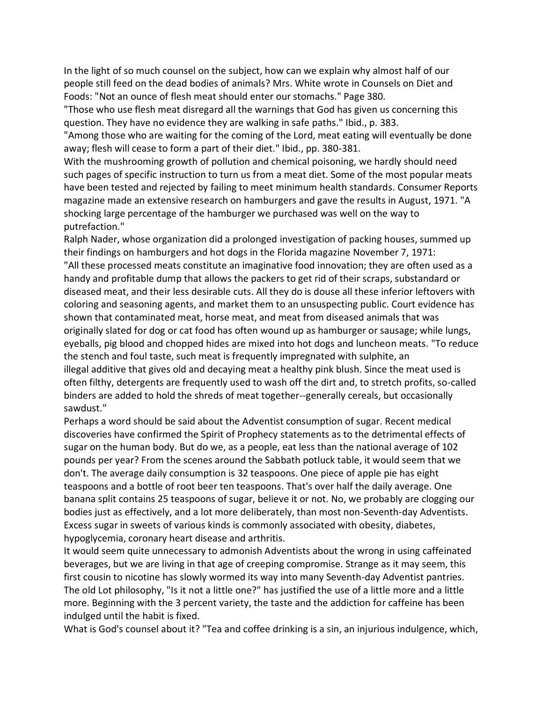In the light of so much counsel on the subject, how can we explain why almost half of our people still feed on the dead bodies of animals? Mrs. White wrote in Counsels on Diet and Foods: "Not an ounce of flesh meat should enter our stomachs." Page 380.

"Those who use flesh meat disregard all the warnings that God has given us concerning this question. They have no evidence they are walking in safe paths." Ibid., p. 383.

"Among those who are waiting for the coming of the Lord, meat eating will eventually be done away; flesh will cease to form a part of their diet." Ibid., pp. 380-381.

With the mushrooming growth of pollution and chemical poisoning, we hardly should need such pages of specific instruction to turn us from a meat diet. Some of the most popular meats have been tested and rejected by failing to meet minimum health standards. Consumer Reports magazine made an extensive research on hamburgers and gave the results in August, 1971. "A shocking large percentage of the hamburger we purchased was well on the way to putrefaction."

Ralph Nader, whose organization did a prolonged investigation of packing houses, summed up their findings on hamburgers and hot dogs in the Florida magazine November 7, 1971: "All these processed meats constitute an imaginative food innovation; they are often used as a handy and profitable dump that allows the packers to get rid of their scraps, substandard or diseased meat, and their less desirable cuts. All they do is douse all these inferior leftovers with coloring and seasoning agents, and market them to an unsuspecting public. Court evidence has shown that contaminated meat, horse meat, and meat from diseased animals that was originally slated for dog or cat food has often wound up as hamburger or sausage; while lungs, eyeballs, pig blood and chopped hides are mixed into hot dogs and luncheon meats. "To reduce the stench and foul taste, such meat is frequently impregnated with sulphite, an illegal additive that gives old and decaying meat a healthy pink blush. Since the meat used is often filthy, detergents are frequently used to wash off the dirt and, to stretch profits, so-called binders are added to hold the shreds of meat together--generally cereals, but occasionally sawdust."

Perhaps a word should be said about the Adventist consumption of sugar. Recent medical discoveries have confirmed the Spirit of Prophecy statements as to the detrimental effects of sugar on the human body. But do we, as a people, eat less than the national average of 102 pounds per year? From the scenes around the Sabbath potluck table, it would seem that we don't. The average daily consumption is 32 teaspoons. One piece of apple pie has eight teaspoons and a bottle of root beer ten teaspoons. That's over half the daily average. One banana split contains 25 teaspoons of sugar, believe it or not. No, we probably are clogging our bodies just as effectively, and a lot more deliberately, than most non-Seventh-day Adventists. Excess sugar in sweets of various kinds is commonly associated with obesity, diabetes, hypoglycemia, coronary heart disease and arthritis.

It would seem quite unnecessary to admonish Adventists about the wrong in using caffeinated beverages, but we are living in that age of creeping compromise. Strange as it may seem, this first cousin to nicotine has slowly wormed its way into many Seventh-day Adventist pantries. The old Lot philosophy, "Is it not a little one?" has justified the use of a little more and a little more. Beginning with the 3 percent variety, the taste and the addiction for caffeine has been indulged until the habit is fixed.

What is God's counsel about it? "Tea and coffee drinking is a sin, an injurious indulgence, which,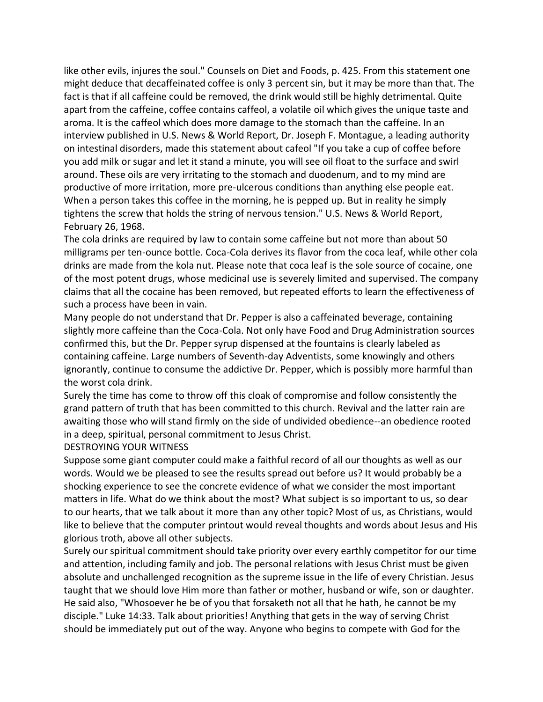like other evils, injures the soul." Counsels on Diet and Foods, p. 425. From this statement one might deduce that decaffeinated coffee is only 3 percent sin, but it may be more than that. The fact is that if all caffeine could be removed, the drink would still be highly detrimental. Quite apart from the caffeine, coffee contains caffeol, a volatile oil which gives the unique taste and aroma. It is the caffeol which does more damage to the stomach than the caffeine. In an interview published in U.S. News & World Report, Dr. Joseph F. Montague, a leading authority on intestinal disorders, made this statement about cafeol "If you take a cup of coffee before you add milk or sugar and let it stand a minute, you will see oil float to the surface and swirl around. These oils are very irritating to the stomach and duodenum, and to my mind are productive of more irritation, more pre-ulcerous conditions than anything else people eat. When a person takes this coffee in the morning, he is pepped up. But in reality he simply tightens the screw that holds the string of nervous tension." U.S. News & World Report, February 26, 1968.

The cola drinks are required by law to contain some caffeine but not more than about 50 milligrams per ten-ounce bottle. Coca-Cola derives its flavor from the coca leaf, while other cola drinks are made from the kola nut. Please note that coca leaf is the sole source of cocaine, one of the most potent drugs, whose medicinal use is severely limited and supervised. The company claims that all the cocaine has been removed, but repeated efforts to learn the effectiveness of such a process have been in vain.

Many people do not understand that Dr. Pepper is also a caffeinated beverage, containing slightly more caffeine than the Coca-Cola. Not only have Food and Drug Administration sources confirmed this, but the Dr. Pepper syrup dispensed at the fountains is clearly labeled as containing caffeine. Large numbers of Seventh-day Adventists, some knowingly and others ignorantly, continue to consume the addictive Dr. Pepper, which is possibly more harmful than the worst cola drink.

Surely the time has come to throw off this cloak of compromise and follow consistently the grand pattern of truth that has been committed to this church. Revival and the latter rain are awaiting those who will stand firmly on the side of undivided obedience--an obedience rooted in a deep, spiritual, personal commitment to Jesus Christ.

#### DESTROYING YOUR WITNESS

Suppose some giant computer could make a faithful record of all our thoughts as well as our words. Would we be pleased to see the results spread out before us? It would probably be a shocking experience to see the concrete evidence of what we consider the most important matters in life. What do we think about the most? What subject is so important to us, so dear to our hearts, that we talk about it more than any other topic? Most of us, as Christians, would like to believe that the computer printout would reveal thoughts and words about Jesus and His glorious troth, above all other subjects.

Surely our spiritual commitment should take priority over every earthly competitor for our time and attention, including family and job. The personal relations with Jesus Christ must be given absolute and unchallenged recognition as the supreme issue in the life of every Christian. Jesus taught that we should love Him more than father or mother, husband or wife, son or daughter. He said also, "Whosoever he be of you that forsaketh not all that he hath, he cannot be my disciple." Luke 14:33. Talk about priorities! Anything that gets in the way of serving Christ should be immediately put out of the way. Anyone who begins to compete with God for the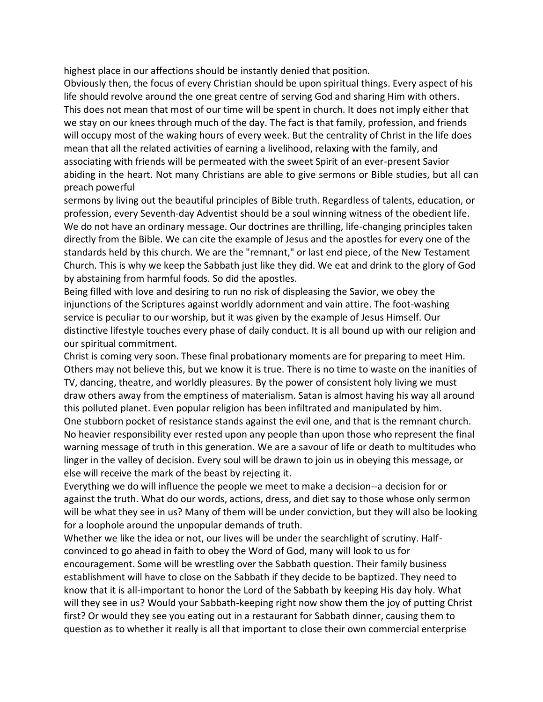highest place in our affections should be instantly denied that position.

Obviously then, the focus of every Christian should be upon spiritual things. Every aspect of his life should revolve around the one great centre of serving God and sharing Him with others. This does not mean that most of our time will be spent in church. It does not imply either that we stay on our knees through much of the day. The fact is that family, profession, and friends will occupy most of the waking hours of every week. But the centrality of Christ in the life does mean that all the related activities of earning a livelihood, relaxing with the family, and associating with friends will be permeated with the sweet Spirit of an ever-present Savior abiding in the heart. Not many Christians are able to give sermons or Bible studies, but all can preach powerful

sermons by living out the beautiful principles of Bible truth. Regardless of talents, education, or profession, every Seventh-day Adventist should be a soul winning witness of the obedient life. We do not have an ordinary message. Our doctrines are thrilling, life-changing principles taken directly from the Bible. We can cite the example of Jesus and the apostles for every one of the standards held by this church. We are the "remnant," or last end piece, of the New Testament Church. This is why we keep the Sabbath just like they did. We eat and drink to the glory of God by abstaining from harmful foods. So did the apostles.

Being filled with love and desiring to run no risk of displeasing the Savior, we obey the injunctions of the Scriptures against worldly adornment and vain attire. The foot-washing service is peculiar to our worship, but it was given by the example of Jesus Himself. Our distinctive lifestyle touches every phase of daily conduct. It is all bound up with our religion and our spiritual commitment.

Christ is coming very soon. These final probationary moments are for preparing to meet Him. Others may not believe this, but we know it is true. There is no time to waste on the inanities of TV, dancing, theatre, and worldly pleasures. By the power of consistent holy living we must draw others away from the emptiness of materialism. Satan is almost having his way all around this polluted planet. Even popular religion has been infiltrated and manipulated by him. One stubborn pocket of resistance stands against the evil one, and that is the remnant church. No heavier responsibility ever rested upon any people than upon those who represent the final warning message of truth in this generation. We are a savour of life or death to multitudes who linger in the valley of decision. Every soul will be drawn to join us in obeying this message, or else will receive the mark of the beast by rejecting it.

Everything we do will influence the people we meet to make a decision--a decision for or against the truth. What do our words, actions, dress, and diet say to those whose only sermon will be what they see in us? Many of them will be under conviction, but they will also be looking for a loophole around the unpopular demands of truth.

Whether we like the idea or not, our lives will be under the searchlight of scrutiny. Halfconvinced to go ahead in faith to obey the Word of God, many will look to us for encouragement. Some will be wrestling over the Sabbath question. Their family business establishment will have to close on the Sabbath if they decide to be baptized. They need to know that it is all-important to honor the Lord of the Sabbath by keeping His day holy. What will they see in us? Would your Sabbath-keeping right now show them the joy of putting Christ first? Or would they see you eating out in a restaurant for Sabbath dinner, causing them to question as to whether it really is all that important to close their own commercial enterprise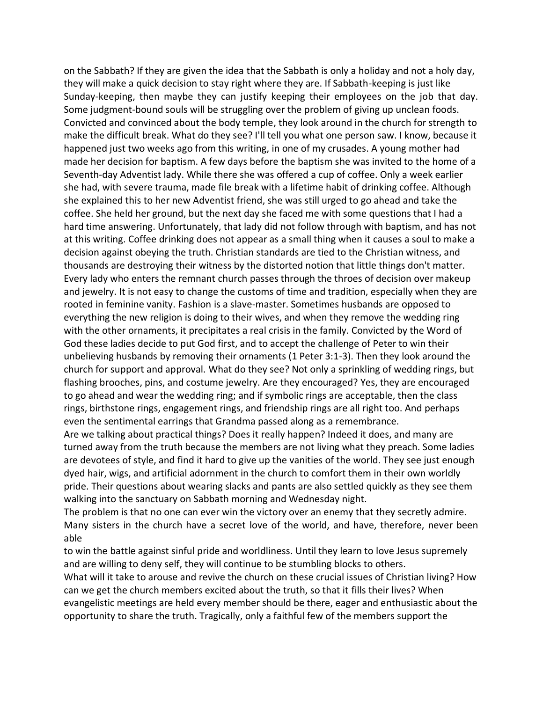on the Sabbath? If they are given the idea that the Sabbath is only a holiday and not a holy day, they will make a quick decision to stay right where they are. If Sabbath-keeping is just like Sunday-keeping, then maybe they can justify keeping their employees on the job that day. Some judgment-bound souls will be struggling over the problem of giving up unclean foods. Convicted and convinced about the body temple, they look around in the church for strength to make the difficult break. What do they see? I'll tell you what one person saw. I know, because it happened just two weeks ago from this writing, in one of my crusades. A young mother had made her decision for baptism. A few days before the baptism she was invited to the home of a Seventh-day Adventist lady. While there she was offered a cup of coffee. Only a week earlier she had, with severe trauma, made file break with a lifetime habit of drinking coffee. Although she explained this to her new Adventist friend, she was still urged to go ahead and take the coffee. She held her ground, but the next day she faced me with some questions that I had a hard time answering. Unfortunately, that lady did not follow through with baptism, and has not at this writing. Coffee drinking does not appear as a small thing when it causes a soul to make a decision against obeying the truth. Christian standards are tied to the Christian witness, and thousands are destroying their witness by the distorted notion that little things don't matter. Every lady who enters the remnant church passes through the throes of decision over makeup and jewelry. It is not easy to change the customs of time and tradition, especially when they are rooted in feminine vanity. Fashion is a slave-master. Sometimes husbands are opposed to everything the new religion is doing to their wives, and when they remove the wedding ring with the other ornaments, it precipitates a real crisis in the family. Convicted by the Word of God these ladies decide to put God first, and to accept the challenge of Peter to win their unbelieving husbands by removing their ornaments (1 Peter 3:1-3). Then they look around the church for support and approval. What do they see? Not only a sprinkling of wedding rings, but flashing brooches, pins, and costume jewelry. Are they encouraged? Yes, they are encouraged to go ahead and wear the wedding ring; and if symbolic rings are acceptable, then the class rings, birthstone rings, engagement rings, and friendship rings are all right too. And perhaps even the sentimental earrings that Grandma passed along as a remembrance. Are we talking about practical things? Does it really happen? Indeed it does, and many are

turned away from the truth because the members are not living what they preach. Some ladies are devotees of style, and find it hard to give up the vanities of the world. They see just enough dyed hair, wigs, and artificial adornment in the church to comfort them in their own worldly pride. Their questions about wearing slacks and pants are also settled quickly as they see them walking into the sanctuary on Sabbath morning and Wednesday night.

The problem is that no one can ever win the victory over an enemy that they secretly admire. Many sisters in the church have a secret love of the world, and have, therefore, never been able

to win the battle against sinful pride and worldliness. Until they learn to love Jesus supremely and are willing to deny self, they will continue to be stumbling blocks to others.

What will it take to arouse and revive the church on these crucial issues of Christian living? How can we get the church members excited about the truth, so that it fills their lives? When evangelistic meetings are held every member should be there, eager and enthusiastic about the opportunity to share the truth. Tragically, only a faithful few of the members support the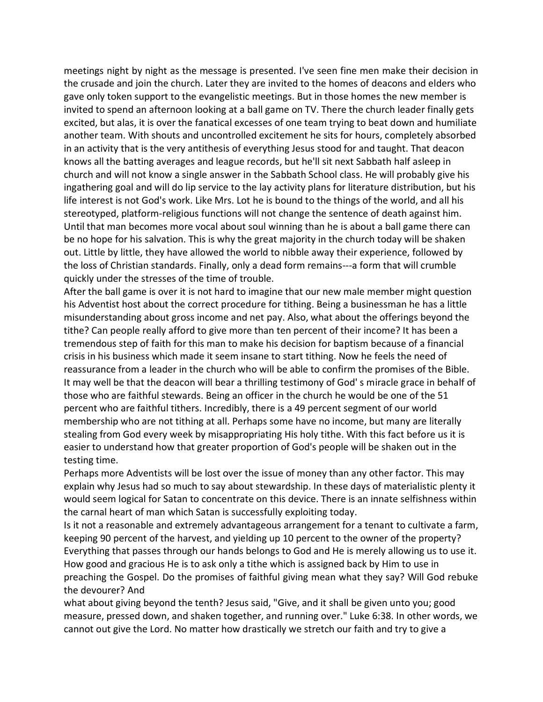meetings night by night as the message is presented. I've seen fine men make their decision in the crusade and join the church. Later they are invited to the homes of deacons and elders who gave only token support to the evangelistic meetings. But in those homes the new member is invited to spend an afternoon looking at a ball game on TV. There the church leader finally gets excited, but alas, it is over the fanatical excesses of one team trying to beat down and humiliate another team. With shouts and uncontrolled excitement he sits for hours, completely absorbed in an activity that is the very antithesis of everything Jesus stood for and taught. That deacon knows all the batting averages and league records, but he'll sit next Sabbath half asleep in church and will not know a single answer in the Sabbath School class. He will probably give his ingathering goal and will do lip service to the lay activity plans for literature distribution, but his life interest is not God's work. Like Mrs. Lot he is bound to the things of the world, and all his stereotyped, platform-religious functions will not change the sentence of death against him. Until that man becomes more vocal about soul winning than he is about a ball game there can be no hope for his salvation. This is why the great majority in the church today will be shaken out. Little by little, they have allowed the world to nibble away their experience, followed by the loss of Christian standards. Finally, only a dead form remains---a form that will crumble quickly under the stresses of the time of trouble.

After the ball game is over it is not hard to imagine that our new male member might question his Adventist host about the correct procedure for tithing. Being a businessman he has a little misunderstanding about gross income and net pay. Also, what about the offerings beyond the tithe? Can people really afford to give more than ten percent of their income? It has been a tremendous step of faith for this man to make his decision for baptism because of a financial crisis in his business which made it seem insane to start tithing. Now he feels the need of reassurance from a leader in the church who will be able to confirm the promises of the Bible. It may well be that the deacon will bear a thrilling testimony of God' s miracle grace in behalf of those who are faithful stewards. Being an officer in the church he would be one of the 51 percent who are faithful tithers. Incredibly, there is a 49 percent segment of our world membership who are not tithing at all. Perhaps some have no income, but many are literally stealing from God every week by misappropriating His holy tithe. With this fact before us it is easier to understand how that greater proportion of God's people will be shaken out in the testing time.

Perhaps more Adventists will be lost over the issue of money than any other factor. This may explain why Jesus had so much to say about stewardship. In these days of materialistic plenty it would seem logical for Satan to concentrate on this device. There is an innate selfishness within the carnal heart of man which Satan is successfully exploiting today.

Is it not a reasonable and extremely advantageous arrangement for a tenant to cultivate a farm, keeping 90 percent of the harvest, and yielding up 10 percent to the owner of the property? Everything that passes through our hands belongs to God and He is merely allowing us to use it. How good and gracious He is to ask only a tithe which is assigned back by Him to use in preaching the Gospel. Do the promises of faithful giving mean what they say? Will God rebuke the devourer? And

what about giving beyond the tenth? Jesus said, "Give, and it shall be given unto you; good measure, pressed down, and shaken together, and running over." Luke 6:38. In other words, we cannot out give the Lord. No matter how drastically we stretch our faith and try to give a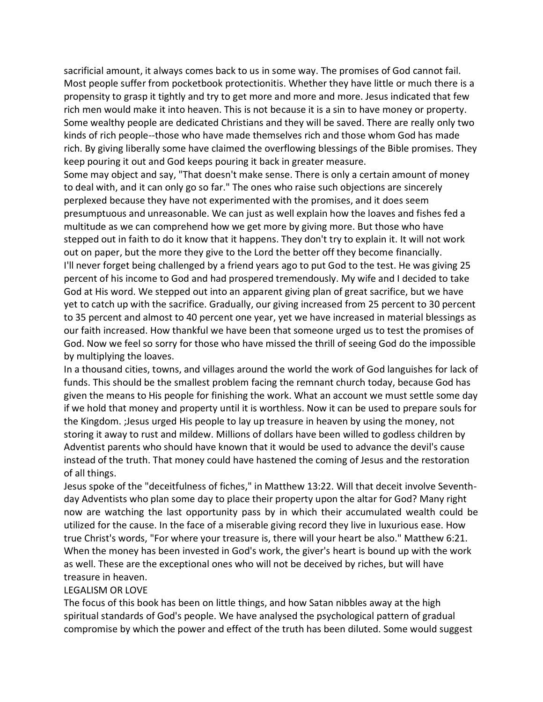sacrificial amount, it always comes back to us in some way. The promises of God cannot fail. Most people suffer from pocketbook protectionitis. Whether they have little or much there is a propensity to grasp it tightly and try to get more and more and more. Jesus indicated that few rich men would make it into heaven. This is not because it is a sin to have money or property. Some wealthy people are dedicated Christians and they will be saved. There are really only two kinds of rich people--those who have made themselves rich and those whom God has made rich. By giving liberally some have claimed the overflowing blessings of the Bible promises. They keep pouring it out and God keeps pouring it back in greater measure.

Some may object and say, "That doesn't make sense. There is only a certain amount of money to deal with, and it can only go so far." The ones who raise such objections are sincerely perplexed because they have not experimented with the promises, and it does seem presumptuous and unreasonable. We can just as well explain how the loaves and fishes fed a multitude as we can comprehend how we get more by giving more. But those who have stepped out in faith to do it know that it happens. They don't try to explain it. It will not work out on paper, but the more they give to the Lord the better off they become financially. I'll never forget being challenged by a friend years ago to put God to the test. He was giving 25 percent of his income to God and had prospered tremendously. My wife and I decided to take God at His word. We stepped out into an apparent giving plan of great sacrifice, but we have yet to catch up with the sacrifice. Gradually, our giving increased from 25 percent to 30 percent to 35 percent and almost to 40 percent one year, yet we have increased in material blessings as our faith increased. How thankful we have been that someone urged us to test the promises of God. Now we feel so sorry for those who have missed the thrill of seeing God do the impossible by multiplying the loaves.

In a thousand cities, towns, and villages around the world the work of God languishes for lack of funds. This should be the smallest problem facing the remnant church today, because God has given the means to His people for finishing the work. What an account we must settle some day if we hold that money and property until it is worthless. Now it can be used to prepare souls for the Kingdom. ;Jesus urged His people to lay up treasure in heaven by using the money, not storing it away to rust and mildew. Millions of dollars have been willed to godless children by Adventist parents who should have known that it would be used to advance the devil's cause instead of the truth. That money could have hastened the coming of Jesus and the restoration of all things.

Jesus spoke of the "deceitfulness of fiches," in Matthew 13:22. Will that deceit involve Seventhday Adventists who plan some day to place their property upon the altar for God? Many right now are watching the last opportunity pass by in which their accumulated wealth could be utilized for the cause. In the face of a miserable giving record they live in luxurious ease. How true Christ's words, "For where your treasure is, there will your heart be also." Matthew 6:21. When the money has been invested in God's work, the giver's heart is bound up with the work as well. These are the exceptional ones who will not be deceived by riches, but will have treasure in heaven.

#### LEGALISM OR LOVE

The focus of this book has been on little things, and how Satan nibbles away at the high spiritual standards of God's people. We have analysed the psychological pattern of gradual compromise by which the power and effect of the truth has been diluted. Some would suggest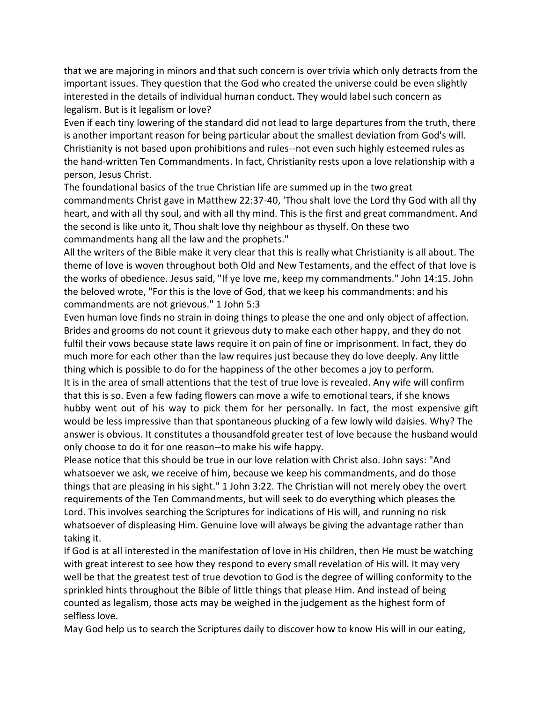that we are majoring in minors and that such concern is over trivia which only detracts from the important issues. They question that the God who created the universe could be even slightly interested in the details of individual human conduct. They would label such concern as legalism. But is it legalism or love?

Even if each tiny lowering of the standard did not lead to large departures from the truth, there is another important reason for being particular about the smallest deviation from God's will. Christianity is not based upon prohibitions and rules--not even such highly esteemed rules as the hand-written Ten Commandments. In fact, Christianity rests upon a love relationship with a person, Jesus Christ.

The foundational basics of the true Christian life are summed up in the two great commandments Christ gave in Matthew 22:37-40, 'Thou shalt love the Lord thy God with all thy heart, and with all thy soul, and with all thy mind. This is the first and great commandment. And the second is like unto it, Thou shalt love thy neighbour as thyself. On these two commandments hang all the law and the prophets."

All the writers of the Bible make it very clear that this is really what Christianity is all about. The theme of love is woven throughout both Old and New Testaments, and the effect of that love is the works of obedience. Jesus said, "If ye love me, keep my commandments." John 14:15. John the beloved wrote, "For this is the love of God, that we keep his commandments: and his commandments are not grievous." 1 John 5:3

Even human love finds no strain in doing things to please the one and only object of affection. Brides and grooms do not count it grievous duty to make each other happy, and they do not fulfil their vows because state laws require it on pain of fine or imprisonment. In fact, they do much more for each other than the law requires just because they do love deeply. Any little thing which is possible to do for the happiness of the other becomes a joy to perform. It is in the area of small attentions that the test of true love is revealed. Any wife will confirm that this is so. Even a few fading flowers can move a wife to emotional tears, if she knows hubby went out of his way to pick them for her personally. In fact, the most expensive gift would be less impressive than that spontaneous plucking of a few lowly wild daisies. Why? The answer is obvious. It constitutes a thousandfold greater test of love because the husband would only choose to do it for one reason--to make his wife happy.

Please notice that this should be true in our love relation with Christ also. John says: "And whatsoever we ask, we receive of him, because we keep his commandments, and do those things that are pleasing in his sight." 1 John 3:22. The Christian will not merely obey the overt requirements of the Ten Commandments, but will seek to do everything which pleases the Lord. This involves searching the Scriptures for indications of His will, and running no risk whatsoever of displeasing Him. Genuine love will always be giving the advantage rather than taking it.

If God is at all interested in the manifestation of love in His children, then He must be watching with great interest to see how they respond to every small revelation of His will. It may very well be that the greatest test of true devotion to God is the degree of willing conformity to the sprinkled hints throughout the Bible of little things that please Him. And instead of being counted as legalism, those acts may be weighed in the judgement as the highest form of selfless love.

May God help us to search the Scriptures daily to discover how to know His will in our eating,